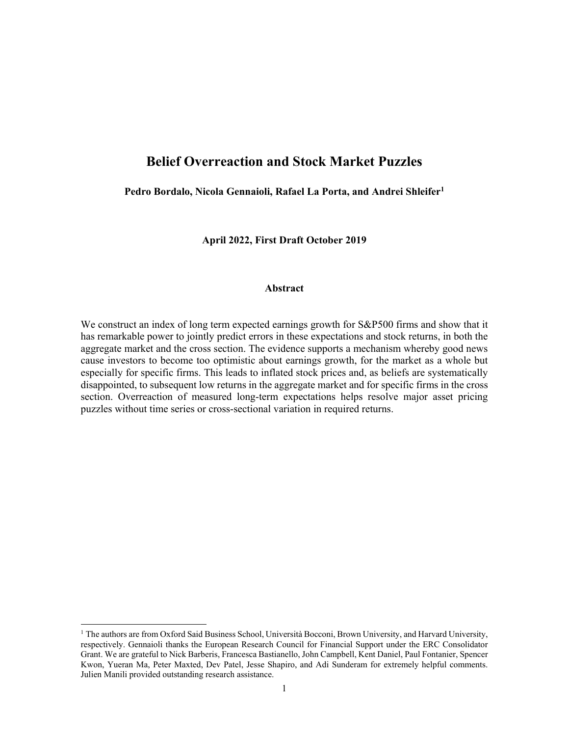# **Belief Overreaction and Stock Market Puzzles**

**Pedro Bordalo, Nicola Gennaioli, Rafael La Porta, and Andrei Shleifer1**

**April 2022, First Draft October 2019** 

# **Abstract**

We construct an index of long term expected earnings growth for  $S\&P500$  firms and show that it has remarkable power to jointly predict errors in these expectations and stock returns, in both the aggregate market and the cross section. The evidence supports a mechanism whereby good news cause investors to become too optimistic about earnings growth, for the market as a whole but especially for specific firms. This leads to inflated stock prices and, as beliefs are systematically disappointed, to subsequent low returns in the aggregate market and for specific firms in the cross section. Overreaction of measured long-term expectations helps resolve major asset pricing puzzles without time series or cross-sectional variation in required returns.

<sup>&</sup>lt;sup>1</sup> The authors are from Oxford Said Business School, Università Bocconi, Brown University, and Harvard University, respectively. Gennaioli thanks the European Research Council for Financial Support under the ERC Consolidator Grant. We are grateful to Nick Barberis, Francesca Bastianello, John Campbell, Kent Daniel, Paul Fontanier, Spencer Kwon, Yueran Ma, Peter Maxted, Dev Patel, Jesse Shapiro, and Adi Sunderam for extremely helpful comments. Julien Manili provided outstanding research assistance.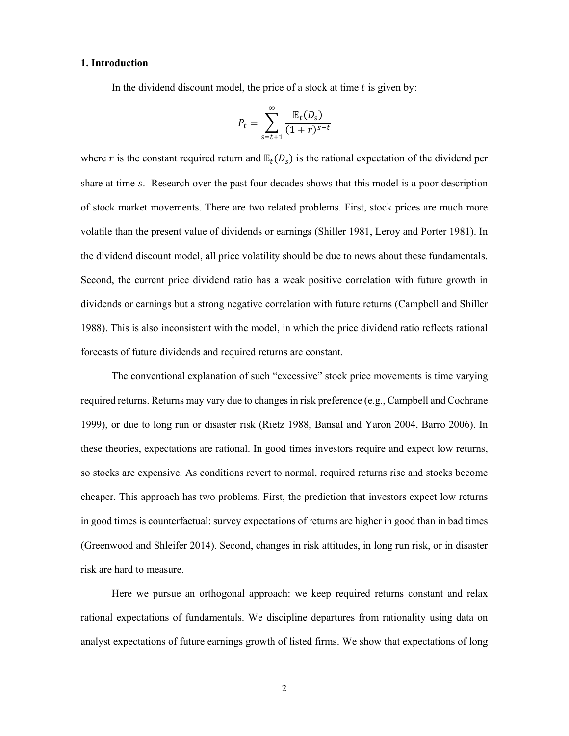# **1. Introduction**

In the dividend discount model, the price of a stock at time  $t$  is given by:

$$
P_t = \sum_{s=t+1}^{\infty} \frac{\mathbb{E}_t(D_s)}{(1+r)^{s-t}}
$$

where r is the constant required return and  $\mathbb{E}_t(D_s)$  is the rational expectation of the dividend per share at time s. Research over the past four decades shows that this model is a poor description of stock market movements. There are two related problems. First, stock prices are much more volatile than the present value of dividends or earnings (Shiller 1981, Leroy and Porter 1981). In the dividend discount model, all price volatility should be due to news about these fundamentals. Second, the current price dividend ratio has a weak positive correlation with future growth in dividends or earnings but a strong negative correlation with future returns (Campbell and Shiller 1988). This is also inconsistent with the model, in which the price dividend ratio reflects rational forecasts of future dividends and required returns are constant.

 The conventional explanation of such "excessive" stock price movements is time varying required returns. Returns may vary due to changes in risk preference (e.g., Campbell and Cochrane 1999), or due to long run or disaster risk (Rietz 1988, Bansal and Yaron 2004, Barro 2006). In these theories, expectations are rational. In good times investors require and expect low returns, so stocks are expensive. As conditions revert to normal, required returns rise and stocks become cheaper. This approach has two problems. First, the prediction that investors expect low returns in good times is counterfactual: survey expectations of returns are higher in good than in bad times (Greenwood and Shleifer 2014). Second, changes in risk attitudes, in long run risk, or in disaster risk are hard to measure.

Here we pursue an orthogonal approach: we keep required returns constant and relax rational expectations of fundamentals. We discipline departures from rationality using data on analyst expectations of future earnings growth of listed firms. We show that expectations of long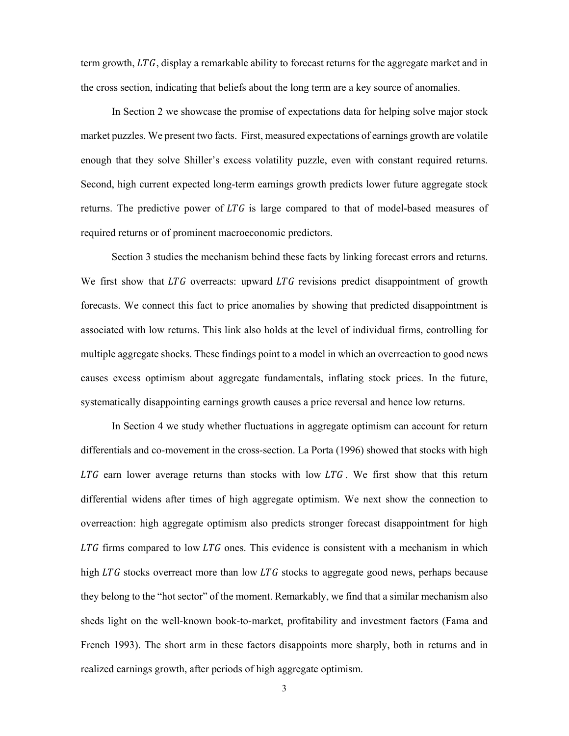term growth,  $LTG$ , display a remarkable ability to forecast returns for the aggregate market and in the cross section, indicating that beliefs about the long term are a key source of anomalies.

In Section 2 we showcase the promise of expectations data for helping solve major stock market puzzles. We present two facts. First, measured expectations of earnings growth are volatile enough that they solve Shiller's excess volatility puzzle, even with constant required returns. Second, high current expected long-term earnings growth predicts lower future aggregate stock returns. The predictive power of  $LTG$  is large compared to that of model-based measures of required returns or of prominent macroeconomic predictors.

Section 3 studies the mechanism behind these facts by linking forecast errors and returns. We first show that  $LTG$  overreacts: upward  $LTG$  revisions predict disappointment of growth forecasts. We connect this fact to price anomalies by showing that predicted disappointment is associated with low returns. This link also holds at the level of individual firms, controlling for multiple aggregate shocks. These findings point to a model in which an overreaction to good news causes excess optimism about aggregate fundamentals, inflating stock prices. In the future, systematically disappointing earnings growth causes a price reversal and hence low returns.

In Section 4 we study whether fluctuations in aggregate optimism can account for return differentials and co-movement in the cross-section. La Porta (1996) showed that stocks with high  $LTG$  earn lower average returns than stocks with low  $LTG$ . We first show that this return differential widens after times of high aggregate optimism. We next show the connection to overreaction: high aggregate optimism also predicts stronger forecast disappointment for high  $LTG$  firms compared to low  $LTG$  ones. This evidence is consistent with a mechanism in which high  $LTG$  stocks overreact more than low  $LTG$  stocks to aggregate good news, perhaps because they belong to the "hot sector" of the moment. Remarkably, we find that a similar mechanism also sheds light on the well-known book-to-market, profitability and investment factors (Fama and French 1993). The short arm in these factors disappoints more sharply, both in returns and in realized earnings growth, after periods of high aggregate optimism.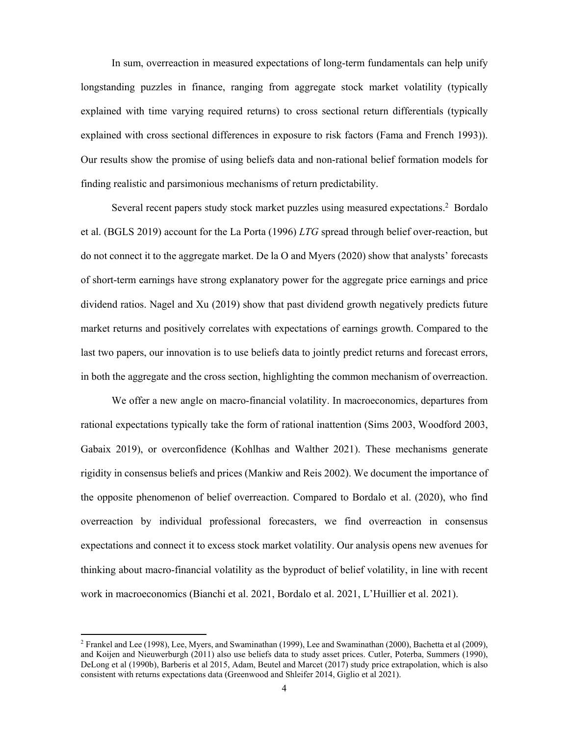In sum, overreaction in measured expectations of long-term fundamentals can help unify longstanding puzzles in finance, ranging from aggregate stock market volatility (typically explained with time varying required returns) to cross sectional return differentials (typically explained with cross sectional differences in exposure to risk factors (Fama and French 1993)). Our results show the promise of using beliefs data and non-rational belief formation models for finding realistic and parsimonious mechanisms of return predictability.

Several recent papers study stock market puzzles using measured expectations.<sup>2</sup> Bordalo et al. (BGLS 2019) account for the La Porta (1996) *LTG* spread through belief over-reaction, but do not connect it to the aggregate market. De la O and Myers (2020) show that analysts' forecasts of short-term earnings have strong explanatory power for the aggregate price earnings and price dividend ratios. Nagel and Xu (2019) show that past dividend growth negatively predicts future market returns and positively correlates with expectations of earnings growth. Compared to the last two papers, our innovation is to use beliefs data to jointly predict returns and forecast errors, in both the aggregate and the cross section, highlighting the common mechanism of overreaction.

We offer a new angle on macro-financial volatility. In macroeconomics, departures from rational expectations typically take the form of rational inattention (Sims 2003, Woodford 2003, Gabaix 2019), or overconfidence (Kohlhas and Walther 2021). These mechanisms generate rigidity in consensus beliefs and prices (Mankiw and Reis 2002). We document the importance of the opposite phenomenon of belief overreaction. Compared to Bordalo et al. (2020), who find overreaction by individual professional forecasters, we find overreaction in consensus expectations and connect it to excess stock market volatility. Our analysis opens new avenues for thinking about macro-financial volatility as the byproduct of belief volatility, in line with recent work in macroeconomics (Bianchi et al. 2021, Bordalo et al. 2021, L'Huillier et al. 2021).

<sup>&</sup>lt;sup>2</sup> Frankel and Lee (1998), Lee, Myers, and Swaminathan (1999), Lee and Swaminathan (2000), Bachetta et al (2009), and Koijen and Nieuwerburgh (2011) also use beliefs data to study asset prices. Cutler, Poterba, Summers (1990), DeLong et al (1990b), Barberis et al 2015, Adam, Beutel and Marcet (2017) study price extrapolation, which is also consistent with returns expectations data (Greenwood and Shleifer 2014, Giglio et al 2021).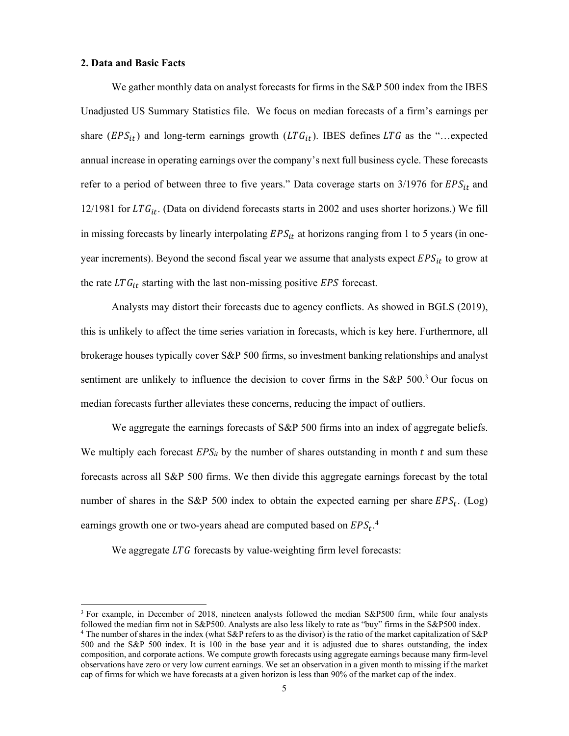# **2. Data and Basic Facts**

 $\overline{a}$ 

We gather monthly data on analyst forecasts for firms in the S&P 500 index from the IBES Unadjusted US Summary Statistics file. We focus on median forecasts of a firm's earnings per share ( $EPS_{it}$ ) and long-term earnings growth ( $LTG_{it}$ ). IBES defines  $LTG$  as the "...expected annual increase in operating earnings over the company's next full business cycle. These forecasts refer to a period of between three to five years." Data coverage starts on  $3/1976$  for  $EPS_{it}$  and 12/1981 for LTG<sub>it</sub>. (Data on dividend forecasts starts in 2002 and uses shorter horizons.) We fill in missing forecasts by linearly interpolating  $EPS_{it}$  at horizons ranging from 1 to 5 years (in oneyear increments). Beyond the second fiscal year we assume that analysts expect  $EPS_{it}$  to grow at the rate  $LTG_{it}$  starting with the last non-missing positive EPS forecast.

Analysts may distort their forecasts due to agency conflicts. As showed in BGLS (2019), this is unlikely to affect the time series variation in forecasts, which is key here. Furthermore, all brokerage houses typically cover S&P 500 firms, so investment banking relationships and analyst sentiment are unlikely to influence the decision to cover firms in the S&P 500.<sup>3</sup> Our focus on median forecasts further alleviates these concerns, reducing the impact of outliers.

We aggregate the earnings forecasts of S&P 500 firms into an index of aggregate beliefs. We multiply each forecast  $EPS_{it}$  by the number of shares outstanding in month  $t$  and sum these forecasts across all S&P 500 firms. We then divide this aggregate earnings forecast by the total number of shares in the S&P 500 index to obtain the expected earning per share  $EPS_t$ . (Log) earnings growth one or two-years ahead are computed based on  $EPS_t$ .<sup>4</sup>

We aggregate  $LTG$  forecasts by value-weighting firm level forecasts:

<sup>&</sup>lt;sup>3</sup> For example, in December of 2018, nineteen analysts followed the median S&P500 firm, while four analysts followed the median firm not in S&P500. Analysts are also less likely to rate as "buy" firms in the S&P500 index. 4 The number of shares in the index (what S&P refers to as the divisor) is the ratio of the market capitalization of S&P 500 and the S&P 500 index. It is 100 in the base year and it is adjusted due to shares outstanding, the index composition, and corporate actions. We compute growth forecasts using aggregate earnings because many firm-level observations have zero or very low current earnings. We set an observation in a given month to missing if the market cap of firms for which we have forecasts at a given horizon is less than 90% of the market cap of the index.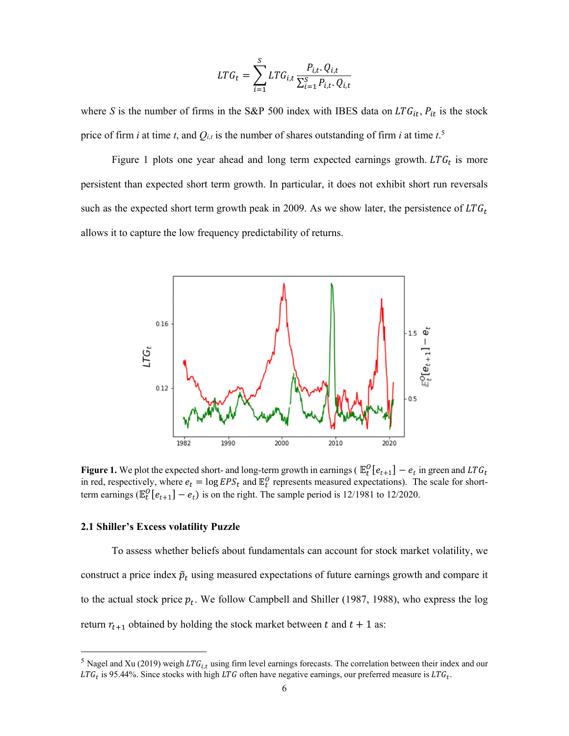$$
LTG_{t} = \sum_{i=1}^{S} LTG_{i,t} \frac{P_{i,t} \cdot Q_{i,t}}{\sum_{i=1}^{S} P_{i,t} \cdot Q_{i,t}}
$$

where *S* is the number of firms in the S&P 500 index with IBES data on  $LTG_{it}$ ,  $P_{it}$  is the stock price of firm *i* at time *t*, and  $Q_{i,t}$  is the number of shares outstanding of firm *i* at time  $t$ <sup>5</sup>

Figure 1 plots one year ahead and long term expected earnings growth.  $LTG_t$  is more persistent than expected short term growth. In particular, it does not exhibit short run reversals such as the expected short term growth peak in 2009. As we show later, the persistence of  $LTG_t$ allows it to capture the low frequency predictability of returns.



**Figure 1.** We plot the expected short- and long-term growth in earnings ( $\mathbb{E}_t^O[e_{t+1}] - e_t$  in green and  $LTG_t$ in red, respectively, where  $e_t = \log EPS_t$  and  $\mathbb{E}^0_t$  represents measured expectations). The scale for shortterm earnings ( $\mathbb{E}_{t}^{0}[e_{t+1}] - e_{t}$ ) is on the right. The sample period is 12/1981 to 12/2020.

### **2.1 Shiller's Excess volatility Puzzle**

-

To assess whether beliefs about fundamentals can account for stock market volatility, we construct a price index  $\tilde{p}_t$  using measured expectations of future earnings growth and compare it to the actual stock price  $p_t$ . We follow Campbell and Shiller (1987, 1988), who express the log return  $r_{t+1}$  obtained by holding the stock market between t and  $t + 1$  as:

<sup>&</sup>lt;sup>5</sup> Nagel and Xu (2019) weigh LTG<sub>i,t</sub> using firm level earnings forecasts. The correlation between their index and our  $LTG_t$  is 95.44%. Since stocks with high LTG often have negative earnings, our preferred measure is  $LTG_t$ .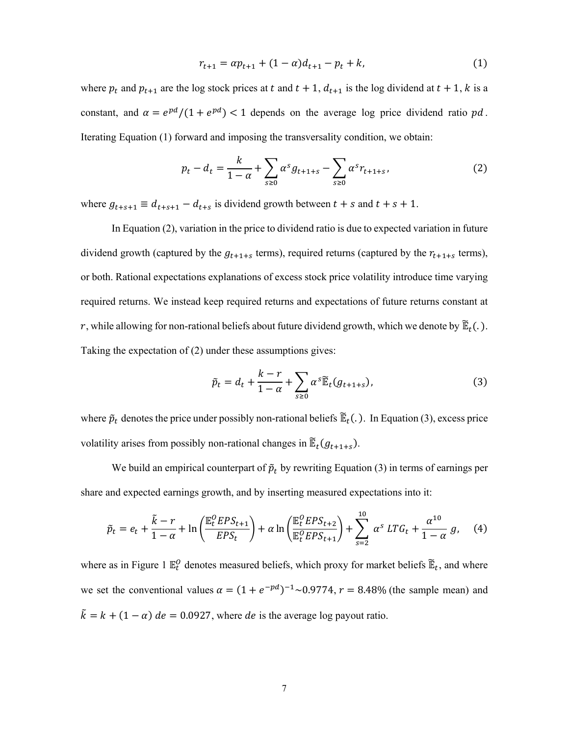$$
r_{t+1} = \alpha p_{t+1} + (1 - \alpha)d_{t+1} - p_t + k,\tag{1}
$$

where  $p_t$  and  $p_{t+1}$  are the log stock prices at t and  $t + 1$ ,  $d_{t+1}$  is the log dividend at  $t + 1$ , k is a constant, and  $\alpha = e^{pd}/(1 + e^{pd}) < 1$  depends on the average log price dividend ratio  $pd$ . Iterating Equation (1) forward and imposing the transversality condition, we obtain:

$$
p_t - d_t = \frac{k}{1 - \alpha} + \sum_{s \ge 0} \alpha^s g_{t+1+s} - \sum_{s \ge 0} \alpha^s r_{t+1+s},
$$
 (2)

where  $g_{t+s+1} \equiv d_{t+s+1} - d_{t+s}$  is dividend growth between  $t + s$  and  $t + s + 1$ .

In Equation (2), variation in the price to dividend ratio is due to expected variation in future dividend growth (captured by the  $g_{t+1+s}$  terms), required returns (captured by the  $r_{t+1+s}$  terms), or both. Rational expectations explanations of excess stock price volatility introduce time varying required returns. We instead keep required returns and expectations of future returns constant at r, while allowing for non-rational beliefs about future dividend growth, which we denote by  $\mathbb{E}_t(.)$ . Taking the expectation of (2) under these assumptions gives:

$$
\tilde{p}_t = d_t + \frac{k - r}{1 - \alpha} + \sum_{s \ge 0} \alpha^s \widetilde{\mathbb{E}}_t(g_{t+1+s}),\tag{3}
$$

where  $\tilde{p}_t$  denotes the price under possibly non-rational beliefs  $\tilde{E}_t(.)$ . In Equation (3), excess price volatility arises from possibly non-rational changes in  $\mathbb{E}_t(g_{t+1+s})$ .

We build an empirical counterpart of  $\tilde{p}_t$  by rewriting Equation (3) in terms of earnings per share and expected earnings growth, and by inserting measured expectations into it:

$$
\tilde{p}_t = e_t + \frac{\tilde{k} - r}{1 - \alpha} + \ln\left(\frac{\mathbb{E}_t^O EPS_{t+1}}{EPS_t}\right) + \alpha \ln\left(\frac{\mathbb{E}_t^O EPS_{t+2}}{\mathbb{E}_t^O EPS_{t+1}}\right) + \sum_{s=2}^{10} \alpha^s \, LTG_t + \frac{\alpha^{10}}{1 - \alpha} \, g,\tag{4}
$$

where as in Figure 1  $\mathbb{E}_t^0$  denotes measured beliefs, which proxy for market beliefs  $\mathbb{E}_t$ , and where we set the conventional values  $\alpha = (1 + e^{-pd})^{-1} \sim 0.9774$ ,  $r = 8.48\%$  (the sample mean) and  $\tilde{k} = k + (1 - \alpha)$  de = 0.0927, where de is the average log payout ratio.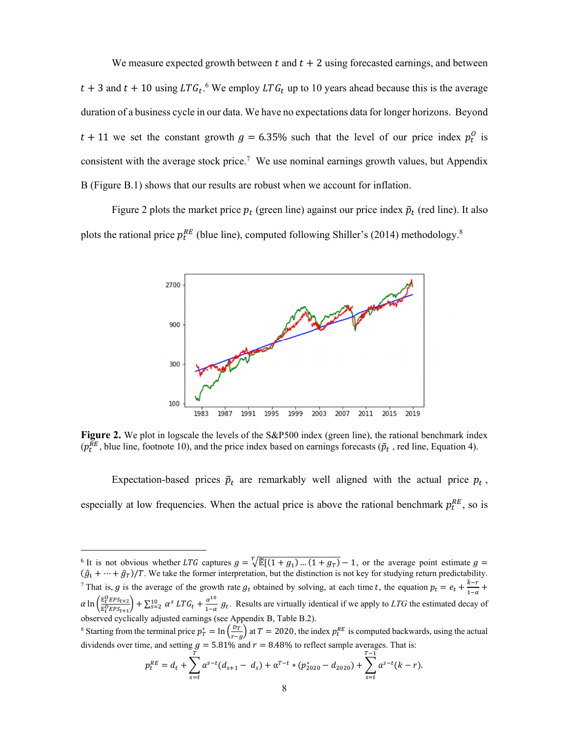We measure expected growth between  $t$  and  $t + 2$  using forecasted earnings, and between  $t + 3$  and  $t + 10$  using  $LTG_t$ .<sup>6</sup> We employ  $LTG_t$  up to 10 years ahead because this is the average duration of a business cycle in our data. We have no expectations data for longer horizons. Beyond  $t + 11$  we set the constant growth  $g = 6.35\%$  such that the level of our price index  $p_t^0$  is consistent with the average stock price.<sup>7</sup> We use nominal earnings growth values, but Appendix B (Figure B.1) shows that our results are robust when we account for inflation.

Figure 2 plots the market price  $p_t$  (green line) against our price index  $\tilde{p}_t$  (red line). It also plots the rational price  $p_t^{RE}$  (blue line), computed following Shiller's (2014) methodology.<sup>8</sup>



Figure 2. We plot in logscale the levels of the S&P500 index (green line), the rational benchmark index ( $p_t^{RE}$ , blue line, footnote 10), and the price index based on earnings forecasts ( $\tilde{p}_t$ , red line, Equation 4).

Expectation-based prices  $\tilde{p}_t$  are remarkably well aligned with the actual price  $p_t$ , especially at low frequencies. When the actual price is above the rational benchmark  $p_t^{RE}$ , so is

 $\overline{a}$ 

$$
p_t^{RE} = d_t + \sum_{s=t}^{t} a^{s-t} (d_{s+1} - d_s) + \alpha^{T-t} * (p_{2020}^* - d_{2020}) + \sum_{s=t}^{t+1} a^{s-t} (k - r)
$$

.

<sup>&</sup>lt;sup>6</sup> It is not obvious whether LTG captures  $g = \sqrt[T]{\mathbb{E}[(1 + g_1)...(1 + g_T)} - 1$ , or the average point estimate  $g =$  $(\hat{g}_1 + \cdots + \hat{g}_T)/T$ . We take the former interpretation, but the distinction is not key for studying return predictability. <sup>7</sup> That is, g is the average of the growth rate  $g_t$  obtained by solving, at each time t, the equation  $p_t = e_t + \frac{\tilde{k} - r}{1 - \alpha} +$  $\alpha \ln \left( \frac{\mathbb{E}^O_t EPS_{t+2}}{\mathbb{E}^O_t EPS_{t+2}} \right)$  $\frac{E_{\ell}^{0} EPS_{t+2}}{E_{\ell}^{0} EPS_{t+1}}$  +  $\sum_{s=2}^{10} \alpha^{s} LTG_{t} + \frac{\alpha^{10}}{1-\alpha} g_{t}$ . Results are virtually identical if we apply to *LTG* the estimated decay of observed cyclically adjusted earnings (see Appendix B, Table B.2).

<sup>&</sup>lt;sup>8</sup> Starting from the terminal price  $p_T^* = \ln\left(\frac{p_T}{r-g}\right)$  at  $T = 2020$ , the index  $p_t^{RE}$  is computed backwards, using the actual dividends over time, and setting  $g = 5.81\%$  and  $r = 8.48\%$  to reflect sample averages. That is: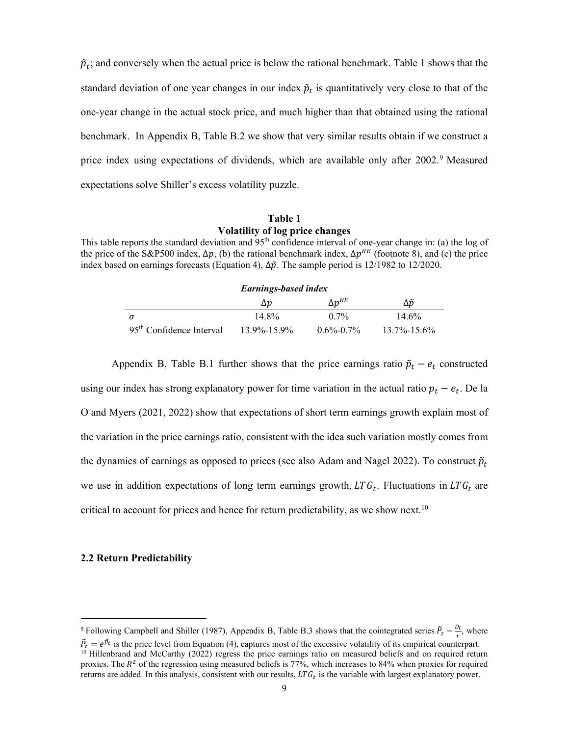$\tilde{p}_t$ ; and conversely when the actual price is below the rational benchmark. Table 1 shows that the standard deviation of one year changes in our index  $\tilde{p}_t$  is quantitatively very close to that of the one-year change in the actual stock price, and much higher than that obtained using the rational benchmark. In Appendix B, Table B.2 we show that very similar results obtain if we construct a price index using expectations of dividends, which are available only after 2002.9 Measured expectations solve Shiller's excess volatility puzzle.

# **Table 1 Volatility of log price changes**

This table reports the standard deviation and 95<sup>th</sup> confidence interval of one-year change in: (a) the log of the price of the S&P500 index,  $\Delta p$ , (b) the rational benchmark index,  $\Delta p^{RE}$  (footnote 8), and (c) the price index based on earnings forecasts (Equation 4),  $\Delta \tilde{p}$ . The sample period is 12/1982 to 12/2020.

| <b>Earnings-based index</b>                                                                       |       |         |          |  |  |
|---------------------------------------------------------------------------------------------------|-------|---------|----------|--|--|
| $\Delta p^{RE}$<br>Δõ<br>$\Delta p$                                                               |       |         |          |  |  |
|                                                                                                   | 14.8% | $0.7\%$ | $14.6\%$ |  |  |
| 95 <sup>th</sup> Confidence Interval<br>$13.7\% - 15.6\%$<br>$13.9\% - 15.9\%$<br>$0.6\% - 0.7\%$ |       |         |          |  |  |

Appendix B, Table B.1 further shows that the price earnings ratio  $\tilde{p}_t - e_t$  constructed using our index has strong explanatory power for time variation in the actual ratio  $p_t - e_t$ . De la O and Myers (2021, 2022) show that expectations of short term earnings growth explain most of the variation in the price earnings ratio, consistent with the idea such variation mostly comes from the dynamics of earnings as opposed to prices (see also Adam and Nagel 2022). To construct  $\tilde{p}_t$ we use in addition expectations of long term earnings growth,  $LTG_t$ . Fluctuations in  $LTG_t$  are critical to account for prices and hence for return predictability, as we show next.<sup>10</sup>

# **2.2 Return Predictability**

<sup>&</sup>lt;sup>9</sup> Following Campbell and Shiller (1987), Appendix B, Table B.3 shows that the cointegrated series  $\tilde{P}_t - \frac{D_t}{r}$ , where  $\tilde{P}_t = e^{\tilde{p}_t}$  is the price level from Equation (4), captures most of the excessive volatility of its empirical counterpart. <sup>10</sup> Hillenbrand and McCarthy (2022) regress the price earnings ratio on measured beliefs and on required return proxies. The  $R^2$  of the regression using measured beliefs is 77%, which increases to 84% when proxies for required returns are added. In this analysis, consistent with our results,  $LTG_t$  is the variable with largest explanatory power.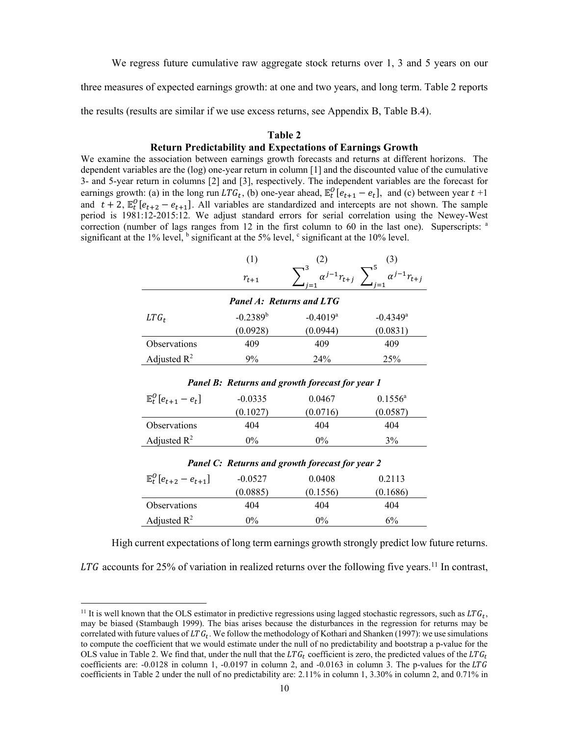We regress future cumulative raw aggregate stock returns over 1, 3 and 5 years on our

three measures of expected earnings growth: at one and two years, and long term. Table 2 reports

the results (results are similar if we use excess returns, see Appendix B, Table B.4).

#### **Table 2**

# **Return Predictability and Expectations of Earnings Growth**

We examine the association between earnings growth forecasts and returns at different horizons. The dependent variables are the (log) one-year return in column [1] and the discounted value of the cumulative 3- and 5-year return in columns [2] and [3], respectively. The independent variables are the forecast for earnings growth: (a) in the long run  $LTG_t$ , (b) one-year ahead,  $\mathbb{E}^0_t[e_{t+1} - e_t]$ , and (c) between year  $t+1$ and  $t + 2$ ,  $\mathbb{E}_{t}^{0}[e_{t+2} - e_{t+1}]$ . All variables are standardized and intercepts are not shown. The sample period is 1981:12-2015:12. We adjust standard errors for serial correlation using the Newey-West correction (number of lags ranges from 12 in the first column to 60 in the last one). Superscripts:  $a$ significant at the 1% level,  $\frac{1}{2}$  significant at the 5% level,  $\frac{1}{2}$  significant at the 10% level.

|                                                        | (1)           | (2)                             | (3)                    |  |  |
|--------------------------------------------------------|---------------|---------------------------------|------------------------|--|--|
|                                                        | $r_{t+1}$     | $\alpha^{j-1}r_{t+j}$           |                        |  |  |
|                                                        |               | <b>Panel A: Returns and LTG</b> |                        |  |  |
| $LTG_t$                                                | $-0.2389^{b}$ | $-0.4019$ <sup>a</sup>          | $-0.4349$ <sup>a</sup> |  |  |
|                                                        | (0.0928)      | (0.0944)                        | (0.0831)               |  |  |
| <b>Observations</b>                                    | 409           | 409                             | 409                    |  |  |
| Adjusted $R^2$                                         | $9\%$         | 24%                             | 25%                    |  |  |
| <b>Panel B: Returns and growth forecast for year 1</b> |               |                                 |                        |  |  |
| $\mathbb{E}_{t}^{0}[e_{t+1}-e_{t}]$                    | $-0.0335$     | 0.0467                          | $0.1556^{\circ}$       |  |  |
|                                                        | (0.1027)      | (0.0716)                        | (0.0587)               |  |  |

|                                     |           | <b>Panel C: Returns and growth forecast for year 2</b> |          |
|-------------------------------------|-----------|--------------------------------------------------------|----------|
| $\mathbb{E}^0_t[e_{t+2} - e_{t+1}]$ | $-0.0527$ | 0.0408                                                 | 0.2113   |
|                                     | (0.0885)  | (0.1556)                                               | (0.1686) |
| <b>Observations</b>                 | 404       | 404                                                    | 404      |

Observations 404 404 404 Adjusted  $R^2$  0% 0% 3% 3%

Adjusted  $R^2$  0% 0% 6%

 $\overline{a}$ 

High current expectations of long term earnings growth strongly predict low future returns.

LTG accounts for 25% of variation in realized returns over the following five years.<sup>11</sup> In contrast,

<sup>&</sup>lt;sup>11</sup> It is well known that the OLS estimator in predictive regressions using lagged stochastic regressors, such as  $LTG_t$ , may be biased (Stambaugh 1999). The bias arises because the disturbances in the regression for returns may be correlated with future values of  $LTG_t$ . We follow the methodology of Kothari and Shanken (1997): we use simulations to compute the coefficient that we would estimate under the null of no predictability and bootstrap a p-value for the OLS value in Table 2. We find that, under the null that the  $LTG_t$  coefficient is zero, the predicted values of the  $LTG_t$ coefficients are: -0.0128 in column 1, -0.0197 in column 2, and -0.0163 in column 3. The p-values for the LTG coefficients in Table 2 under the null of no predictability are: 2.11% in column 1, 3.30% in column 2, and 0.71% in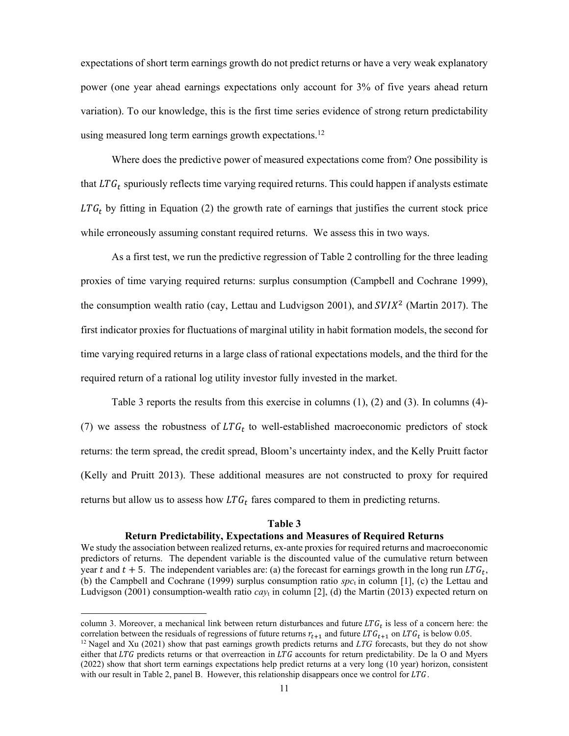expectations of short term earnings growth do not predict returns or have a very weak explanatory power (one year ahead earnings expectations only account for 3% of five years ahead return variation). To our knowledge, this is the first time series evidence of strong return predictability using measured long term earnings growth expectations.<sup>12</sup>

Where does the predictive power of measured expectations come from? One possibility is that  $LTG_t$  spuriously reflects time varying required returns. This could happen if analysts estimate  $LTG_t$  by fitting in Equation (2) the growth rate of earnings that justifies the current stock price while erroneously assuming constant required returns. We assess this in two ways.

As a first test, we run the predictive regression of Table 2 controlling for the three leading proxies of time varying required returns: surplus consumption (Campbell and Cochrane 1999), the consumption wealth ratio (cay, Lettau and Ludvigson 2001), and  $SVIX<sup>2</sup>$  (Martin 2017). The first indicator proxies for fluctuations of marginal utility in habit formation models, the second for time varying required returns in a large class of rational expectations models, and the third for the required return of a rational log utility investor fully invested in the market.

Table 3 reports the results from this exercise in columns (1), (2) and (3). In columns (4)- (7) we assess the robustness of  $LTG_t$  to well-established macroeconomic predictors of stock returns: the term spread, the credit spread, Bloom's uncertainty index, and the Kelly Pruitt factor (Kelly and Pruitt 2013). These additional measures are not constructed to proxy for required returns but allow us to assess how  $LTG_t$  fares compared to them in predicting returns.

#### **Table 3**

# **Return Predictability, Expectations and Measures of Required Returns**

We study the association between realized returns, ex-ante proxies for required returns and macroeconomic predictors of returns. The dependent variable is the discounted value of the cumulative return between year t and  $t + 5$ . The independent variables are: (a) the forecast for earnings growth in the long run  $LTG_t$ , (b) the Campbell and Cochrane (1999) surplus consumption ratio  $spc_t$  in column [1], (c) the Lettau and Ludvigson (2001) consumption-wealth ratio *cay*t in column [2], (d) the Martin (2013) expected return on

column 3. Moreover, a mechanical link between return disturbances and future  $LTG_t$  is less of a concern here: the correlation between the residuals of regressions of future returns  $r_{t+1}$  and future  $LTG_{t+1}$  on  $LTG_t$  i

 $12$  Nagel and Xu (2021) show that past earnings growth predicts returns and *LTG* forecasts, but they do not show either that  $LTG$  predicts returns or that overreaction in  $LTG$  accounts for return predictability. De la O and Myers (2022) show that short term earnings expectations help predict returns at a very long (10 year) horizon, consistent with our result in Table 2, panel B. However, this relationship disappears once we control for  $LTG$ .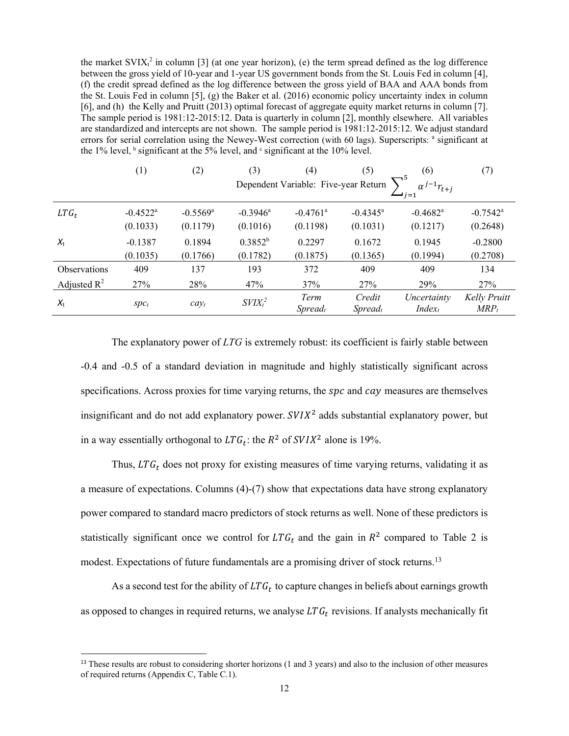the market SVIX $t^2$  in column [3] (at one year horizon), (e) the term spread defined as the log difference between the gross yield of 10-year and 1-year US government bonds from the St. Louis Fed in column [4], (f) the credit spread defined as the log difference between the gross yield of BAA and AAA bonds from the St. Louis Fed in column [5], (g) the Baker et al. (2016) economic policy uncertainty index in column [6], and (h) the Kelly and Pruitt (2013) optimal forecast of aggregate equity market returns in column [7]. The sample period is 1981:12-2015:12. Data is quarterly in column [2], monthly elsewhere. All variables are standardized and intercepts are not shown. The sample period is 1981:12-2015:12. We adjust standard errors for serial correlation using the Newey-West correction (with 60 lags). Superscripts: <sup>a</sup> significant at the 1% level,  $\frac{1}{2}$  significant at the 5% level, and  $\frac{1}{2}$  significant at the 10% level.

|                         | (1)                    | (2)                    | (3)                    | (4)                                  | (5)                                    | (6)                                        | (7)                            |
|-------------------------|------------------------|------------------------|------------------------|--------------------------------------|----------------------------------------|--------------------------------------------|--------------------------------|
|                         |                        |                        |                        | Dependent Variable: Five-year Return |                                        | $\alpha^{j-1}r_{t+j}$<br>$\rightarrow$ i=1 |                                |
| $LTG_t$                 | $-0.4522$ <sup>a</sup> | $-0.5569$ <sup>a</sup> | $-0.3946$ <sup>a</sup> | $-0.4761$ <sup>a</sup>               | $-0.4345^{\rm a}$                      | $-0.4682$ <sup>a</sup>                     | $-0.7542^{\text{a}}$           |
|                         | (0.1033)               | (0.1179)               | (0.1016)               | (0.1198)                             | (0.1031)                               | (0.1217)                                   | (0.2648)                       |
| $X_{t}$                 | $-0.1387$              | 0.1894                 | $0.3852^{b}$           | 0.2297                               | 0.1672                                 | 0.1945                                     | $-0.2800$                      |
|                         | (0.1035)               | (0.1766)               | (0.1782)               | (0.1875)                             | (0.1365)                               | (0.1994)                                   | (0.2708)                       |
| <b>Observations</b>     | 409                    | 137                    | 193                    | 372                                  | 409                                    | 409                                        | 134                            |
| Adjusted $\mathbb{R}^2$ | 27%                    | 28%                    | 47%                    | 37%                                  | 27%                                    | 29%                                        | 27%                            |
| $X_{t}$                 | $Spc_t$                | $cay_t$                | $SVIX_t^2$             | Term<br>$S$ <i>pread<sub>t</sub></i> | Credit<br>$S$ <i>pread<sub>t</sub></i> | Uncertainty<br>$Index_t$                   | <b>Kelly Pruitt</b><br>$MRP_t$ |

The explanatory power of *LTG* is extremely robust: its coefficient is fairly stable between -0.4 and -0.5 of a standard deviation in magnitude and highly statistically significant across specifications. Across proxies for time varying returns, the  $spc$  and  $cay$  measures are themselves insignificant and do not add explanatory power.  $SVIX<sup>2</sup>$  adds substantial explanatory power, but in a way essentially orthogonal to  $LTG_t$ : the  $R^2$  of  $SVIX^2$  alone is 19%.

Thus,  $LTG_t$  does not proxy for existing measures of time varying returns, validating it as a measure of expectations. Columns (4)-(7) show that expectations data have strong explanatory power compared to standard macro predictors of stock returns as well. None of these predictors is statistically significant once we control for  $LTG_t$  and the gain in  $R^2$  compared to Table 2 is modest. Expectations of future fundamentals are a promising driver of stock returns.<sup>13</sup>

As a second test for the ability of  $LTG_t$  to capture changes in beliefs about earnings growth as opposed to changes in required returns, we analyse  $LTG_t$  revisions. If analysts mechanically fit

 $13$  These results are robust to considering shorter horizons (1 and 3 years) and also to the inclusion of other measures of required returns (Appendix C, Table C.1).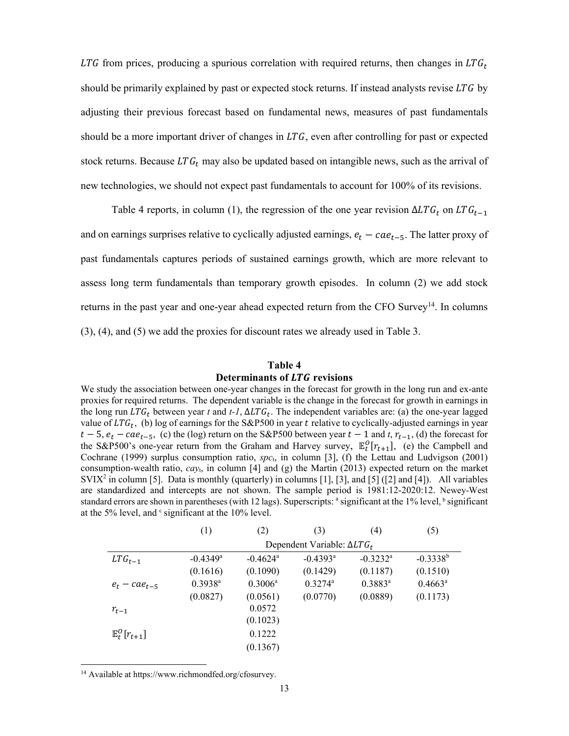LTG from prices, producing a spurious correlation with required returns, then changes in  $LTG_t$ should be primarily explained by past or expected stock returns. If instead analysts revise  $LTG$  by adjusting their previous forecast based on fundamental news, measures of past fundamentals should be a more important driver of changes in  $LTG$ , even after controlling for past or expected stock returns. Because  $LTG<sub>t</sub>$  may also be updated based on intangible news, such as the arrival of new technologies, we should not expect past fundamentals to account for 100% of its revisions.

Table 4 reports, in column (1), the regression of the one year revision  $\Delta LTG_t$  on  $LTG_{t-1}$ and on earnings surprises relative to cyclically adjusted earnings,  $e_t - cae_{t-5}$ . The latter proxy of past fundamentals captures periods of sustained earnings growth, which are more relevant to assess long term fundamentals than temporary growth episodes. In column (2) we add stock returns in the past year and one-year ahead expected return from the CFO Survey<sup>14</sup>. In columns (3), (4), and (5) we add the proxies for discount rates we already used in Table 3.

#### **Table 4**

# **Determinants of LTG revisions**

We study the association between one-year changes in the forecast for growth in the long run and ex-ante proxies for required returns. The dependent variable is the change in the forecast for growth in earnings in the long run  $LTG_t$  between year t and t-1,  $\Delta LTG_t$ . The independent variables are: (a) the one-year lagged value of  $LTG_t$ , (b) log of earnings for the S&P500 in year t relative to cyclically-adjusted earnings in year  $t-5$ ,  $e_t - cae_{t-5}$ , (c) the (log) return on the S&P500 between year  $t-1$  and  $t, r_{t-1}$ , (d) the forecast for the S&P500's one-year return from the Graham and Harvey survey,  $\mathbb{E}_t^0[r_{t+1}]$ , (e) the Campbell and Cochrane (1999) surplus consumption ratio, *spc*<sub>t</sub>, in column [3], (f) the Lettau and Ludvigson (2001) consumption-wealth ratio,  $cav_t$ , in column [4] and (g) the Martin (2013) expected return on the market SVIX<sup>2</sup> in column [5]. Data is monthly (quarterly) in columns [1], [3], and [5] ([2] and [4]). All variables are standardized and intercepts are not shown. The sample period is 1981:12-2020:12. Newey-West standard errors are shown in parentheses (with 12 lags). Superscripts: <sup>a</sup> significant at the 1% level, <sup>b</sup> significant at the 5% level, and  $\epsilon$  significant at the 10% level.

|                           | (1)                    | (2)                    | (3)                                   | $\left( 4\right)$      | (5)              |
|---------------------------|------------------------|------------------------|---------------------------------------|------------------------|------------------|
|                           |                        |                        | Dependent Variable: ΔLTG <sub>t</sub> |                        |                  |
| $LTG_{t-1}$               | $-0.4349$ <sup>a</sup> | $-0.4624$ <sup>a</sup> | $-0.4393$ <sup>a</sup>                | $-0.3232$ <sup>a</sup> | $-0.3338^{b}$    |
|                           | (0.1616)               | (0.1090)               | (0.1429)                              | (0.1187)               | (0.1510)         |
| $e_t - cae_{t-5}$         | $0.3938$ <sup>a</sup>  | $0.3006^{\rm a}$       | $0.3274$ <sup>a</sup>                 | $0.3883^{\rm a}$       | $0.4663^{\rm a}$ |
|                           | (0.0827)               | (0.0561)               | (0.0770)                              | (0.0889)               | (0.1173)         |
| $r_{t-1}$                 |                        | 0.0572                 |                                       |                        |                  |
|                           |                        | (0.1023)               |                                       |                        |                  |
| $\mathbb{E}^0_t[r_{t+1}]$ |                        | 0.1222                 |                                       |                        |                  |
|                           |                        | (0.1367)               |                                       |                        |                  |

14 Available at https://www.richmondfed.org/cfosurvey.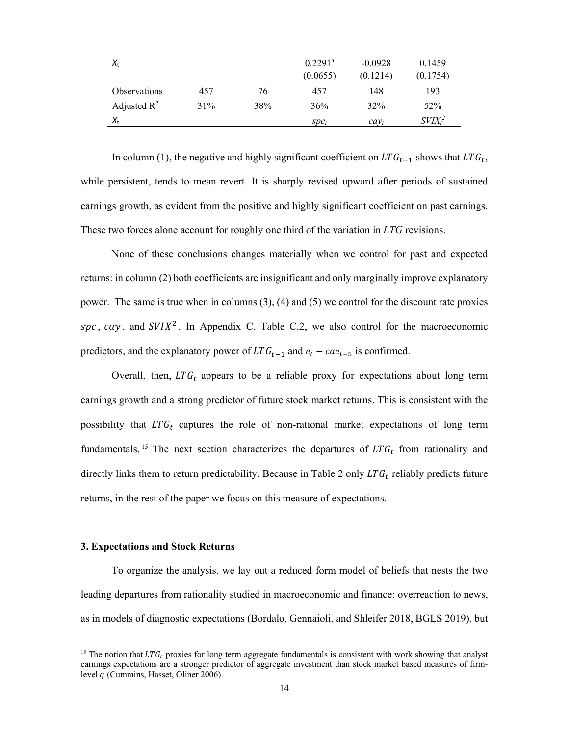| $X_{t}$                 |     |     | $0.2291^{\rm a}$ | $-0.0928$ | 0.1459     |
|-------------------------|-----|-----|------------------|-----------|------------|
|                         |     |     | (0.0655)         | (0.1214)  | (0.1754)   |
| <b>Observations</b>     | 457 | 76  | 457              | 148       | 193        |
| Adjusted $\mathbb{R}^2$ | 31% | 38% | 36%              | 32%       | 52%        |
| $X_{t}$                 |     |     | $SDC_t$          | $cav_t$   | $SVIX_t^2$ |

In column (1), the negative and highly significant coefficient on  $LTG_{t-1}$  shows that  $LTG_t$ , while persistent, tends to mean revert. It is sharply revised upward after periods of sustained earnings growth, as evident from the positive and highly significant coefficient on past earnings. These two forces alone account for roughly one third of the variation in *LTG* revisions.

None of these conclusions changes materially when we control for past and expected returns: in column (2) both coefficients are insignificant and only marginally improve explanatory power. The same is true when in columns (3), (4) and (5) we control for the discount rate proxies spc, cay, and  $SVIX^2$ . In Appendix C, Table C.2, we also control for the macroeconomic predictors, and the explanatory power of  $LTG_{t-1}$  and  $e_t - cae_{t-5}$  is confirmed.

Overall, then,  $LTG_t$  appears to be a reliable proxy for expectations about long term earnings growth and a strong predictor of future stock market returns. This is consistent with the possibility that  $LTG_t$  captures the role of non-rational market expectations of long term fundamentals.<sup>15</sup> The next section characterizes the departures of  $LTG_t$  from rationality and directly links them to return predictability. Because in Table 2 only  $LTG_t$  reliably predicts future returns, in the rest of the paper we focus on this measure of expectations.

# **3. Expectations and Stock Returns**

 $\overline{a}$ 

To organize the analysis, we lay out a reduced form model of beliefs that nests the two leading departures from rationality studied in macroeconomic and finance: overreaction to news, as in models of diagnostic expectations (Bordalo, Gennaioli, and Shleifer 2018, BGLS 2019), but

<sup>&</sup>lt;sup>15</sup> The notion that  $LTG_t$  proxies for long term aggregate fundamentals is consistent with work showing that analyst earnings expectations are a stronger predictor of aggregate investment than stock market based measures of firmlevel q (Cummins, Hasset, Oliner 2006).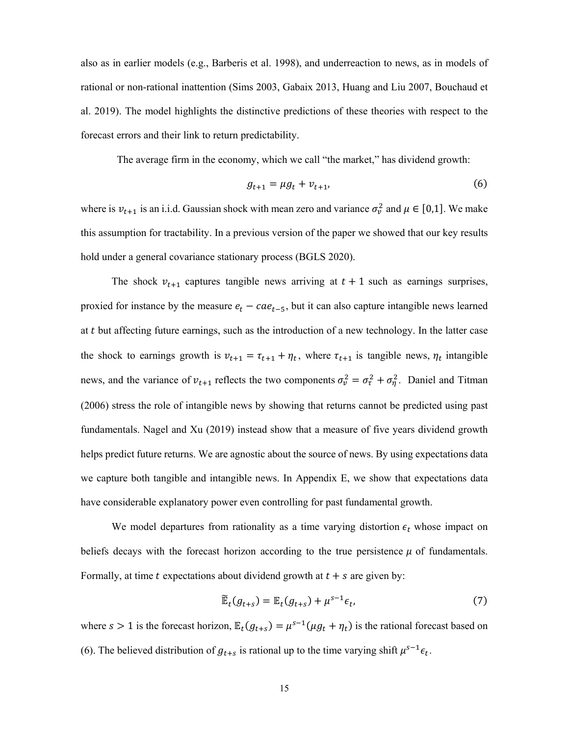also as in earlier models (e.g., Barberis et al. 1998), and underreaction to news, as in models of rational or non-rational inattention (Sims 2003, Gabaix 2013, Huang and Liu 2007, Bouchaud et al. 2019). The model highlights the distinctive predictions of these theories with respect to the forecast errors and their link to return predictability.

The average firm in the economy, which we call "the market," has dividend growth:

$$
g_{t+1} = \mu g_t + v_{t+1}, \tag{6}
$$

where is  $v_{t+1}$  is an i.i.d. Gaussian shock with mean zero and variance  $\sigma_v^2$  and  $\mu \in [0,1]$ . We make this assumption for tractability. In a previous version of the paper we showed that our key results hold under a general covariance stationary process (BGLS 2020).

The shock  $v_{t+1}$  captures tangible news arriving at  $t + 1$  such as earnings surprises, proxied for instance by the measure  $e_t - cae_{t-5}$ , but it can also capture intangible news learned at t but affecting future earnings, such as the introduction of a new technology. In the latter case the shock to earnings growth is  $v_{t+1} = \tau_{t+1} + \eta_t$ , where  $\tau_{t+1}$  is tangible news,  $\eta_t$  intangible news, and the variance of  $v_{t+1}$  reflects the two components  $\sigma_v^2 = \sigma_\tau^2 + \sigma_\eta^2$ . Daniel and Titman (2006) stress the role of intangible news by showing that returns cannot be predicted using past fundamentals. Nagel and Xu (2019) instead show that a measure of five years dividend growth helps predict future returns. We are agnostic about the source of news. By using expectations data we capture both tangible and intangible news. In Appendix E, we show that expectations data have considerable explanatory power even controlling for past fundamental growth.

We model departures from rationality as a time varying distortion  $\epsilon_t$  whose impact on beliefs decays with the forecast horizon according to the true persistence  $\mu$  of fundamentals. Formally, at time t expectations about dividend growth at  $t + s$  are given by:

$$
\widetilde{\mathbb{E}}_t(g_{t+s}) = \mathbb{E}_t(g_{t+s}) + \mu^{s-1} \epsilon_t, \tag{7}
$$

where  $s > 1$  is the forecast horizon,  $\mathbb{E}_t(g_{t+s}) = \mu^{s-1}(\mu g_t + \eta_t)$  is the rational forecast based on (6). The believed distribution of  $g_{t+s}$  is rational up to the time varying shift  $\mu^{s-1} \epsilon_t$ .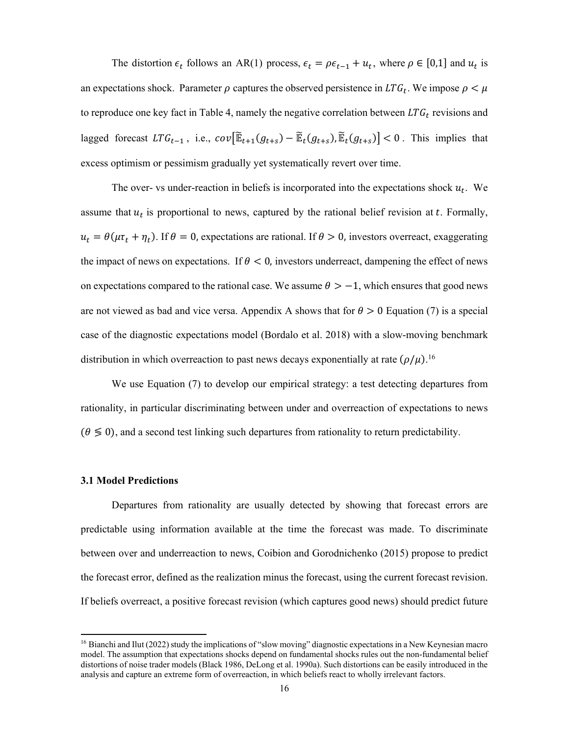The distortion  $\epsilon_t$  follows an AR(1) process,  $\epsilon_t = \rho \epsilon_{t-1} + u_t$ , where  $\rho \in [0,1]$  and  $u_t$  is an expectations shock. Parameter  $\rho$  captures the observed persistence in  $LTG_t$ . We impose  $\rho < \mu$ to reproduce one key fact in Table 4, namely the negative correlation between  $LTG_t$  revisions and lagged forecast  $LTG_{t-1}$ , i.e.,  $cov[\tilde{\mathbb{E}}_{t+1}(g_{t+s}) - \tilde{\mathbb{E}}_t(g_{t+s}), \tilde{\mathbb{E}}_t(g_{t+s})] < 0$ . This implies that excess optimism or pessimism gradually yet systematically revert over time.

The over- vs under-reaction in beliefs is incorporated into the expectations shock  $u_t$ . We assume that  $u_t$  is proportional to news, captured by the rational belief revision at  $t$ . Formally,  $u_t = \theta(\mu \tau_t + \eta_t)$ . If  $\theta = 0$ , expectations are rational. If  $\theta > 0$ , investors overreact, exaggerating the impact of news on expectations. If  $\theta$  < 0, investors underreact, dampening the effect of news on expectations compared to the rational case. We assume  $\theta > -1$ , which ensures that good news are not viewed as bad and vice versa. Appendix A shows that for  $\theta > 0$  Equation (7) is a special case of the diagnostic expectations model (Bordalo et al. 2018) with a slow-moving benchmark distribution in which overreaction to past news decays exponentially at rate  $(\rho/\mu)$ .<sup>16</sup>

We use Equation (7) to develop our empirical strategy: a test detecting departures from rationality, in particular discriminating between under and overreaction of expectations to news  $(0 \le 0)$ , and a second test linking such departures from rationality to return predictability.

#### **3.1 Model Predictions**

 $\overline{a}$ 

Departures from rationality are usually detected by showing that forecast errors are predictable using information available at the time the forecast was made. To discriminate between over and underreaction to news, Coibion and Gorodnichenko (2015) propose to predict the forecast error, defined as the realization minus the forecast, using the current forecast revision. If beliefs overreact, a positive forecast revision (which captures good news) should predict future

<sup>&</sup>lt;sup>16</sup> Bianchi and Ilut (2022) study the implications of "slow moving" diagnostic expectations in a New Keynesian macro model. The assumption that expectations shocks depend on fundamental shocks rules out the non-fundamental belief distortions of noise trader models (Black 1986, DeLong et al. 1990a). Such distortions can be easily introduced in the analysis and capture an extreme form of overreaction, in which beliefs react to wholly irrelevant factors.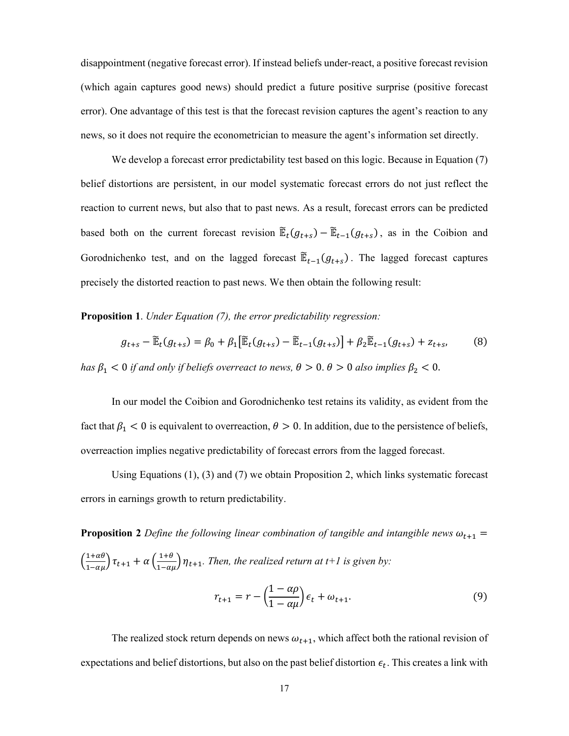disappointment (negative forecast error). If instead beliefs under-react, a positive forecast revision (which again captures good news) should predict a future positive surprise (positive forecast error). One advantage of this test is that the forecast revision captures the agent's reaction to any news, so it does not require the econometrician to measure the agent's information set directly.

We develop a forecast error predictability test based on this logic. Because in Equation (7) belief distortions are persistent, in our model systematic forecast errors do not just reflect the reaction to current news, but also that to past news. As a result, forecast errors can be predicted based both on the current forecast revision  $\widetilde{\mathbb{E}}_t(g_{t+s}) - \widetilde{\mathbb{E}}_{t-1}(g_{t+s})$ , as in the Coibion and Gorodnichenko test, and on the lagged forecast  $\mathbb{E}_{t-1}(g_{t+s})$ . The lagged forecast captures precisely the distorted reaction to past news. We then obtain the following result:

**Proposition 1**. *Under Equation (7), the error predictability regression:*

$$
g_{t+s} - \widetilde{\mathbb{E}}_t(g_{t+s}) = \beta_0 + \beta_1 [\widetilde{\mathbb{E}}_t(g_{t+s}) - \widetilde{\mathbb{E}}_{t-1}(g_{t+s})] + \beta_2 \widetilde{\mathbb{E}}_{t-1}(g_{t+s}) + z_{t+s},
$$
(8)

*has*  $\beta_1$  < 0 *if and only if beliefs overreact to news,*  $\theta > 0$ .  $\theta > 0$  *also implies*  $\beta_2$  < 0.

In our model the Coibion and Gorodnichenko test retains its validity, as evident from the fact that  $\beta_1 < 0$  is equivalent to overreaction,  $\theta > 0$ . In addition, due to the persistence of beliefs, overreaction implies negative predictability of forecast errors from the lagged forecast.

Using Equations (1), (3) and (7) we obtain Proposition 2, which links systematic forecast errors in earnings growth to return predictability.

**Proposition 2** *Define the following linear combination of tangible and intangible news*  $\omega_{t+1}$  =  $\left(\frac{1+\alpha\theta}{1-\alpha\mu}\right)\tau_{t+1} + \alpha\left(\frac{1+\theta}{1-\alpha\mu}\right)\eta_{t+1}$ . Then, the realized return at t+1 is given by:

$$
r_{t+1} = r - \left(\frac{1 - \alpha \rho}{1 - \alpha \mu}\right) \epsilon_t + \omega_{t+1}.
$$
\n(9)

The realized stock return depends on news  $\omega_{t+1}$ , which affect both the rational revision of expectations and belief distortions, but also on the past belief distortion  $\epsilon_t$ . This creates a link with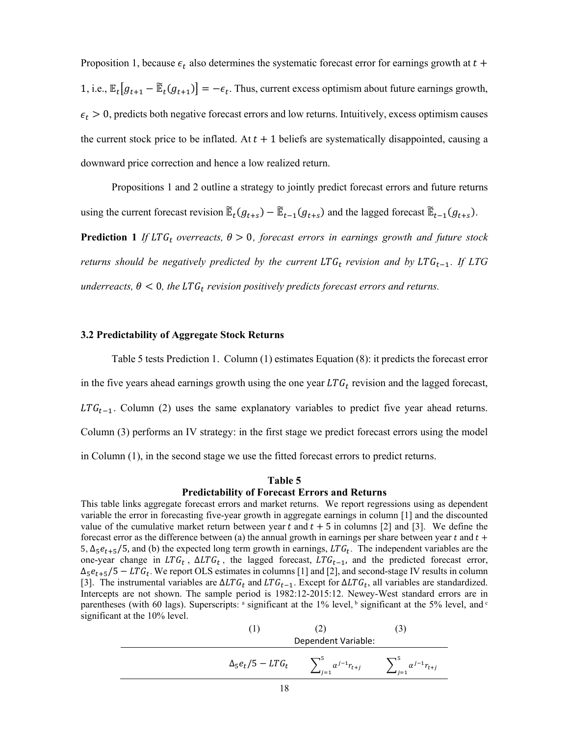Proposition 1, because  $\epsilon_t$  also determines the systematic forecast error for earnings growth at  $t +$ 1, i.e.,  $\mathbb{E}_t[g_{t+1} - \widetilde{\mathbb{E}}_t(g_{t+1})] = -\epsilon_t$ . Thus, current excess optimism about future earnings growth,  $\epsilon_t > 0$ , predicts both negative forecast errors and low returns. Intuitively, excess optimism causes the current stock price to be inflated. At  $t + 1$  beliefs are systematically disappointed, causing a downward price correction and hence a low realized return.

Propositions 1 and 2 outline a strategy to jointly predict forecast errors and future returns using the current forecast revision  $\mathbb{E}_t(g_{t+s}) - \mathbb{E}_{t-1}(g_{t+s})$  and the lagged forecast  $\mathbb{E}_{t-1}(g_{t+s})$ . **Prediction 1** *If*  $LTG_t$  *overreacts,*  $\theta > 0$ *, forecast errors in earnings growth and future stock returns should be negatively predicted by the current*  $LTG_t$  *revision and by*  $LTG_{t-1}$ *. If LTG underreacts,*  $\theta$  < 0*, the LTG<sub>t</sub> revision positively predicts forecast errors and returns.* 

# **3.2 Predictability of Aggregate Stock Returns**

Table 5 tests Prediction 1. Column (1) estimates Equation (8): it predicts the forecast error in the five years ahead earnings growth using the one year  $LTG_t$  revision and the lagged forecast,  $LTG_{t-1}$ . Column (2) uses the same explanatory variables to predict five year ahead returns. Column (3) performs an IV strategy: in the first stage we predict forecast errors using the model in Column (1), in the second stage we use the fitted forecast errors to predict returns.

# **Table 5**

### **Predictability of Forecast Errors and Returns**

This table links aggregate forecast errors and market returns. We report regressions using as dependent variable the error in forecasting five-year growth in aggregate earnings in column [1] and the discounted value of the cumulative market return between year  $t$  and  $t + 5$  in columns [2] and [3]. We define the forecast error as the difference between (a) the annual growth in earnings per share between year  $t$  and  $t$  + 5,  $\Delta_5 e_{t+5}/5$ , and (b) the expected long term growth in earnings, LTG<sub>t</sub>. The independent variables are the one-year change in  $LTG_t$ ,  $\Delta LTG_t$ , the lagged forecast,  $LTG_{t-1}$ , and the predicted forecast error,  $\Delta_5 e_{t+5}/5 - LTG_t$ . We report OLS estimates in columns [1] and [2], and second-stage IV results in column [3]. The instrumental variables are  $\Delta LTG_t$  and  $LTG_{t-1}$ . Except for  $\Delta LTG_t$ , all variables are standardized. Intercepts are not shown. The sample period is 1982:12-2015:12. Newey-West standard errors are in parentheses (with 60 lags). Superscripts: <sup>a</sup> significant at the 1% level, <sup>b</sup> significant at the 5% level, and <sup>c</sup> significant at the 10% level.

(1) (2) (3)  
\nDependent Variable:  
\n
$$
\Delta_5 e_t / 5 - LTG_t \sum_{j=1}^5 \alpha^{j-1} r_{t+j} \sum_{j=1}^5 \alpha^{j-1} r_{t+j}
$$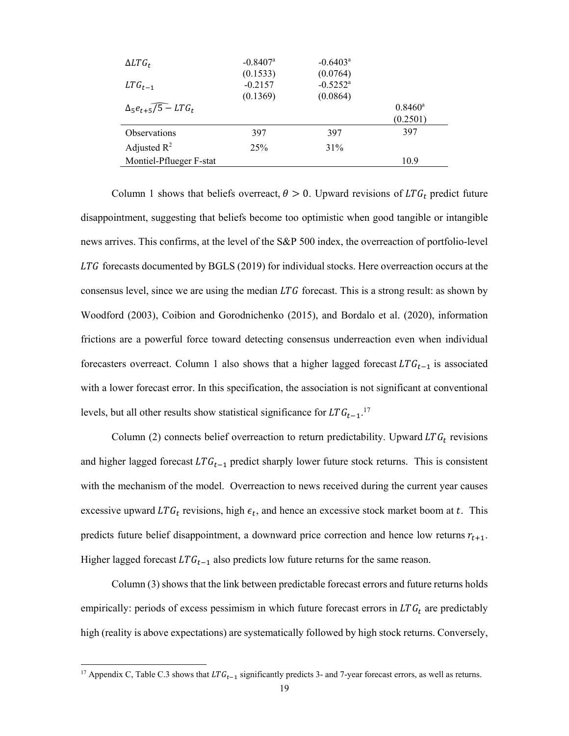| $\Delta LTG_t$                                   | $-0.8407$ <sup>a</sup><br>(0.1533) | $-0.6403^{\circ}$<br>(0.0764) |                  |
|--------------------------------------------------|------------------------------------|-------------------------------|------------------|
| $LTG_{t-1}$                                      | $-0.2157$                          | $-0.5252$ <sup>a</sup>        |                  |
|                                                  | (0.1369)                           | (0.0864)                      |                  |
| $\Delta_5 e_{t+5}$ $\sqrt{5}$ – LTG <sub>t</sub> |                                    |                               | $0.8460^{\rm a}$ |
|                                                  |                                    |                               | (0.2501)         |
| <b>Observations</b>                              | 397                                | 397                           | 397              |
| Adjusted $R^2$                                   | 25%                                | 31%                           |                  |
| Montiel-Pflueger F-stat                          |                                    |                               | 10.9             |

Column 1 shows that beliefs overreact,  $\theta > 0$ . Upward revisions of LTG<sub>t</sub> predict future disappointment, suggesting that beliefs become too optimistic when good tangible or intangible news arrives. This confirms, at the level of the S&P 500 index, the overreaction of portfolio-level  $LTG$  forecasts documented by BGLS (2019) for individual stocks. Here overreaction occurs at the consensus level, since we are using the median  $LTG$  forecast. This is a strong result: as shown by Woodford (2003), Coibion and Gorodnichenko (2015), and Bordalo et al. (2020), information frictions are a powerful force toward detecting consensus underreaction even when individual forecasters overreact. Column 1 also shows that a higher lagged forecast  $LTG_{t-1}$  is associated with a lower forecast error. In this specification, the association is not significant at conventional levels, but all other results show statistical significance for  $LTG_{t-1}$ .<sup>17</sup>

Column (2) connects belief overreaction to return predictability. Upward  $LTG_t$  revisions and higher lagged forecast  $LTG_{t-1}$  predict sharply lower future stock returns. This is consistent with the mechanism of the model. Overreaction to news received during the current year causes excessive upward LTG<sub>t</sub> revisions, high  $\epsilon_t$ , and hence an excessive stock market boom at t. This predicts future belief disappointment, a downward price correction and hence low returns  $r_{t+1}$ . Higher lagged forecast  $LTG_{t-1}$  also predicts low future returns for the same reason.

Column (3) shows that the link between predictable forecast errors and future returns holds empirically: periods of excess pessimism in which future forecast errors in  $LTG_t$  are predictably high (reality is above expectations) are systematically followed by high stock returns. Conversely,

<sup>&</sup>lt;sup>17</sup> Appendix C, Table C.3 shows that  $LTG_{t-1}$  significantly predicts 3- and 7-year forecast errors, as well as returns.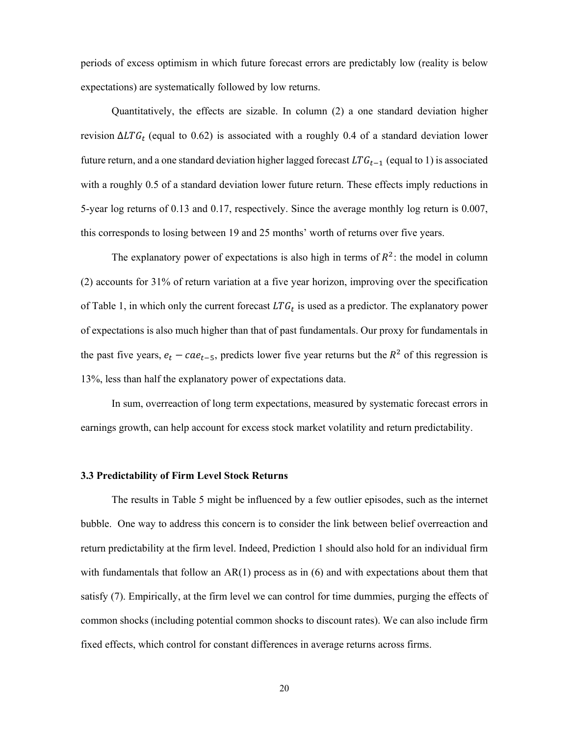periods of excess optimism in which future forecast errors are predictably low (reality is below expectations) are systematically followed by low returns.

Quantitatively, the effects are sizable. In column (2) a one standard deviation higher revision  $\Delta LTG_t$  (equal to 0.62) is associated with a roughly 0.4 of a standard deviation lower future return, and a one standard deviation higher lagged forecast  $LTG_{t-1}$  (equal to 1) is associated with a roughly 0.5 of a standard deviation lower future return. These effects imply reductions in 5-year log returns of 0.13 and 0.17, respectively. Since the average monthly log return is 0.007, this corresponds to losing between 19 and 25 months' worth of returns over five years.

The explanatory power of expectations is also high in terms of  $R^2$ : the model in column (2) accounts for 31% of return variation at a five year horizon, improving over the specification of Table 1, in which only the current forecast  $LTG_t$  is used as a predictor. The explanatory power of expectations is also much higher than that of past fundamentals. Our proxy for fundamentals in the past five years,  $e_t - cae_{t-5}$ , predicts lower five year returns but the  $R^2$  of this regression is 13%, less than half the explanatory power of expectations data.

In sum, overreaction of long term expectations, measured by systematic forecast errors in earnings growth, can help account for excess stock market volatility and return predictability.

# **3.3 Predictability of Firm Level Stock Returns**

The results in Table 5 might be influenced by a few outlier episodes, such as the internet bubble. One way to address this concern is to consider the link between belief overreaction and return predictability at the firm level. Indeed, Prediction 1 should also hold for an individual firm with fundamentals that follow an AR(1) process as in (6) and with expectations about them that satisfy (7). Empirically, at the firm level we can control for time dummies, purging the effects of common shocks (including potential common shocks to discount rates). We can also include firm fixed effects, which control for constant differences in average returns across firms.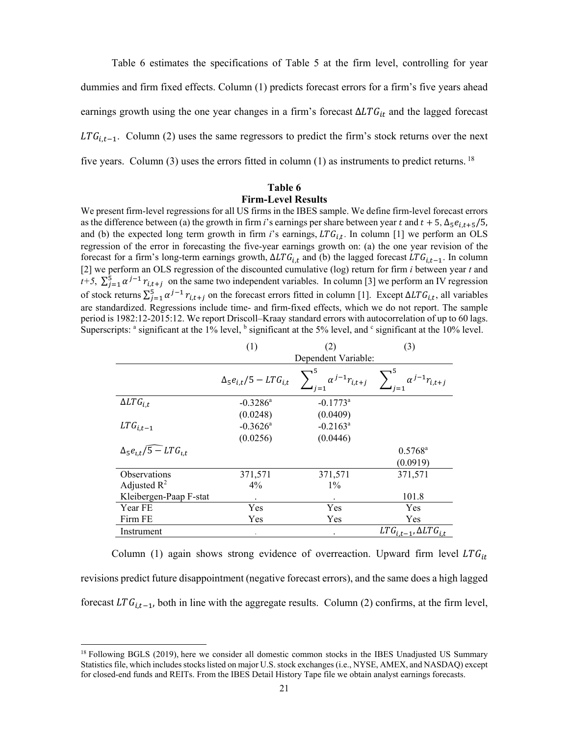Table 6 estimates the specifications of Table 5 at the firm level, controlling for year dummies and firm fixed effects. Column (1) predicts forecast errors for a firm's five years ahead earnings growth using the one year changes in a firm's forecast  $\Delta LTG_{it}$  and the lagged forecast  $LTG_{i,t-1}$ . Column (2) uses the same regressors to predict the firm's stock returns over the next five years. Column (3) uses the errors fitted in column (1) as instruments to predict returns. 18

# **Table 6 Firm-Level Results**

We present firm-level regressions for all US firms in the IBES sample. We define firm-level forecast errors as the difference between (a) the growth in firm *i*'s earnings per share between year t and  $t + 5$ ,  $\Delta_5 e_{i,t+5}/5$ , and (b) the expected long term growth in firm  $i$ 's earnings,  $LTG_{i,t}$ . In column [1] we perform an OLS regression of the error in forecasting the five-year earnings growth on: (a) the one year revision of the forecast for a firm's long-term earnings growth,  $\Delta LTG_{i,t}$  and (b) the lagged forecast  $LTG_{i,t-1}$ . In column [2] we perform an OLS regression of the discounted cumulative (log) return for firm *i* between year *t* and *t+5*,  $\sum_{i=1}^{5} \alpha^{i-1} r_{i,t+i}$  on the same two independent variables. In column [3] we perform an IV regression of stock returns  $\sum_{j=1}^{5} \alpha^{j-1} r_{i,t+j}$  on the forecast errors fitted in column [1]. Except  $\Delta LTG_{i,t}$ , all variables are standardized. Regressions include time- and firm-fixed effects, which we do not report. The sample period is 1982:12-2015:12. We report Driscoll–Kraay standard errors with autocorrelation of up to 60 lags. Superscripts:  $a$  significant at the 1% level,  $b$  significant at the 5% level, and  $c$  significant at the 10% level.

|                                       | (1)                              | (2)                     | (3)                                |
|---------------------------------------|----------------------------------|-------------------------|------------------------------------|
|                                       |                                  | Dependent Variable:     |                                    |
|                                       | $\Delta_5 e_{i,t}/5 - LTG_{i,t}$ | $\alpha^{j-1}r_{i,t+j}$ | $1^{-1}r_{i,t+j}$                  |
| $\Delta LTG_{i.t}$                    | $-0.3286^{\circ}$                | $-0.1773$ <sup>a</sup>  |                                    |
|                                       | (0.0248)                         | (0.0409)                |                                    |
| $LTG_{i,t-1}$                         | $-0.3626^{\circ}$                | $-0.2163^{\text{a}}$    |                                    |
|                                       | (0.0256)                         | (0.0446)                |                                    |
| $\Delta_5 e_{i,t}/\sqrt{5-LT}G_{i,t}$ |                                  |                         | $0.5768^{\rm a}$                   |
|                                       |                                  |                         | (0.0919)                           |
| <b>Observations</b>                   | 371,571                          | 371,571                 | 371,571                            |
| Adjusted $R^2$                        | $4\%$                            | $1\%$                   |                                    |
| Kleibergen-Paap F-stat                |                                  | $\bullet$               | 101.8                              |
| Year FE                               | Yes                              | Yes                     | Yes                                |
| Firm FE                               | Yes                              | Yes                     | Yes                                |
| Instrument                            | ٠                                | $\bullet$               | $LTG_{i,t-1}$ , $\Delta LTG_{i,t}$ |

Column (1) again shows strong evidence of overreaction. Upward firm level  $LTG_{it}$ revisions predict future disappointment (negative forecast errors), and the same does a high lagged forecast  $LTG_{i,t-1}$ , both in line with the aggregate results. Column (2) confirms, at the firm level,

<sup>&</sup>lt;sup>18</sup> Following BGLS (2019), here we consider all domestic common stocks in the IBES Unadjusted US Summary Statistics file, which includes stocks listed on major U.S. stock exchanges (i.e., NYSE, AMEX, and NASDAQ) except for closed-end funds and REITs. From the IBES Detail History Tape file we obtain analyst earnings forecasts.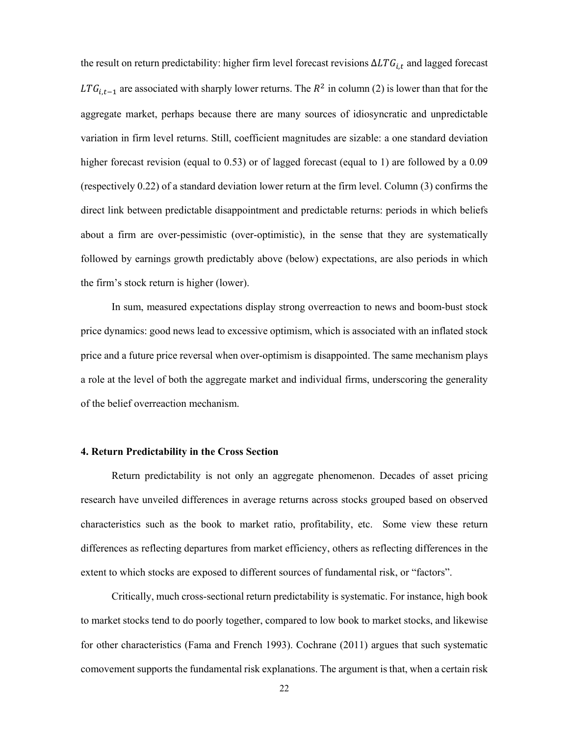the result on return predictability: higher firm level forecast revisions  $\Delta LTG_{i,t}$  and lagged forecast LTG<sub>it-1</sub> are associated with sharply lower returns. The  $R^2$  in column (2) is lower than that for the aggregate market, perhaps because there are many sources of idiosyncratic and unpredictable variation in firm level returns. Still, coefficient magnitudes are sizable: a one standard deviation higher forecast revision (equal to 0.53) or of lagged forecast (equal to 1) are followed by a 0.09 (respectively 0.22) of a standard deviation lower return at the firm level. Column (3) confirms the direct link between predictable disappointment and predictable returns: periods in which beliefs about a firm are over-pessimistic (over-optimistic), in the sense that they are systematically followed by earnings growth predictably above (below) expectations, are also periods in which the firm's stock return is higher (lower).

In sum, measured expectations display strong overreaction to news and boom-bust stock price dynamics: good news lead to excessive optimism, which is associated with an inflated stock price and a future price reversal when over-optimism is disappointed. The same mechanism plays a role at the level of both the aggregate market and individual firms, underscoring the generality of the belief overreaction mechanism.

### **4. Return Predictability in the Cross Section**

Return predictability is not only an aggregate phenomenon. Decades of asset pricing research have unveiled differences in average returns across stocks grouped based on observed characteristics such as the book to market ratio, profitability, etc. Some view these return differences as reflecting departures from market efficiency, others as reflecting differences in the extent to which stocks are exposed to different sources of fundamental risk, or "factors".

Critically, much cross-sectional return predictability is systematic. For instance, high book to market stocks tend to do poorly together, compared to low book to market stocks, and likewise for other characteristics (Fama and French 1993). Cochrane (2011) argues that such systematic comovement supports the fundamental risk explanations. The argument is that, when a certain risk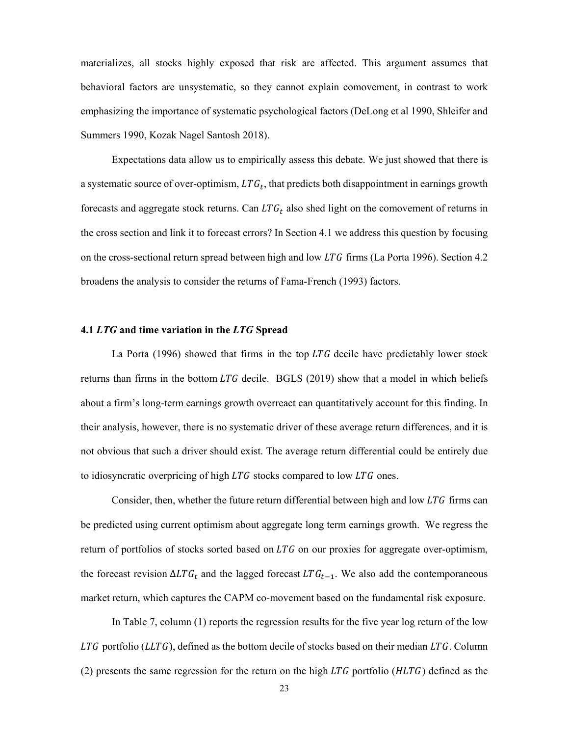materializes, all stocks highly exposed that risk are affected. This argument assumes that behavioral factors are unsystematic, so they cannot explain comovement, in contrast to work emphasizing the importance of systematic psychological factors (DeLong et al 1990, Shleifer and Summers 1990, Kozak Nagel Santosh 2018).

Expectations data allow us to empirically assess this debate. We just showed that there is a systematic source of over-optimism,  $LTG_t$ , that predicts both disappointment in earnings growth forecasts and aggregate stock returns. Can  $LTG_t$  also shed light on the comovement of returns in the cross section and link it to forecast errors? In Section 4.1 we address this question by focusing on the cross-sectional return spread between high and low  $LTG$  firms (La Porta 1996). Section 4.2 broadens the analysis to consider the returns of Fama-French (1993) factors.

# **4.1** *LTG* **and time variation in the** *LTG* **Spread**

La Porta  $(1996)$  showed that firms in the top LTG decile have predictably lower stock returns than firms in the bottom  $LTG$  decile. BGLS (2019) show that a model in which beliefs about a firm's long-term earnings growth overreact can quantitatively account for this finding. In their analysis, however, there is no systematic driver of these average return differences, and it is not obvious that such a driver should exist. The average return differential could be entirely due to idiosyncratic overpricing of high  $LTG$  stocks compared to low  $LTG$  ones.

Consider, then, whether the future return differential between high and low  $LTG$  firms can be predicted using current optimism about aggregate long term earnings growth. We regress the return of portfolios of stocks sorted based on  $LTG$  on our proxies for aggregate over-optimism, the forecast revision  $\Delta LTG_t$  and the lagged forecast  $LTG_{t-1}$ . We also add the contemporaneous market return, which captures the CAPM co-movement based on the fundamental risk exposure.

In Table 7, column (1) reports the regression results for the five year log return of the low LTG portfolio (LLTG), defined as the bottom decile of stocks based on their median LTG. Column (2) presents the same regression for the return on the high  $LTG$  portfolio ( $HLTG$ ) defined as the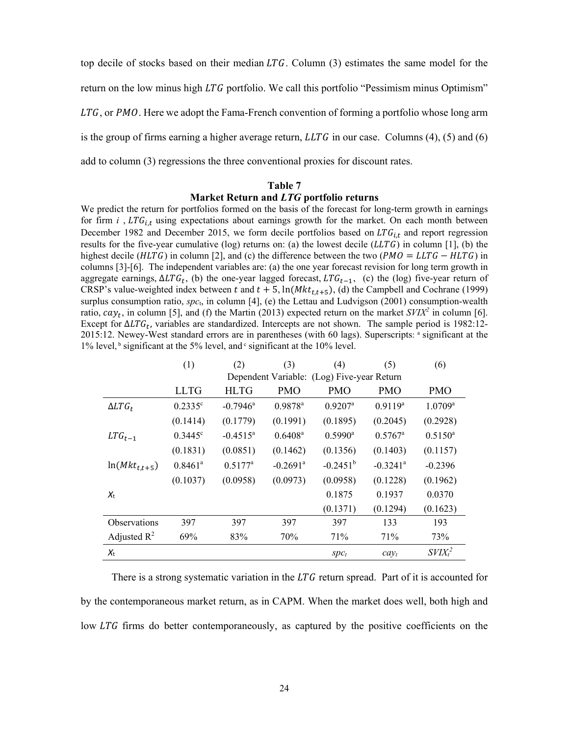top decile of stocks based on their median  $LTG$ . Column (3) estimates the same model for the return on the low minus high  $LTG$  portfolio. We call this portfolio "Pessimism minus Optimism"  $LTG$ , or  $PMO$ . Here we adopt the Fama-French convention of forming a portfolio whose long arm is the group of firms earning a higher average return,  $LLTG$  in our case. Columns (4), (5) and (6) add to column (3) regressions the three conventional proxies for discount rates.

#### **Table 7**

# **Market Return and** *LTG* **portfolio returns**

We predict the return for portfolios formed on the basis of the forecast for long-term growth in earnings for firm *i*,  $LTG_{i,t}$  using expectations about earnings growth for the market. On each month between December 1982 and December 2015, we form decile portfolios based on  $LTG_{i,t}$  and report regression results for the five-year cumulative (log) returns on: (a) the lowest decile  $(LLTG)$  in column [1], (b) the highest decile ( $HLTG$ ) in column [2], and (c) the difference between the two ( $PMO = LLTG - HLTG$ ) in columns [3]-[6]. The independent variables are: (a) the one year forecast revision for long term growth in aggregate earnings,  $\Delta LTG_t$ , (b) the one-year lagged forecast,  $LTG_{t-1}$ , (c) the (log) five-year return of CRSP's value-weighted index between t and  $t + 5$ ,  $\ln(Mkt_{t,t+5})$ , (d) the Campbell and Cochrane (1999) surplus consumption ratio, *spc*t, in column [4], (e) the Lettau and Ludvigson (2001) consumption-wealth ratio,  $cay_t$ , in column [5], and (f) the Martin (2013) expected return on the market  $SVIX^2$  in column [6]. Except for  $\Delta LTG_t$ , variables are standardized. Intercepts are not shown. The sample period is 1982:12-2015:12. Newey-West standard errors are in parentheses (with 60 lags). Superscripts: a significant at the 1% level, b significant at the 5% level, and  $\circ$  significant at the 10% level.

|                     | (1)              | (2)                                        | (3)                    | (4)                   | (5)                    | (6)                            |  |  |
|---------------------|------------------|--------------------------------------------|------------------------|-----------------------|------------------------|--------------------------------|--|--|
|                     |                  | Dependent Variable: (Log) Five-year Return |                        |                       |                        |                                |  |  |
|                     | <b>LLTG</b>      | <b>HLTG</b>                                | <b>PMO</b>             | <b>PMO</b>            | <b>PMO</b>             | <b>PMO</b>                     |  |  |
| $\Delta LTG_t$      | $0.2335^{\circ}$ | $-0.7946$ <sup>a</sup>                     | $0.9878$ <sup>a</sup>  | $0.9207$ <sup>a</sup> | $0.9119^a$             | $1.0709$ <sup>a</sup>          |  |  |
|                     | (0.1414)         | (0.1779)                                   | (0.1991)               | (0.1895)              | (0.2045)               | (0.2928)                       |  |  |
| $LTG_{t-1}$         | $0.3445^{\circ}$ | $-0.4515^a$                                | $0.6408^{\rm a}$       | $0.5990^{\text{a}}$   | $0.5767$ <sup>a</sup>  | $0.5150^a$                     |  |  |
|                     | (0.1831)         | (0.0851)                                   | (0.1462)               | (0.1356)              | (0.1403)               | (0.1157)                       |  |  |
| $ln(Mkt_{t,t+5})$   | $0.8461^a$       | $0.5177^a$                                 | $-0.2691$ <sup>a</sup> | $-0.2451^{\rm b}$     | $-0.3241$ <sup>a</sup> | $-0.2396$                      |  |  |
|                     | (0.1037)         | (0.0958)                                   | (0.0973)               | (0.0958)              | (0.1228)               | (0.1962)                       |  |  |
| $X_{t}$             |                  |                                            |                        | 0.1875                | 0.1937                 | 0.0370                         |  |  |
|                     |                  |                                            |                        | (0.1371)              | (0.1294)               | (0.1623)                       |  |  |
| <b>Observations</b> | 397              | 397                                        | 397                    | 397                   | 133                    | 193                            |  |  |
| Adjusted $R^2$      | 69%              | 83%                                        | 70%                    | 71%                   | 71%                    | 73%                            |  |  |
| $X_{t}$             |                  |                                            |                        | $Spc_t$               | $cay_t$                | SVIX <sub>t</sub> <sup>2</sup> |  |  |

There is a strong systematic variation in the  $LTG$  return spread. Part of it is accounted for by the contemporaneous market return, as in CAPM. When the market does well, both high and low LTG firms do better contemporaneously, as captured by the positive coefficients on the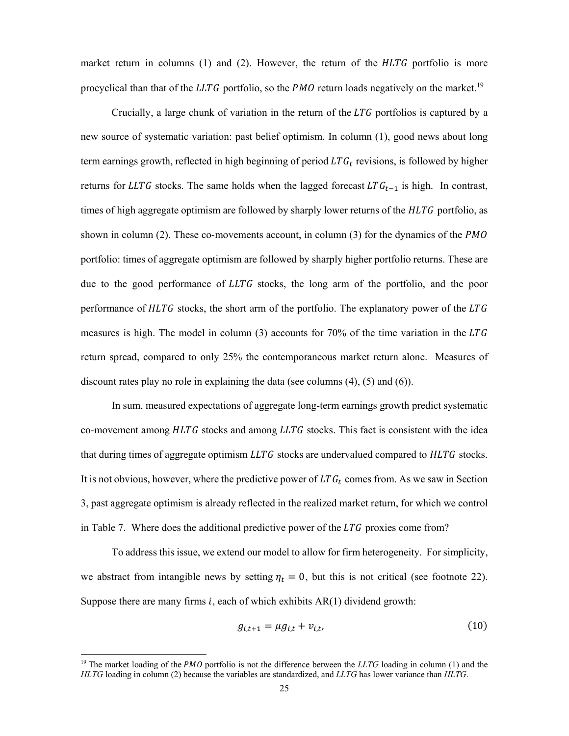market return in columns  $(1)$  and  $(2)$ . However, the return of the  $HLTG$  portfolio is more procyclical than that of the LLTG portfolio, so the  $PMO$  return loads negatively on the market.<sup>19</sup>

Crucially, a large chunk of variation in the return of the  $LTG$  portfolios is captured by a new source of systematic variation: past belief optimism. In column (1), good news about long term earnings growth, reflected in high beginning of period  $LTG_t$  revisions, is followed by higher returns for LLTG stocks. The same holds when the lagged forecast  $LTG_{t-1}$  is high. In contrast, times of high aggregate optimism are followed by sharply lower returns of the  $HLTG$  portfolio, as shown in column (2). These co-movements account, in column (3) for the dynamics of the PMO portfolio: times of aggregate optimism are followed by sharply higher portfolio returns. These are due to the good performance of  $LLTG$  stocks, the long arm of the portfolio, and the poor performance of  $HLTG$  stocks, the short arm of the portfolio. The explanatory power of the  $LTG$ measures is high. The model in column  $(3)$  accounts for 70% of the time variation in the LTG return spread, compared to only 25% the contemporaneous market return alone. Measures of discount rates play no role in explaining the data (see columns (4), (5) and (6)).

In sum, measured expectations of aggregate long-term earnings growth predict systematic co-movement among  $HLTG$  stocks and among  $LLTG$  stocks. This fact is consistent with the idea that during times of aggregate optimism  $LLTG$  stocks are undervalued compared to  $HLTG$  stocks. It is not obvious, however, where the predictive power of  $LTG_t$  comes from. As we saw in Section 3, past aggregate optimism is already reflected in the realized market return, for which we control in Table 7. Where does the additional predictive power of the  $LTG$  proxies come from?

To address this issue, we extend our model to allow for firm heterogeneity. For simplicity, we abstract from intangible news by setting  $\eta_t = 0$ , but this is not critical (see footnote 22). Suppose there are many firms  $i$ , each of which exhibits  $AR(1)$  dividend growth:

$$
g_{i,t+1} = \mu g_{i,t} + v_{i,t},
$$
 (10)

<sup>&</sup>lt;sup>19</sup> The market loading of the *PMO* portfolio is not the difference between the *LLTG* loading in column (1) and the *HLTG* loading in column (2) because the variables are standardized, and *LLTG* has lower variance than *HLTG*.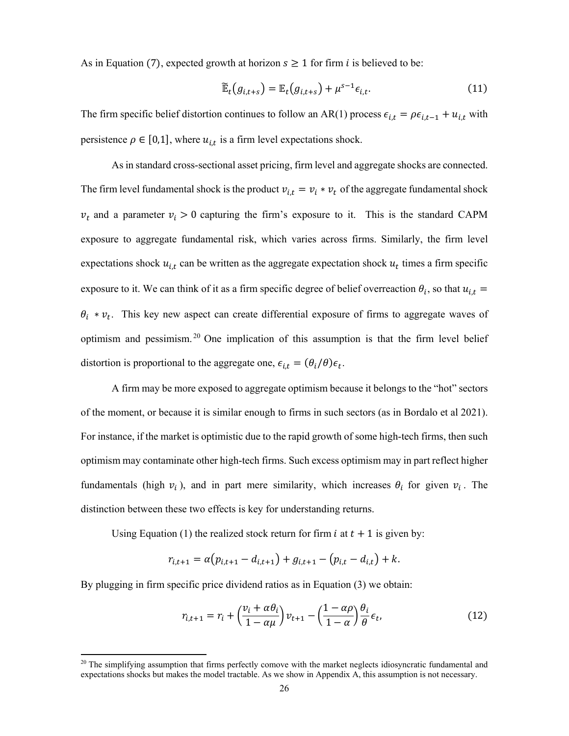As in Equation (7), expected growth at horizon  $s \ge 1$  for firm *i* is believed to be:

$$
\widetilde{\mathbb{E}}_t(g_{i,t+s}) = \mathbb{E}_t(g_{i,t+s}) + \mu^{s-1} \epsilon_{i,t}.
$$
\n(11)

The firm specific belief distortion continues to follow an AR(1) process  $\epsilon_{i,t} = \rho \epsilon_{i,t-1} + u_{i,t}$  with persistence  $\rho \in [0,1]$ , where  $u_{i,t}$  is a firm level expectations shock.

As in standard cross-sectional asset pricing, firm level and aggregate shocks are connected. The firm level fundamental shock is the product  $v_{i,t} = v_i * v_t$  of the aggregate fundamental shock  $v_t$  and a parameter  $v_i > 0$  capturing the firm's exposure to it. This is the standard CAPM exposure to aggregate fundamental risk, which varies across firms. Similarly, the firm level expectations shock  $u_{i,t}$  can be written as the aggregate expectation shock  $u_t$  times a firm specific exposure to it. We can think of it as a firm specific degree of belief overreaction  $\theta_i$ , so that  $u_{i,t}$  =  $\theta_i * v_t$ . This key new aspect can create differential exposure of firms to aggregate waves of optimism and pessimism. 20 One implication of this assumption is that the firm level belief distortion is proportional to the aggregate one,  $\epsilon_{i,t} = (\theta_i/\theta)\epsilon_t$ .

A firm may be more exposed to aggregate optimism because it belongs to the "hot" sectors of the moment, or because it is similar enough to firms in such sectors (as in Bordalo et al 2021). For instance, if the market is optimistic due to the rapid growth of some high-tech firms, then such optimism may contaminate other high-tech firms. Such excess optimism may in part reflect higher fundamentals (high  $v_i$ ), and in part mere similarity, which increases  $\theta_i$  for given  $v_i$ . The distinction between these two effects is key for understanding returns.

Using Equation (1) the realized stock return for firm *i* at  $t + 1$  is given by:

$$
r_{i,t+1} = \alpha (p_{i,t+1} - d_{i,t+1}) + g_{i,t+1} - (p_{i,t} - d_{i,t}) + k.
$$

By plugging in firm specific price dividend ratios as in Equation (3) we obtain:

$$
r_{i,t+1} = r_i + \left(\frac{v_i + \alpha \theta_i}{1 - \alpha \mu}\right) v_{t+1} - \left(\frac{1 - \alpha \rho}{1 - \alpha}\right) \frac{\theta_i}{\theta} \epsilon_t,
$$
\n(12)

 $20$  The simplifying assumption that firms perfectly comove with the market neglects idiosyncratic fundamental and expectations shocks but makes the model tractable. As we show in Appendix A, this assumption is not necessary.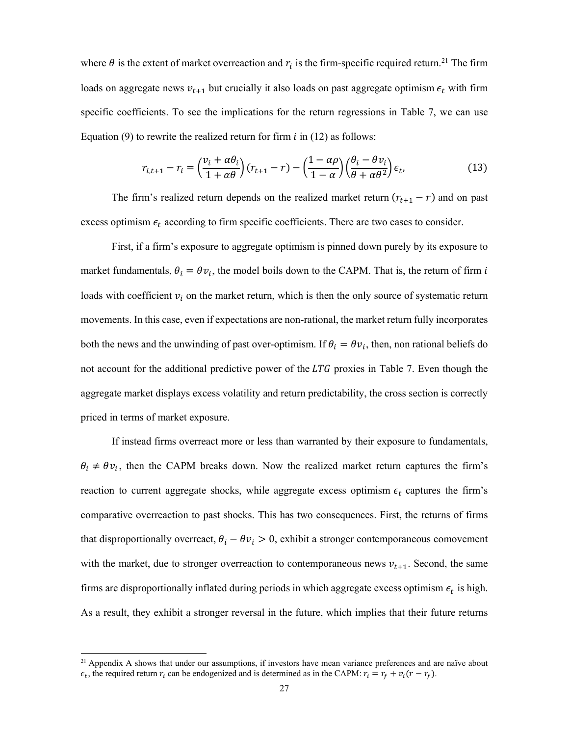where  $\theta$  is the extent of market overreaction and  $r_i$  is the firm-specific required return.<sup>21</sup> The firm loads on aggregate news  $v_{t+1}$  but crucially it also loads on past aggregate optimism  $\epsilon_t$  with firm specific coefficients. To see the implications for the return regressions in Table 7, we can use Equation (9) to rewrite the realized return for firm  $i$  in (12) as follows:

$$
r_{i,t+1} - r_i = \left(\frac{v_i + \alpha \theta_i}{1 + \alpha \theta}\right)(r_{t+1} - r) - \left(\frac{1 - \alpha \rho}{1 - \alpha}\right)\left(\frac{\theta_i - \theta v_i}{\theta + \alpha \theta^2}\right)\epsilon_t,
$$
(13)

The firm's realized return depends on the realized market return  $(r_{t+1} - r)$  and on past excess optimism  $\epsilon_t$  according to firm specific coefficients. There are two cases to consider.

First, if a firm's exposure to aggregate optimism is pinned down purely by its exposure to market fundamentals,  $\theta_i = \theta v_i$ , the model boils down to the CAPM. That is, the return of firm i loads with coefficient  $v_i$  on the market return, which is then the only source of systematic return movements. In this case, even if expectations are non-rational, the market return fully incorporates both the news and the unwinding of past over-optimism. If  $\theta_i = \theta v_i$ , then, non rational beliefs do not account for the additional predictive power of the  $LTG$  proxies in Table 7. Even though the aggregate market displays excess volatility and return predictability, the cross section is correctly priced in terms of market exposure.

If instead firms overreact more or less than warranted by their exposure to fundamentals,  $\theta_i \neq \theta v_i$ , then the CAPM breaks down. Now the realized market return captures the firm's reaction to current aggregate shocks, while aggregate excess optimism  $\epsilon_t$  captures the firm's comparative overreaction to past shocks. This has two consequences. First, the returns of firms that disproportionally overreact,  $\theta_i - \theta v_i > 0$ , exhibit a stronger contemporaneous comovement with the market, due to stronger overreaction to contemporaneous news  $v_{t+1}$ . Second, the same firms are disproportionally inflated during periods in which aggregate excess optimism  $\epsilon_t$  is high. As a result, they exhibit a stronger reversal in the future, which implies that their future returns

<sup>&</sup>lt;sup>21</sup> Appendix A shows that under our assumptions, if investors have mean variance preferences and are naïve about  $\epsilon_t$ , the required return  $r_i$  can be endogenized and is determined as in the CAPM:  $r_i = r_f + v_i(r - r_f)$ .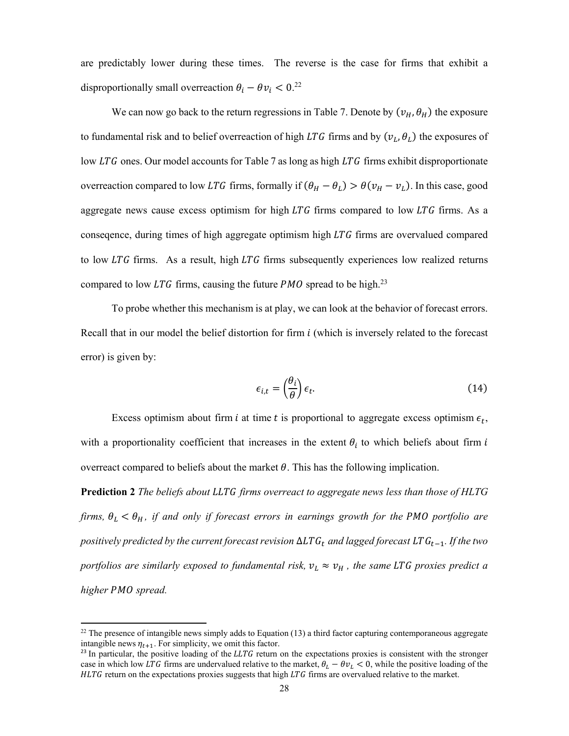are predictably lower during these times. The reverse is the case for firms that exhibit a disproportionally small overreaction  $\theta_i - \theta v_i < 0$ .<sup>22</sup>

We can now go back to the return regressions in Table 7. Denote by  $(v_H, \theta_H)$  the exposure to fundamental risk and to belief overreaction of high LTG firms and by  $(v_L, \theta_L)$  the exposures of low  $LTG$  ones. Our model accounts for Table 7 as long as high  $LTG$  firms exhibit disproportionate overreaction compared to low LTG firms, formally if  $(\theta_H - \theta_L) > \theta(v_H - v_L)$ . In this case, good aggregate news cause excess optimism for high  $LTG$  firms compared to low  $LTG$  firms. As a conseqence, during times of high aggregate optimism high LTG firms are overvalued compared to low  $LTG$  firms. As a result, high  $LTG$  firms subsequently experiences low realized returns compared to low LTG firms, causing the future  $PMO$  spread to be high.<sup>23</sup>

To probe whether this mechanism is at play, we can look at the behavior of forecast errors. Recall that in our model the belief distortion for firm  $i$  (which is inversely related to the forecast error) is given by:

$$
\epsilon_{i,t} = \left(\frac{\theta_i}{\theta}\right)\epsilon_t.
$$
\n(14)

Excess optimism about firm *i* at time *t* is proportional to aggregate excess optimism  $\epsilon_t$ , with a proportionality coefficient that increases in the extent  $\theta_i$  to which beliefs about firm i overreact compared to beliefs about the market  $\theta$ . This has the following implication.

**Prediction 2** *The beliefs about firms overreact to aggregate news less than those of HLTG firms,*  $\theta_L < \theta_H$ *, if and only if forecast errors in earnings growth for the PMO portfolio are positively predicted by the current forecast revision* ∆*LTG*<sub>*t</sub>* and lagged forecast *LTG*<sub>*t*-1</sub>. *If the two*</sub> *portfolios are similarly exposed to fundamental risk,*  $v_L \approx v_H$ , the same LTG proxies predict a *higher PMO spread.* 

 $22$  The presence of intangible news simply adds to Equation (13) a third factor capturing contemporaneous aggregate intangible news  $\eta_{t+1}$ . For simplicity, we omit this factor.

 $23$  In particular, the positive loading of the LLTG return on the expectations proxies is consistent with the stronger case in which low LTG firms are undervalued relative to the market,  $\theta_L - \theta v_L < 0$ , while the positive loading of the  $HLTG$  return on the expectations proxies suggests that high  $LTG$  firms are overvalued relative to the market.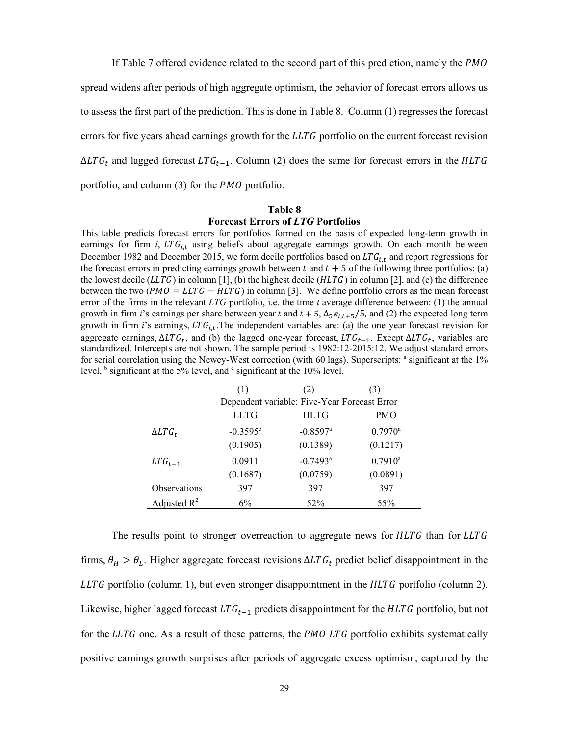If Table 7 offered evidence related to the second part of this prediction, namely the *PMO* 

spread widens after periods of high aggregate optimism, the behavior of forecast errors allows us

to assess the first part of the prediction. This is done in Table 8. Column (1) regresses the forecast

errors for five years ahead earnings growth for the  $LLTG$  portfolio on the current forecast revision

 $\Delta LTG_t$  and lagged forecast  $LTG_{t-1}$ . Column (2) does the same for forecast errors in the HLTG

portfolio, and column  $(3)$  for the *PMO* portfolio.

#### **Table 8**

#### **Forecast Errors of** *LTG* **Portfolios**

This table predicts forecast errors for portfolios formed on the basis of expected long-term growth in earnings for firm  $i$ ,  $LTG_{i,t}$  using beliefs about aggregate earnings growth. On each month between December 1982 and December 2015, we form decile portfolios based on  $LTG_{i,t}$  and report regressions for the forecast errors in predicting earnings growth between  $t$  and  $t + 5$  of the following three portfolios: (a) the lowest decile ( $LLTG$ ) in column [1], (b) the highest decile ( $HLTG$ ) in column [2], and (c) the difference between the two ( $PMO = LLTG - HLTG$ ) in column [3]. We define portfolio errors as the mean forecast error of the firms in the relevant *LTG* portfolio, i.e. the time *t* average difference between: (1) the annual growth in firm *i*'s earnings per share between year t and  $t + 5$ ,  $\Delta_5 e_{i,t+5}$ /5, and (2) the expected long term growth in firm *i*'s earnings,  $LTG_{i,t}$ . The independent variables are: (a) the one year forecast revision for aggregate earnings,  $\Delta LTG_t$ , and (b) the lagged one-year forecast,  $LTG_{t-1}$ . Except  $\Delta LTG_t$ , variables are standardized. Intercepts are not shown. The sample period is 1982:12-2015:12. We adjust standard errors for serial correlation using the Newey-West correction (with 60 lags). Superscripts: <sup>a</sup> significant at the 1% level,  $\frac{b}{b}$  significant at the 5% level, and  $\frac{c}{c}$  significant at the 10% level.

|                     | (1)                                          | (2)                    | (3)              |  |  |
|---------------------|----------------------------------------------|------------------------|------------------|--|--|
|                     | Dependent variable: Five-Year Forecast Error |                        |                  |  |  |
|                     | <b>LLTG</b>                                  | <b>HLTG</b>            | <b>PMO</b>       |  |  |
| $\Delta LTG_t$      | $-0.3595^{\circ}$                            | $-0.8597$ <sup>a</sup> | $0.7970^{\rm a}$ |  |  |
|                     | (0.1905)                                     | (0.1389)               | (0.1217)         |  |  |
| $LTG_{t-1}$         | 0.0911                                       | $-0.7493$ <sup>a</sup> | $0.7910^{\rm a}$ |  |  |
|                     | (0.1687)                                     | (0.0759)               | (0.0891)         |  |  |
| <b>Observations</b> | 397                                          | 397                    | 397              |  |  |
| Adjusted $R^2$      | 6%                                           | 52%                    | 55%              |  |  |

The results point to stronger overreaction to aggregate news for  $HLTG$  than for LLTG firms,  $\theta_H > \theta_L$ . Higher aggregate forecast revisions  $\Delta LTG_t$  predict belief disappointment in the  $LLTG$  portfolio (column 1), but even stronger disappointment in the  $HLTG$  portfolio (column 2). Likewise, higher lagged forecast  $LTG_{t-1}$  predicts disappointment for the HLTG portfolio, but not for the  $LLTG$  one. As a result of these patterns, the *PMO LTG* portfolio exhibits systematically positive earnings growth surprises after periods of aggregate excess optimism, captured by the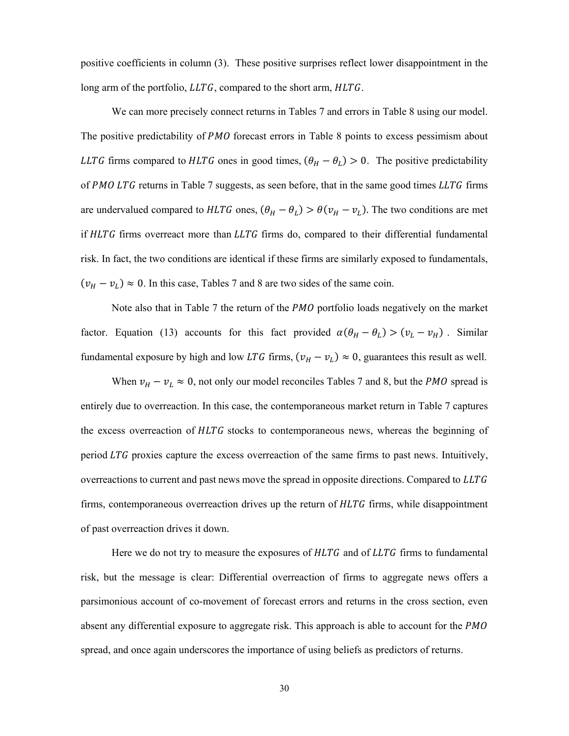positive coefficients in column (3). These positive surprises reflect lower disappointment in the long arm of the portfolio,  $LLTG$ , compared to the short arm,  $HLTG$ .

We can more precisely connect returns in Tables 7 and errors in Table 8 using our model. The positive predictability of *PMO* forecast errors in Table 8 points to excess pessimism about LLTG firms compared to HLTG ones in good times,  $(\theta_H - \theta_L) > 0$ . The positive predictability of  $PMO$  LTG returns in Table 7 suggests, as seen before, that in the same good times  $LLTG$  firms are undervalued compared to HLTG ones,  $(\theta_H - \theta_L) > \theta(v_H - v_L)$ . The two conditions are met if  $HLTG$  firms overreact more than  $LLTG$  firms do, compared to their differential fundamental risk. In fact, the two conditions are identical if these firms are similarly exposed to fundamentals,  $(v_H - v_L) \approx 0$ . In this case, Tables 7 and 8 are two sides of the same coin.

Note also that in Table 7 the return of the  $PMO$  portfolio loads negatively on the market factor. Equation (13) accounts for this fact provided  $\alpha(\theta_H - \theta_L) > (\nu_L - \nu_H)$ . Similar fundamental exposure by high and low LTG firms,  $(v_H - v_L) \approx 0$ , guarantees this result as well.

When  $v_H - v_L \approx 0$ , not only our model reconciles Tables 7 and 8, but the *PMO* spread is entirely due to overreaction. In this case, the contemporaneous market return in Table 7 captures the excess overreaction of  $HLTG$  stocks to contemporaneous news, whereas the beginning of period LTG proxies capture the excess overreaction of the same firms to past news. Intuitively, overreactions to current and past news move the spread in opposite directions. Compared to LLTG firms, contemporaneous overreaction drives up the return of  $HLTG$  firms, while disappointment of past overreaction drives it down.

Here we do not try to measure the exposures of  $HLTG$  and of  $LLTG$  firms to fundamental risk, but the message is clear: Differential overreaction of firms to aggregate news offers a parsimonious account of co-movement of forecast errors and returns in the cross section, even absent any differential exposure to aggregate risk. This approach is able to account for the *PMO* spread, and once again underscores the importance of using beliefs as predictors of returns.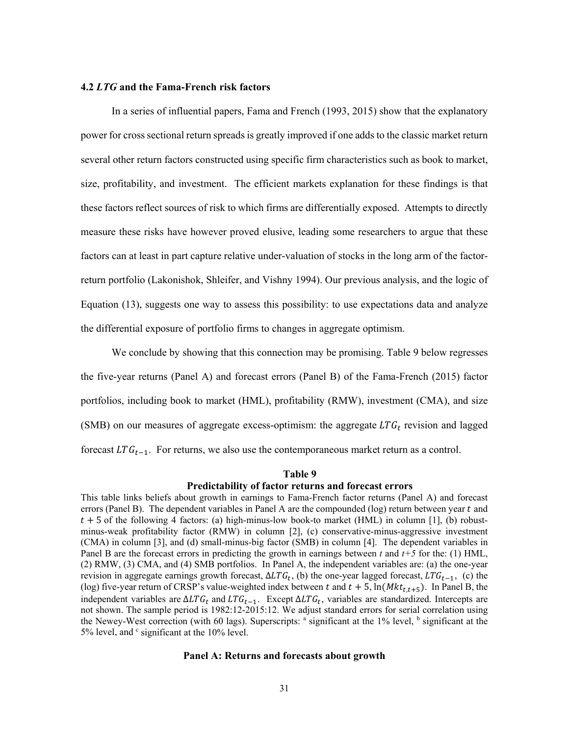# **4.2** *LTG* **and the Fama-French risk factors**

In a series of influential papers, Fama and French (1993, 2015) show that the explanatory power for cross sectional return spreads is greatly improved if one adds to the classic market return several other return factors constructed using specific firm characteristics such as book to market, size, profitability, and investment. The efficient markets explanation for these findings is that these factors reflect sources of risk to which firms are differentially exposed. Attempts to directly measure these risks have however proved elusive, leading some researchers to argue that these factors can at least in part capture relative under-valuation of stocks in the long arm of the factorreturn portfolio (Lakonishok, Shleifer, and Vishny 1994). Our previous analysis, and the logic of Equation (13), suggests one way to assess this possibility: to use expectations data and analyze the differential exposure of portfolio firms to changes in aggregate optimism.

We conclude by showing that this connection may be promising. Table 9 below regresses the five-year returns (Panel A) and forecast errors (Panel B) of the Fama-French (2015) factor portfolios, including book to market (HML), profitability (RMW), investment (CMA), and size (SMB) on our measures of aggregate excess-optimism: the aggregate  $LTG_t$  revision and lagged forecast  $LTG_{t-1}$ . For returns, we also use the contemporaneous market return as a control.

#### **Table 9**

### **Predictability of factor returns and forecast errors**

This table links beliefs about growth in earnings to Fama-French factor returns (Panel A) and forecast errors (Panel B). The dependent variables in Panel A are the compounded (log) return between year t and  $t + 5$  of the following 4 factors: (a) high-minus-low book-to market (HML) in column [1], (b) robustminus-weak profitability factor (RMW) in column [2], (c) conservative-minus-aggressive investment (CMA) in column [3], and (d) small-minus-big factor (SMB) in column [4]. The dependent variables in Panel B are the forecast errors in predicting the growth in earnings between  $t$  and  $t+5$  for the: (1) HML, (2) RMW, (3) CMA, and (4) SMB portfolios. In Panel A, the independent variables are: (a) the one-year revision in aggregate earnings growth forecast,  $ΔLTG_t$ , (b) the one-year lagged forecast,  $LTG_{t-1}$ , (c) the (log) five-year return of CRSP's value-weighted index between t and  $t + 5$ ,  $\ln(Mkt_{t,t+5})$ . In Panel B, the independent variables are  $\Delta LTG_t$  and  $LTG_{t-1}$ . Except  $\Delta LTG_t$ , variables are standardized. Intercepts are not shown. The sample period is 1982:12-2015:12. We adjust standard errors for serial correlation using the Newey-West correction (with 60 lags). Superscripts:  $a$  significant at the 1% level,  $b$  significant at the 5% level, and  $\degree$  significant at the 10% level.

# **Panel A: Returns and forecasts about growth**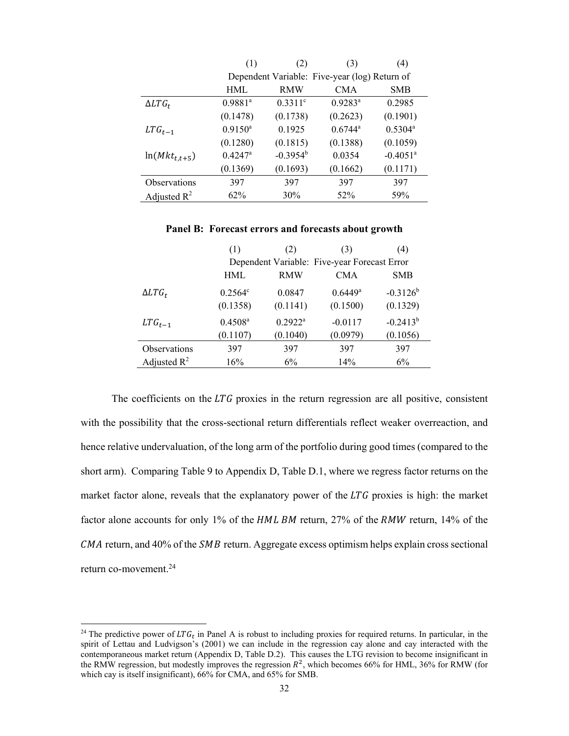|                         | (1)                   | (2)         | (3)                                           | (4)                    |
|-------------------------|-----------------------|-------------|-----------------------------------------------|------------------------|
|                         |                       |             | Dependent Variable: Five-year (log) Return of |                        |
|                         | <b>HML</b>            | <b>RMW</b>  | <b>CMA</b>                                    | <b>SMB</b>             |
| $\Delta LTG_t$          | $0.9881$ <sup>a</sup> | $0.3311$ °  | $0.9283^a$                                    | 0.2985                 |
|                         | (0.1478)              | (0.1738)    | (0.2623)                                      | (0.1901)               |
| $LTG_{t-1}$             | $0.9150^{\rm a}$      | 0.1925      | $0.6744^{\circ}$                              | $0.5304^{\circ}$       |
|                         | (0.1280)              | (0.1815)    | (0.1388)                                      | (0.1059)               |
| $ln(Mkt_{t,t+5})$       | $0.4247$ <sup>a</sup> | $-0.3954^b$ | 0.0354                                        | $-0.4051$ <sup>a</sup> |
|                         | (0.1369)              | (0.1693)    | (0.1662)                                      | (0.1171)               |
| Observations            | 397                   | 397         | 397                                           | 397                    |
| Adjusted $\mathbb{R}^2$ | 62%                   | 30%         | 52%                                           | 59%                    |

**Panel B: Forecast errors and forecasts about growth** 

|                | (1)              | (2)        | (3)                                          | (4)           |
|----------------|------------------|------------|----------------------------------------------|---------------|
|                |                  |            | Dependent Variable: Five-year Forecast Error |               |
|                | <b>HML</b>       | <b>RMW</b> | <b>CMA</b>                                   | <b>SMB</b>    |
| $\Delta LTG_t$ | $0.2564^{\circ}$ | 0.0847     | $0.6449^{\rm a}$                             | $-0.3126^{b}$ |
|                | (0.1358)         | (0.1141)   | (0.1500)                                     | (0.1329)      |
| $LTG_{t-1}$    | $0.4508^{\rm a}$ | $0.2922^a$ | $-0.0117$                                    | $-0.2413^{b}$ |
|                | (0.1107)         | (0.1040)   | (0.0979)                                     | (0.1056)      |
| Observations   | 397              | 397        | 397                                          | 397           |
| Adjusted $R^2$ | 16%              | $6\%$      | 14%                                          | 6%            |

The coefficients on the  $LTG$  proxies in the return regression are all positive, consistent with the possibility that the cross-sectional return differentials reflect weaker overreaction, and hence relative undervaluation, of the long arm of the portfolio during good times (compared to the short arm). Comparing Table 9 to Appendix D, Table D.1, where we regress factor returns on the market factor alone, reveals that the explanatory power of the  $LTG$  proxies is high: the market factor alone accounts for only 1% of the  $HML$  BM return, 27% of the  $RMW$  return, 14% of the  $CMA$  return, and 40% of the *SMB* return. Aggregate excess optimism helps explain cross sectional return co-movement.24

<sup>&</sup>lt;sup>24</sup> The predictive power of  $LTG_t$  in Panel A is robust to including proxies for required returns. In particular, in the spirit of Lettau and Ludvigson's (2001) we can include in the regression cay alone and cay interacted with the contemporaneous market return (Appendix D, Table D.2). This causes the LTG revision to become insignificant in the RMW regression, but modestly improves the regression  $R^2$ , which becomes 66% for HML, 36% for RMW (for which cay is itself insignificant), 66% for CMA, and 65% for SMB.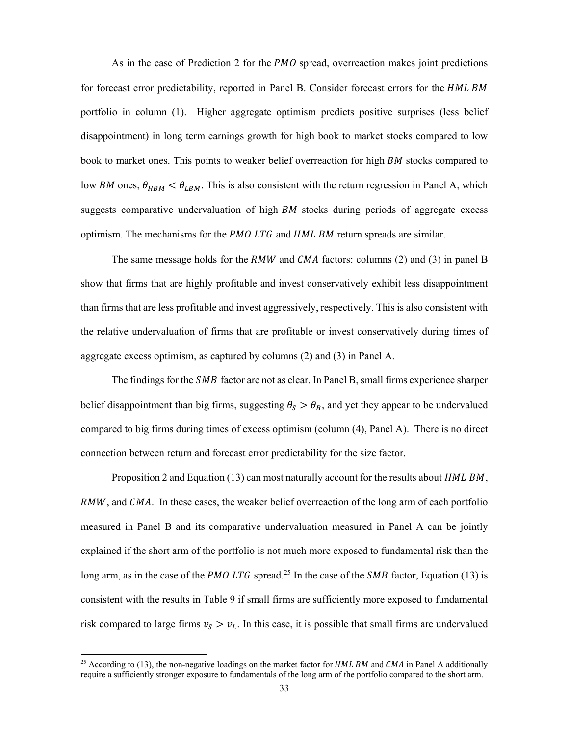As in the case of Prediction 2 for the  $PMO$  spread, overreaction makes joint predictions for forecast error predictability, reported in Panel B. Consider forecast errors for the HML BM portfolio in column (1). Higher aggregate optimism predicts positive surprises (less belief disappointment) in long term earnings growth for high book to market stocks compared to low book to market ones. This points to weaker belief overreaction for high *BM* stocks compared to low BM ones,  $\theta_{HBM} < \theta_{LBM}$ . This is also consistent with the return regression in Panel A, which suggests comparative undervaluation of high  $BM$  stocks during periods of aggregate excess optimism. The mechanisms for the  $PMOLTG$  and  $HMLBM$  return spreads are similar.

The same message holds for the  $RMW$  and  $CMA$  factors: columns (2) and (3) in panel B show that firms that are highly profitable and invest conservatively exhibit less disappointment than firms that are less profitable and invest aggressively, respectively. This is also consistent with the relative undervaluation of firms that are profitable or invest conservatively during times of aggregate excess optimism, as captured by columns (2) and (3) in Panel A.

The findings for the *SMB* factor are not as clear. In Panel B, small firms experience sharper belief disappointment than big firms, suggesting  $\theta_s > \theta_B$ , and yet they appear to be undervalued compared to big firms during times of excess optimism (column (4), Panel A). There is no direct connection between return and forecast error predictability for the size factor.

Proposition 2 and Equation (13) can most naturally account for the results about  $HMLBM$ , RMW, and CMA. In these cases, the weaker belief overreaction of the long arm of each portfolio measured in Panel B and its comparative undervaluation measured in Panel A can be jointly explained if the short arm of the portfolio is not much more exposed to fundamental risk than the long arm, as in the case of the PMO LTG spread.<sup>25</sup> In the case of the SMB factor, Equation (13) is consistent with the results in Table 9 if small firms are sufficiently more exposed to fundamental risk compared to large firms  $v_s > v_l$ . In this case, it is possible that small firms are undervalued

<sup>&</sup>lt;sup>25</sup> According to (13), the non-negative loadings on the market factor for  $HML$  BM and  $CMA$  in Panel A additionally require a sufficiently stronger exposure to fundamentals of the long arm of the portfolio compared to the short arm.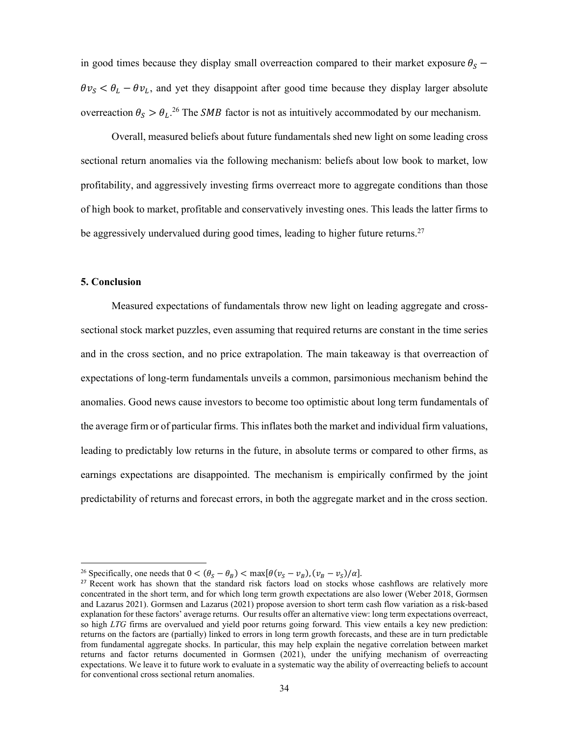in good times because they display small overreaction compared to their market exposure  $\theta_s$  –  $\theta v_S < \theta_L - \theta v_L$ , and yet they disappoint after good time because they display larger absolute overreaction  $\theta_s > \theta_L^{26}$  The *SMB* factor is not as intuitively accommodated by our mechanism.

Overall, measured beliefs about future fundamentals shed new light on some leading cross sectional return anomalies via the following mechanism: beliefs about low book to market, low profitability, and aggressively investing firms overreact more to aggregate conditions than those of high book to market, profitable and conservatively investing ones. This leads the latter firms to be aggressively undervalued during good times, leading to higher future returns.<sup>27</sup>

# **5. Conclusion**

 $\overline{a}$ 

Measured expectations of fundamentals throw new light on leading aggregate and crosssectional stock market puzzles, even assuming that required returns are constant in the time series and in the cross section, and no price extrapolation. The main takeaway is that overreaction of expectations of long-term fundamentals unveils a common, parsimonious mechanism behind the anomalies. Good news cause investors to become too optimistic about long term fundamentals of the average firm or of particular firms. This inflates both the market and individual firm valuations, leading to predictably low returns in the future, in absolute terms or compared to other firms, as earnings expectations are disappointed. The mechanism is empirically confirmed by the joint predictability of returns and forecast errors, in both the aggregate market and in the cross section.

<sup>&</sup>lt;sup>26</sup> Specifically, one needs that  $0 < (\theta_S - \theta_B) < \max[\theta(v_S - v_B), (v_B - v_S)/\alpha]$ .

<sup>&</sup>lt;sup>27</sup> Recent work has shown that the standard risk factors load on stocks whose cashflows are relatively more concentrated in the short term, and for which long term growth expectations are also lower (Weber 2018, Gormsen and Lazarus 2021). Gormsen and Lazarus (2021) propose aversion to short term cash flow variation as a risk-based explanation for these factors' average returns. Our results offer an alternative view: long term expectations overreact, so high *LTG* firms are overvalued and yield poor returns going forward. This view entails a key new prediction: returns on the factors are (partially) linked to errors in long term growth forecasts, and these are in turn predictable from fundamental aggregate shocks. In particular, this may help explain the negative correlation between market returns and factor returns documented in Gormsen (2021), under the unifying mechanism of overreacting expectations. We leave it to future work to evaluate in a systematic way the ability of overreacting beliefs to account for conventional cross sectional return anomalies.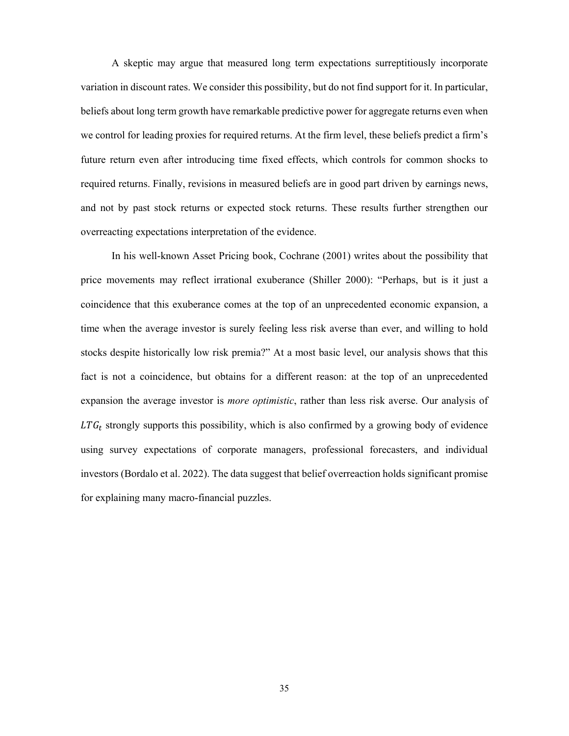A skeptic may argue that measured long term expectations surreptitiously incorporate variation in discount rates. We consider this possibility, but do not find support for it. In particular, beliefs about long term growth have remarkable predictive power for aggregate returns even when we control for leading proxies for required returns. At the firm level, these beliefs predict a firm's future return even after introducing time fixed effects, which controls for common shocks to required returns. Finally, revisions in measured beliefs are in good part driven by earnings news, and not by past stock returns or expected stock returns. These results further strengthen our overreacting expectations interpretation of the evidence.

In his well-known Asset Pricing book, Cochrane (2001) writes about the possibility that price movements may reflect irrational exuberance (Shiller 2000): "Perhaps, but is it just a coincidence that this exuberance comes at the top of an unprecedented economic expansion, a time when the average investor is surely feeling less risk averse than ever, and willing to hold stocks despite historically low risk premia?" At a most basic level, our analysis shows that this fact is not a coincidence, but obtains for a different reason: at the top of an unprecedented expansion the average investor is *more optimistic*, rather than less risk averse. Our analysis of  $LTG_t$  strongly supports this possibility, which is also confirmed by a growing body of evidence using survey expectations of corporate managers, professional forecasters, and individual investors (Bordalo et al. 2022). The data suggest that belief overreaction holds significant promise for explaining many macro-financial puzzles.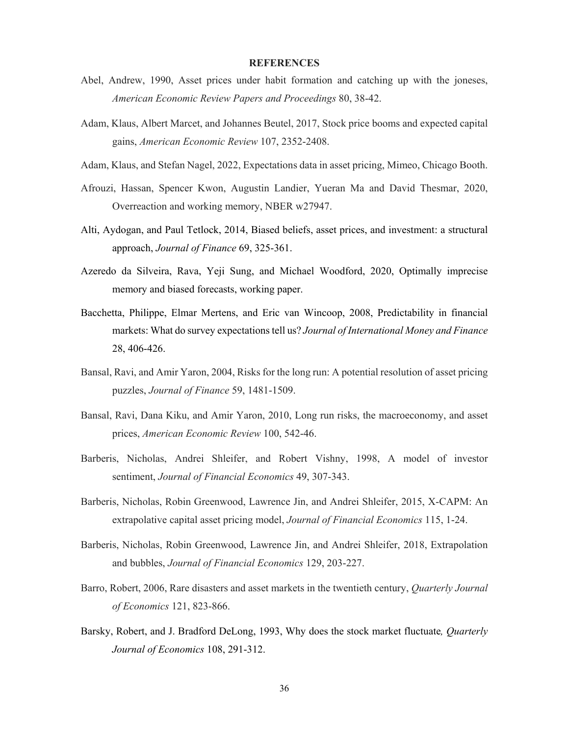# **REFERENCES**

- Abel, Andrew, 1990, Asset prices under habit formation and catching up with the joneses, *American Economic Review Papers and Proceedings* 80, 38-42.
- Adam, Klaus, Albert Marcet, and Johannes Beutel, 2017, Stock price booms and expected capital gains, *American Economic Review* 107, 2352-2408.
- Adam, Klaus, and Stefan Nagel, 2022, Expectations data in asset pricing, Mimeo, Chicago Booth.
- Afrouzi, Hassan, Spencer Kwon, Augustin Landier, Yueran Ma and David Thesmar, 2020, Overreaction and working memory, NBER w27947.
- Alti, Aydogan, and Paul Tetlock, 2014, Biased beliefs, asset prices, and investment: a structural approach, *Journal of Finance* 69, 325-361.
- Azeredo da Silveira, Rava, Yeji Sung, and Michael Woodford, 2020, Optimally imprecise memory and biased forecasts, working paper.
- Bacchetta, Philippe, Elmar Mertens, and Eric van Wincoop, 2008, Predictability in financial markets: What do survey expectations tell us? *Journal of International Money and Finance* 28, 406-426.
- Bansal, Ravi, and Amir Yaron, 2004, Risks for the long run: A potential resolution of asset pricing puzzles, *Journal of Finance* 59, 1481-1509.
- Bansal, Ravi, Dana Kiku, and Amir Yaron, 2010, Long run risks, the macroeconomy, and asset prices, *American Economic Review* 100, 542-46.
- Barberis, Nicholas, Andrei Shleifer, and Robert Vishny, 1998, A model of investor sentiment, *Journal of Financial Economics* 49, 307-343.
- Barberis, Nicholas, Robin Greenwood, Lawrence Jin, and Andrei Shleifer, 2015, X-CAPM: An extrapolative capital asset pricing model, *Journal of Financial Economics* 115, 1-24.
- Barberis, Nicholas, Robin Greenwood, Lawrence Jin, and Andrei Shleifer, 2018, Extrapolation and bubbles, *Journal of Financial Economics* 129, 203-227.
- Barro, Robert, 2006, Rare disasters and asset markets in the twentieth century, *Quarterly Journal of Economics* 121, 823-866.
- Barsky, Robert, and J. Bradford DeLong, 1993, Why does the stock market fluctuate*, Quarterly Journal of Economics* 108, 291-312.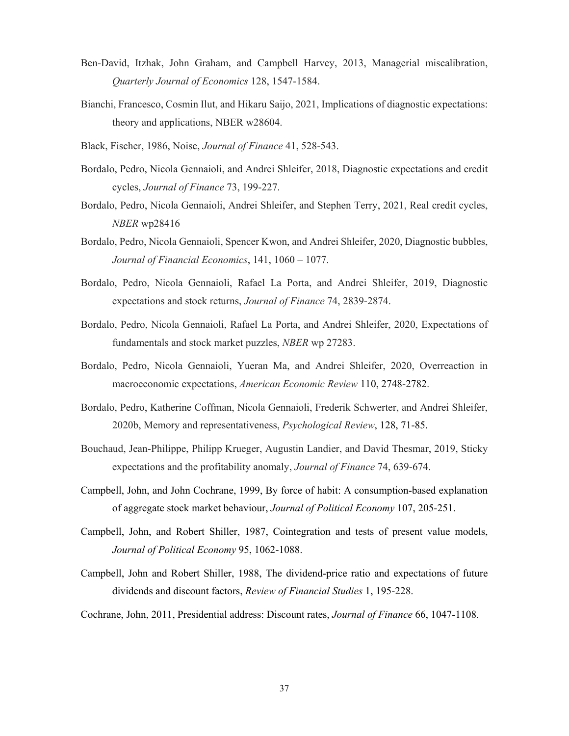- Ben-David, Itzhak, John Graham, and Campbell Harvey, 2013, Managerial miscalibration, *Quarterly Journal of Economics* 128, 1547-1584.
- Bianchi, Francesco, Cosmin Ilut, and Hikaru Saijo, 2021, Implications of diagnostic expectations: theory and applications, NBER w28604.
- Black, Fischer, 1986, Noise, *Journal of Finance* 41, 528-543.
- Bordalo, Pedro, Nicola Gennaioli, and Andrei Shleifer, 2018, Diagnostic expectations and credit cycles, *Journal of Finance* 73, 199-227.
- Bordalo, Pedro, Nicola Gennaioli, Andrei Shleifer, and Stephen Terry, 2021, Real credit cycles, *NBER* wp28416
- Bordalo, Pedro, Nicola Gennaioli, Spencer Kwon, and Andrei Shleifer, 2020, Diagnostic bubbles, *Journal of Financial Economics*, 141, 1060 – 1077.
- Bordalo, Pedro, Nicola Gennaioli, Rafael La Porta, and Andrei Shleifer, 2019, Diagnostic expectations and stock returns, *Journal of Finance* 74, 2839-2874.
- Bordalo, Pedro, Nicola Gennaioli, Rafael La Porta, and Andrei Shleifer, 2020, Expectations of fundamentals and stock market puzzles, *NBER* wp 27283.
- Bordalo, Pedro, Nicola Gennaioli, Yueran Ma, and Andrei Shleifer, 2020, Overreaction in macroeconomic expectations, *American Economic Review* 110, 2748-2782.
- Bordalo, Pedro, Katherine Coffman, Nicola Gennaioli, Frederik Schwerter, and Andrei Shleifer, 2020b, Memory and representativeness, *Psychological Review*, 128, 71-85.
- Bouchaud, Jean‐Philippe, Philipp Krueger, Augustin Landier, and David Thesmar, 2019, Sticky expectations and the profitability anomaly, *Journal of Finance* 74, 639-674.
- Campbell, John, and John Cochrane, 1999, By force of habit: A consumption-based explanation of aggregate stock market behaviour, *Journal of Political Economy* 107, 205-251.
- Campbell, John, and Robert Shiller, 1987, Cointegration and tests of present value models, *Journal of Political Economy* 95, 1062-1088.
- Campbell, John and Robert Shiller, 1988, The dividend-price ratio and expectations of future dividends and discount factors, *Review of Financial Studies* 1, 195-228.
- Cochrane, John, 2011, Presidential address: Discount rates, *Journal of Finance* 66, 1047-1108.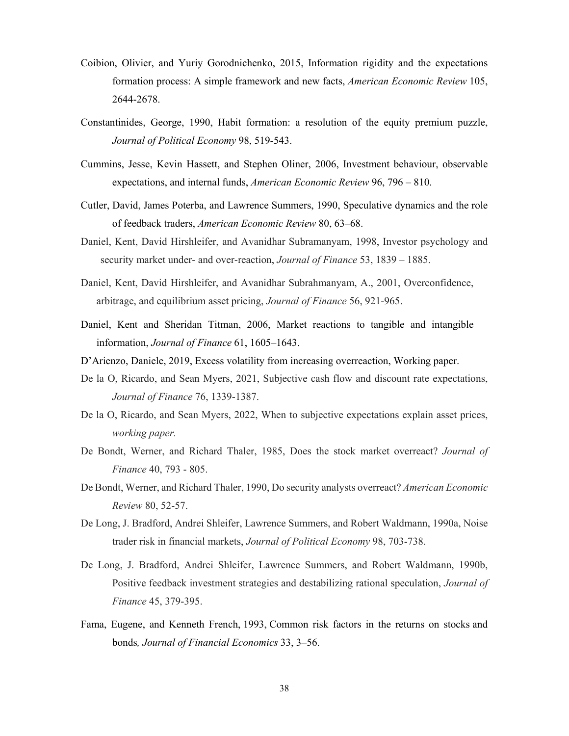- Coibion, Olivier, and Yuriy Gorodnichenko, 2015, Information rigidity and the expectations formation process: A simple framework and new facts, *American Economic Review* 105, 2644-2678.
- Constantinides, George, 1990, Habit formation: a resolution of the equity premium puzzle, *Journal of Political Economy* 98, 519-543.
- Cummins, Jesse, Kevin Hassett, and Stephen Oliner, 2006, Investment behaviour, observable expectations, and internal funds, *American Economic Review* 96, 796 – 810.
- Cutler, David, James Poterba, and Lawrence Summers, 1990, Speculative dynamics and the role of feedback traders, *American Economic Review* 80, 63–68.
- Daniel, Kent, David Hirshleifer, and Avanidhar Subramanyam, 1998, Investor psychology and security market under- and over-reaction, *Journal of Finance* 53, 1839 – 1885.
- Daniel, Kent, David Hirshleifer, and Avanidhar Subrahmanyam, A., 2001, Overconfidence, arbitrage, and equilibrium asset pricing, *Journal of Finance* 56, 921-965.
- Daniel, Kent and Sheridan Titman, 2006, Market reactions to tangible and intangible information, *Journal of Finance* 61, 1605–1643.
- D'Arienzo, Daniele, 2019, Excess volatility from increasing overreaction, Working paper.
- De la O, Ricardo, and Sean Myers, 2021, Subjective cash flow and discount rate expectations, *Journal of Finance* 76, 1339-1387.
- De la O, Ricardo, and Sean Myers, 2022, When to subjective expectations explain asset prices, *working paper.*
- De Bondt, Werner, and Richard Thaler, 1985, Does the stock market overreact? *Journal of Finance* 40, 793 - 805.
- De Bondt, Werner, and Richard Thaler, 1990, Do security analysts overreact? *American Economic Review* 80, 52-57.
- De Long, J. Bradford, Andrei Shleifer, Lawrence Summers, and Robert Waldmann, 1990a, Noise trader risk in financial markets, *Journal of Political Economy* 98, 703-738.
- De Long, J. Bradford, Andrei Shleifer, Lawrence Summers, and Robert Waldmann, 1990b, Positive feedback investment strategies and destabilizing rational speculation, *Journal of Finance* 45, 379-395.
- Fama, Eugene, and Kenneth French, 1993, Common risk factors in the returns on stocks and bonds*, Journal of Financial Economics* 33, 3–56.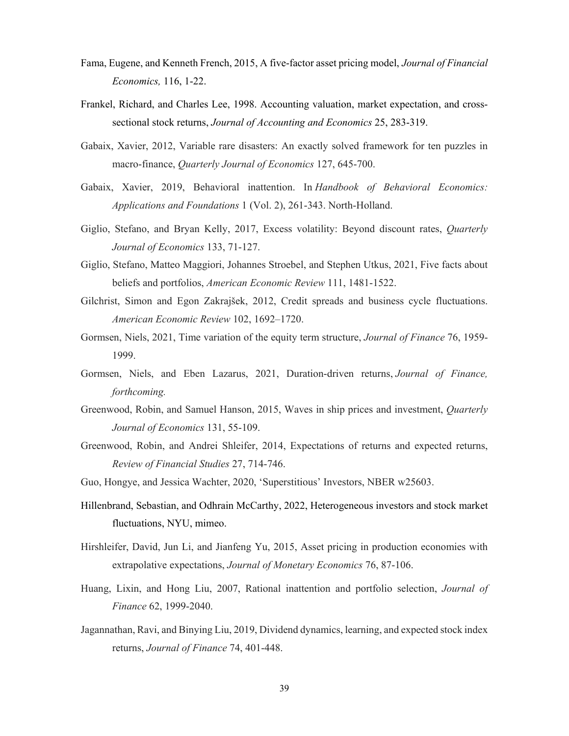- Fama, Eugene, and Kenneth French, 2015, A five-factor asset pricing model, *Journal of Financial Economics,* 116, 1-22.
- Frankel, Richard, and Charles Lee, 1998. Accounting valuation, market expectation, and crosssectional stock returns, *Journal of Accounting and Economics* 25, 283-319.
- Gabaix, Xavier, 2012, Variable rare disasters: An exactly solved framework for ten puzzles in macro-finance, *Quarterly Journal of Economics* 127, 645-700.
- Gabaix, Xavier, 2019, Behavioral inattention. In *Handbook of Behavioral Economics: Applications and Foundations* 1 (Vol. 2), 261-343. North-Holland.
- Giglio, Stefano, and Bryan Kelly, 2017, Excess volatility: Beyond discount rates, *Quarterly Journal of Economics* 133, 71-127.
- Giglio, Stefano, Matteo Maggiori, Johannes Stroebel, and Stephen Utkus, 2021, Five facts about beliefs and portfolios, *American Economic Review* 111, 1481-1522.
- Gilchrist, Simon and Egon Zakrajšek, 2012, Credit spreads and business cycle fluctuations. *American Economic Review* 102, 1692–1720.
- Gormsen, Niels, 2021, Time variation of the equity term structure, *Journal of Finance* 76, 1959- 1999.
- Gormsen, Niels, and Eben Lazarus, 2021, Duration-driven returns, *Journal of Finance, forthcoming.*
- Greenwood, Robin, and Samuel Hanson, 2015, Waves in ship prices and investment, *Quarterly Journal of Economics* 131, 55-109.
- Greenwood, Robin, and Andrei Shleifer, 2014, Expectations of returns and expected returns, *Review of Financial Studies* 27, 714-746.
- Guo, Hongye, and Jessica Wachter, 2020, 'Superstitious' Investors, NBER w25603.
- Hillenbrand, Sebastian, and Odhrain McCarthy, 2022, Heterogeneous investors and stock market fluctuations, NYU, mimeo.
- Hirshleifer, David, Jun Li, and Jianfeng Yu, 2015, Asset pricing in production economies with extrapolative expectations, *Journal of Monetary Economics* 76, 87-106.
- Huang, Lixin, and Hong Liu, 2007, Rational inattention and portfolio selection, *Journal of Finance* 62, 1999-2040.
- Jagannathan, Ravi, and Binying Liu, 2019, Dividend dynamics, learning, and expected stock index returns, *Journal of Finance* 74, 401-448.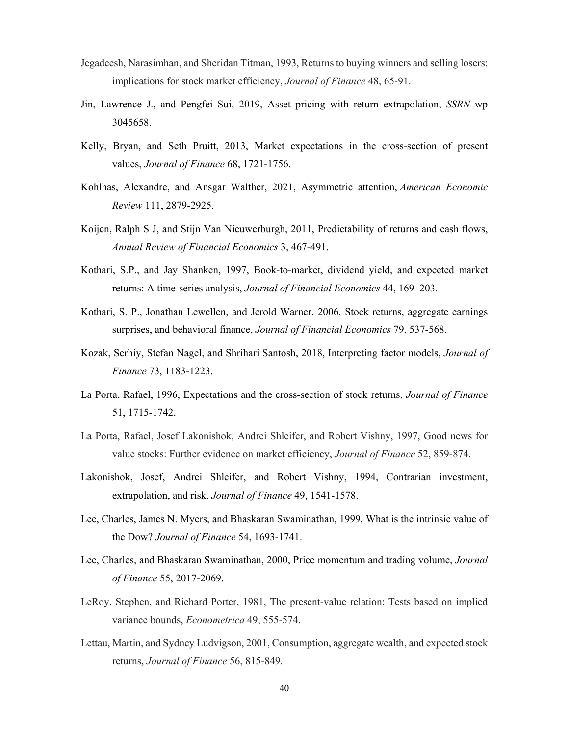- Jegadeesh, Narasimhan, and Sheridan Titman, 1993, Returns to buying winners and selling losers: implications for stock market efficiency, *Journal of Finance* 48, 65-91.
- Jin, Lawrence J., and Pengfei Sui, 2019, Asset pricing with return extrapolation, *SSRN* wp 3045658.
- Kelly, Bryan, and Seth Pruitt, 2013, Market expectations in the cross-section of present values, *Journal of Finance* 68, 1721-1756.
- Kohlhas, Alexandre, and Ansgar Walther, 2021, Asymmetric attention, *American Economic Review* 111, 2879-2925.
- Koijen, Ralph S J, and Stijn Van Nieuwerburgh, 2011, Predictability of returns and cash flows, *Annual Review of Financial Economics* 3, 467-491.
- Kothari, S.P., and Jay Shanken, 1997, Book-to-market, dividend yield, and expected market returns: A time-series analysis, *Journal of Financial Economics* 44, 169–203.
- Kothari, S. P., Jonathan Lewellen, and Jerold Warner, 2006, Stock returns, aggregate earnings surprises, and behavioral finance, *Journal of Financial Economics* 79, 537-568.
- Kozak, Serhiy, Stefan Nagel, and Shrihari Santosh, 2018, Interpreting factor models, *Journal of Finance* 73, 1183-1223.
- La Porta, Rafael, 1996, Expectations and the cross-section of stock returns, *Journal of Finance* 51, 1715-1742.
- La Porta, Rafael, Josef Lakonishok, Andrei Shleifer, and Robert Vishny, 1997, Good news for value stocks: Further evidence on market efficiency, *Journal of Finance* 52, 859-874.
- Lakonishok, Josef, Andrei Shleifer, and Robert Vishny, 1994, Contrarian investment, extrapolation, and risk. *Journal of Finance* 49, 1541-1578.
- Lee, Charles, James N. Myers, and Bhaskaran Swaminathan, 1999, What is the intrinsic value of the Dow? *Journal of Finance* 54, 1693-1741.
- Lee, Charles, and Bhaskaran Swaminathan, 2000, Price momentum and trading volume, *Journal of Finance* 55, 2017-2069.
- LeRoy, Stephen, and Richard Porter, 1981, The present-value relation: Tests based on implied variance bounds, *Econometrica* 49, 555-574.
- Lettau, Martin, and Sydney Ludvigson, 2001, Consumption, aggregate wealth, and expected stock returns, *Journal of Finance* 56, 815-849.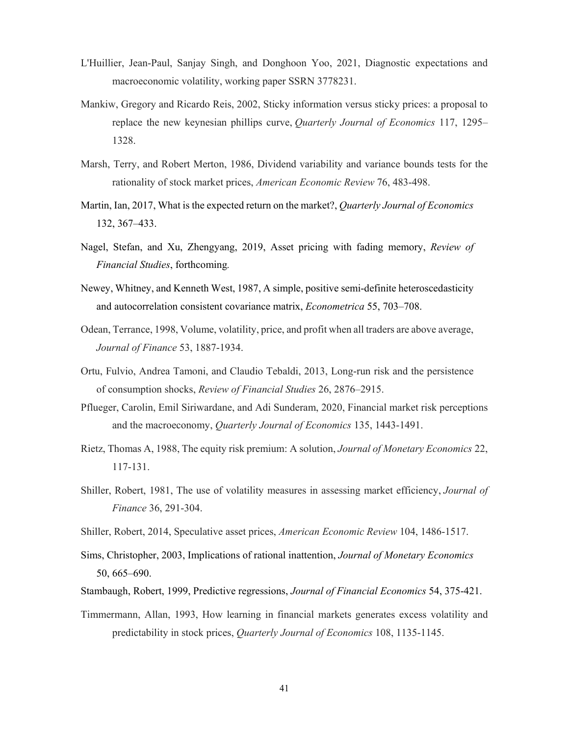- L'Huillier, Jean-Paul, Sanjay Singh, and Donghoon Yoo, 2021, Diagnostic expectations and macroeconomic volatility, working paper SSRN 3778231.
- Mankiw, Gregory and Ricardo Reis, 2002, Sticky information versus sticky prices: a proposal to replace the new keynesian phillips curve, *Quarterly Journal of Economics* 117, 1295– 1328.
- Marsh, Terry, and Robert Merton, 1986, Dividend variability and variance bounds tests for the rationality of stock market prices, *American Economic Review* 76, 483-498.
- Martin, Ian, 2017, What is the expected return on the market?, *Quarterly Journal of Economics* 132, 367‒433.
- Nagel, Stefan, and Xu, Zhengyang, 2019, Asset pricing with fading memory, *Review of Financial Studies*, forthcoming*.*
- Newey, Whitney, and Kenneth West, 1987, A simple, positive semi-definite heteroscedasticity and autocorrelation consistent covariance matrix, *Econometrica* 55, 703–708.
- Odean, Terrance, 1998, Volume, volatility, price, and profit when all traders are above average, *Journal of Finance* 53, 1887-1934.
- Ortu, Fulvio, Andrea Tamoni, and Claudio Tebaldi, 2013, Long-run risk and the persistence of consumption shocks, *Review of Financial Studies* 26, 2876–2915.
- Pflueger, Carolin, Emil Siriwardane, and Adi Sunderam, 2020, Financial market risk perceptions and the macroeconomy, *Quarterly Journal of Economics* 135, 1443-1491.
- Rietz, Thomas A, 1988, The equity risk premium: A solution, *Journal of Monetary Economics* 22, 117-131.
- Shiller, Robert, 1981, The use of volatility measures in assessing market efficiency, *Journal of Finance* 36, 291-304.
- Shiller, Robert, 2014, Speculative asset prices, *American Economic Review* 104, 1486-1517.
- Sims, Christopher, 2003, Implications of rational inattention, *Journal of Monetary Economics* 50, 665–690.
- Stambaugh, Robert, 1999, Predictive regressions, *Journal of Financial Economics* 54, 375-421.
- Timmermann, Allan, 1993, How learning in financial markets generates excess volatility and predictability in stock prices, *Quarterly Journal of Economics* 108, 1135-1145.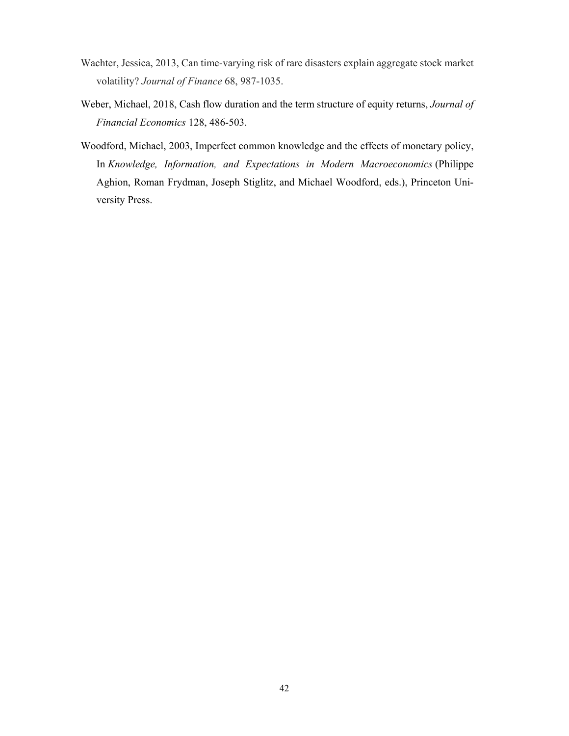- Wachter, Jessica, 2013, Can time‐varying risk of rare disasters explain aggregate stock market volatility? *Journal of Finance* 68, 987-1035.
- Weber, Michael, 2018, Cash flow duration and the term structure of equity returns, *Journal of Financial Economics* 128, 486-503.
- Woodford, Michael, 2003, Imperfect common knowledge and the effects of monetary policy, In *Knowledge, Information, and Expectations in Modern Macroeconomics* (Philippe Aghion, Roman Frydman, Joseph Stiglitz, and Michael Woodford, eds.), Princeton University Press.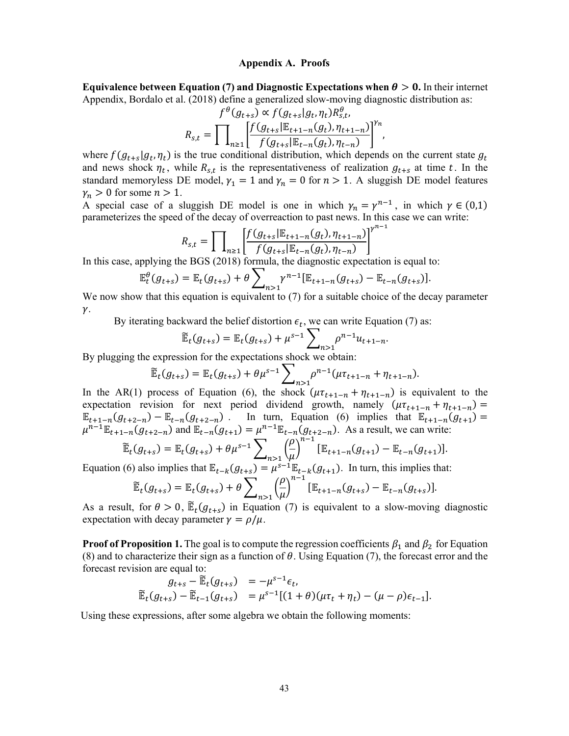#### **Appendix A. Proofs**

**Equivalence between Equation (7) and Diagnostic Expectations when**  $\theta > 0$ **. In their internet** Appendix, Bordalo et al. (2018) define a generalized slow-moving diagnostic distribution as:

$$
f^{\theta}(g_{t+s}) \propto f(g_{t+s}|g_t, \eta_t) R_{s,t}^{\theta},
$$

$$
R_{s,t} = \prod_{n \geq 1} \left[ \frac{f(g_{t+s}|\mathbb{E}_{t+1-n}(g_t), \eta_{t+1-n})}{f(g_{t+s}|\mathbb{E}_{t-n}(g_t), \eta_{t-n})} \right]^{Y_n},
$$

where  $f(g_{t+s}|g_t, \eta_t)$  is the true conditional distribution, which depends on the current state  $g_t$ and news shock  $\eta_t$ , while  $R_{s,t}$  is the representativeness of realization  $g_{t+s}$  at time t. In the standard memoryless DE model,  $\gamma_1 = 1$  and  $\gamma_n = 0$  for  $n > 1$ . A sluggish DE model features  $\gamma_n > 0$  for some  $n > 1$ .

A special case of a sluggish DE model is one in which  $\gamma_n = \gamma^{n-1}$ , in which  $\gamma \in (0,1)$ parameterizes the speed of the decay of overreaction to past news. In this case we can write:

$$
R_{s,t} = \prod_{n \ge 1} \left[ \frac{f(g_{t+s}|\mathbb{E}_{t+1-n}(g_t), \eta_{t+1-n})}{f(g_{t+s}|\mathbb{E}_{t-n}(g_t), \eta_{t-n})} \right]^{n^{n-1}}
$$

In this case, applying the BGS (2018) formula, the diagnostic expectation is equal to:

$$
\mathbb{E}_{t}^{\theta}(g_{t+s}) = \mathbb{E}_{t}(g_{t+s}) + \theta \sum_{n>1} \gamma^{n-1} [\mathbb{E}_{t+1-n}(g_{t+s}) - \mathbb{E}_{t-n}(g_{t+s})].
$$

We now show that this equation is equivalent to (7) for a suitable choice of the decay parameter  $\gamma$ .

By iterating backward the belief distortion  $\epsilon_t$ , we can write Equation (7) as:

$$
\widetilde{\mathbb{E}}_t(g_{t+s}) = \mathbb{E}_t(g_{t+s}) + \mu^{s-1} \sum_{n>1} \rho^{n-1} u_{t+1-n}.
$$

By plugging the expression for the expectations shock we obtain:

$$
\widetilde{\mathbb{E}}_t(g_{t+s}) = \mathbb{E}_t(g_{t+s}) + \theta \mu^{s-1} \sum_{n>1} \rho^{n-1} (\mu \tau_{t+1-n} + \eta_{t+1-n}).
$$

In the AR(1) process of Equation (6), the shock  $(\mu \tau_{t+1-n} + \eta_{t+1-n})$  is equivalent to the expectation revision for next period dividend growth, namely  $(\mu \tau_{t+1-n} + \eta_{t+1-n}) =$  $\mathbb{E}_{t+1-n}(g_{t+2-n}) - \mathbb{E}_{t-n}(g_{t+2-n})$ . In turn, Equation (6) implies that  $\mathbb{E}_{t+1-n}(g_{t+1}) =$  $\mu^{n-1} \mathbb{E}_{t+1-n}(g_{t+2-n})$  and  $\mathbb{E}_{t-n}(g_{t+1}) = \mu^{n-1} \mathbb{E}_{t-n}(g_{t+2-n})$ . As a result, we can write:

$$
\widetilde{\mathbb{E}}_t(g_{t+s}) = \mathbb{E}_t(g_{t+s}) + \theta \mu^{s-1} \sum_{n>1} \left(\frac{\rho}{\mu}\right)^{n-1} [\mathbb{E}_{t+1-n}(g_{t+1}) - \mathbb{E}_{t-n}(g_{t+1})]
$$
\n(C) also implies that  $\mathbb{E}_t$  is a constant function,  $f(x) = \sum_{k=1}^{n} \mathbb{E}_t[g_{t+k}]$ .

.

Equation (6) also implies that  $\mathbb{E}_{t-k}(g_{t+s}) = \mu^{s-1} \mathbb{E}_{t-k}(g_{t+1})$ . In turn, this implies that:

$$
\widetilde{\mathbb{E}}_t(g_{t+s}) = \mathbb{E}_t(g_{t+s}) + \theta \sum_{n>1} \left(\frac{\rho}{\mu}\right)^{n-1} [\mathbb{E}_{t+1-n}(g_{t+s}) - \mathbb{E}_{t-n}(g_{t+s})].
$$

As a result, for  $\theta > 0$ ,  $\mathbb{E}_{t}(g_{t+s})$  in Equation (7) is equivalent to a slow-moving diagnostic expectation with decay parameter  $\gamma = \rho/\mu$ .

**Proof of Proposition 1.** The goal is to compute the regression coefficients  $\beta_1$  and  $\beta_2$  for Equation (8) and to characterize their sign as a function of  $\theta$ . Using Equation (7), the forecast error and the forecast revision are equal to:

$$
g_{t+s} - \widetilde{\mathbb{E}}_t(g_{t+s}) = -\mu^{s-1} \epsilon_t, \n\widetilde{\mathbb{E}}_t(g_{t+s}) - \widetilde{\mathbb{E}}_{t-1}(g_{t+s}) = \mu^{s-1}[(1+\theta)(\mu \tau_t + \eta_t) - (\mu - \rho)\epsilon_{t-1}].
$$

Using these expressions, after some algebra we obtain the following moments: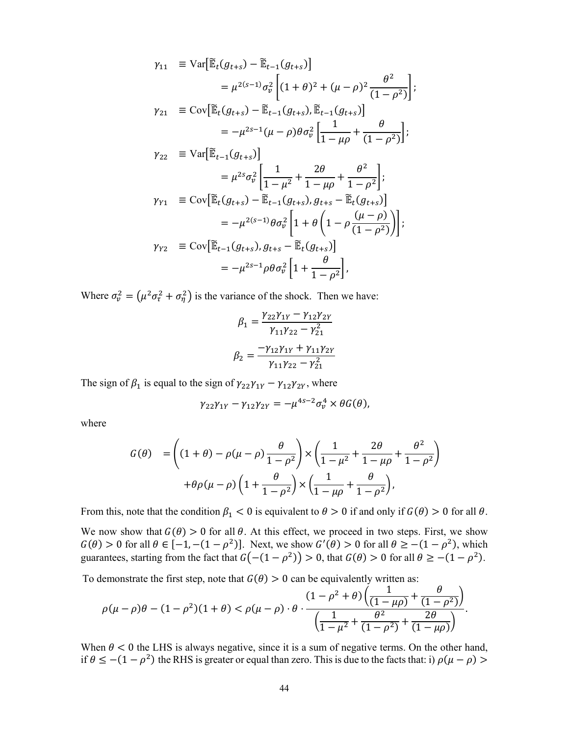$$
\gamma_{11} \equiv \text{Var}\big[\tilde{\mathbb{E}}_t(g_{t+s}) - \tilde{\mathbb{E}}_{t-1}(g_{t+s})\big] \n= \mu^{2(s-1)}\sigma_v^2 \bigg[(1+\theta)^2 + (\mu - \rho)^2 \frac{\theta^2}{(1-\rho^2)}\bigg]; \n\gamma_{21} \equiv \text{Cov}\big[\tilde{\mathbb{E}}_t(g_{t+s}) - \tilde{\mathbb{E}}_{t-1}(g_{t+s}), \tilde{\mathbb{E}}_{t-1}(g_{t+s})\big] \n= -\mu^{2s-1}(\mu - \rho)\theta \sigma_v^2 \bigg[\frac{1}{1-\mu\rho} + \frac{\theta}{(1-\rho^2)}\bigg]; \n\gamma_{22} \equiv \text{Var}\big[\tilde{\mathbb{E}}_{t-1}(g_{t+s})\big] \n= \mu^{2s}\sigma_v^2 \bigg[\frac{1}{1-\mu^2} + \frac{2\theta}{1-\mu\rho} + \frac{\theta^2}{1-\rho^2}\bigg]; \n\gamma_{Y1} \equiv \text{Cov}\big[\tilde{\mathbb{E}}_t(g_{t+s}) - \tilde{\mathbb{E}}_{t-1}(g_{t+s}), g_{t+s} - \tilde{\mathbb{E}}_t(g_{t+s})\big] \n= -\mu^{2(s-1)}\theta \sigma_v^2 \bigg[1 + \theta\bigg(1 - \rho \frac{(\mu - \rho)}{(1-\rho^2)}\bigg)\bigg]; \n\gamma_{Y2} \equiv \text{Cov}\big[\tilde{\mathbb{E}}_{t-1}(g_{t+s}), g_{t+s} - \tilde{\mathbb{E}}_t(g_{t+s})\big] \n= -\mu^{2s-1}\rho \theta \sigma_v^2 \bigg[1 + \frac{\theta}{1-\rho^2}\bigg],
$$

Where  $\sigma_v^2 = (\mu^2 \sigma_\tau^2 + \sigma_\eta^2)$  is the variance of the shock. Then we have:

$$
\beta_1 = \frac{\gamma_{22}\gamma_{1Y} - \gamma_{12}\gamma_{2Y}}{\gamma_{11}\gamma_{22} - \gamma_{21}^2}
$$

$$
\beta_2 = \frac{-\gamma_{12}\gamma_{1Y} + \gamma_{11}\gamma_{2Y}}{\gamma_{11}\gamma_{22} - \gamma_{21}^2}
$$

The sign of  $\beta_1$  is equal to the sign of  $\gamma_{22}\gamma_{1Y} - \gamma_{12}\gamma_{2Y}$ , where

$$
\gamma_{22}\gamma_{1Y}-\gamma_{12}\gamma_{2Y}=-\mu^{4s-2}\sigma_v^4\times\theta G(\theta),
$$

where

$$
G(\theta) = \left( (1+\theta) - \rho(\mu-\rho) \frac{\theta}{1-\rho^2} \right) \times \left( \frac{1}{1-\mu^2} + \frac{2\theta}{1-\mu\rho} + \frac{\theta^2}{1-\rho^2} \right)
$$

$$
+ \theta \rho(\mu-\rho) \left( 1 + \frac{\theta}{1-\rho^2} \right) \times \left( \frac{1}{1-\mu\rho} + \frac{\theta}{1-\rho^2} \right),
$$

From this, note that the condition  $\beta_1 < 0$  is equivalent to  $\theta > 0$  if and only if  $G(\theta) > 0$  for all  $\theta$ .

We now show that  $G(\theta) > 0$  for all  $\theta$ . At this effect, we proceed in two steps. First, we show  $G(\theta) > 0$  for all  $\theta \in [-1, -(1 - \rho^2)]$ . Next, we show  $G'(\theta) > 0$  for all  $\theta \ge -(1 - \rho^2)$ , which guarantees, starting from the fact that  $G(-(1 - \rho^2)) > 0$ , that  $G(\theta) > 0$  for all  $\theta \ge -(1 - \rho^2)$ .

To demonstrate the first step, note that  $G(\theta) > 0$  can be equivalently written as:

$$
\rho(\mu - \rho)\theta - (1 - \rho^2)(1 + \theta) < \rho(\mu - \rho) \cdot \theta \cdot \frac{(1 - \rho^2 + \theta) \left( \frac{1}{(1 - \mu \rho)} + \frac{\theta}{(1 - \rho^2)} \right)}{\left( \frac{1}{1 - \mu^2} + \frac{\theta^2}{(1 - \rho^2)} + \frac{2\theta}{(1 - \mu \rho)} \right)}.
$$

When  $\theta$  < 0 the LHS is always negative, since it is a sum of negative terms. On the other hand, if  $\theta \le -(1 - \rho^2)$  the RHS is greater or equal than zero. This is due to the facts that: i)  $\rho(\mu - \rho)$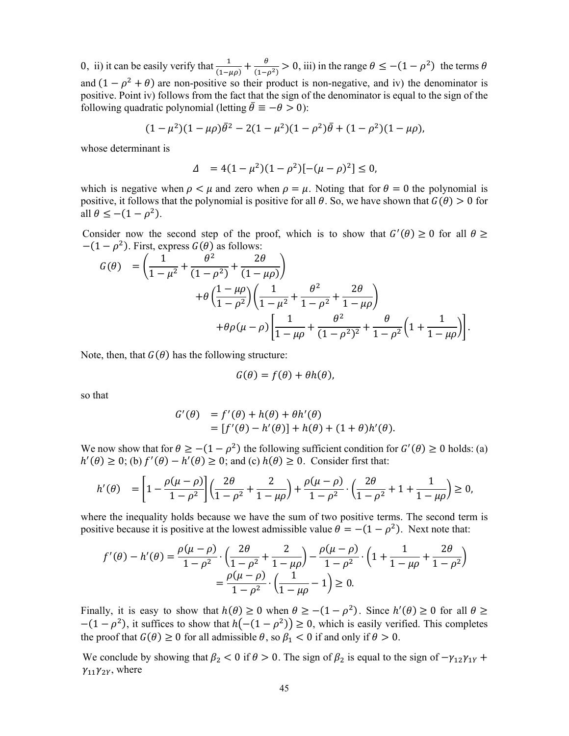0, ii) it can be easily verify that  $\frac{1}{(1-\mu\rho)} + \frac{\theta}{(1-\rho^2)} > 0$ , iii) in the range  $\theta \le -(1-\rho^2)$  the terms  $\theta$ and  $(1 - \rho^2 + \theta)$  are non-positive so their product is non-negative, and iv) the denominator is positive. Point iv) follows from the fact that the sign of the denominator is equal to the sign of the following quadratic polynomial (letting  $\bar{\theta} \equiv -\theta > 0$ ):

$$
(1 - \mu^2)(1 - \mu\rho)\bar{\theta}^2 - 2(1 - \mu^2)(1 - \rho^2)\bar{\theta} + (1 - \rho^2)(1 - \mu\rho),
$$

whose determinant is

$$
\Delta = 4(1 - \mu^2)(1 - \rho^2)[-(\mu - \rho)^2] \le 0,
$$

which is negative when  $\rho < \mu$  and zero when  $\rho = \mu$ . Noting that for  $\theta = 0$  the polynomial is positive, it follows that the polynomial is positive for all  $\theta$ . So, we have shown that  $G(\theta) > 0$  for all  $\theta \leq -(1 - \rho^2)$ .

Consider now the second step of the proof, which is to show that  $G'(\theta) \ge 0$  for all  $\theta \ge$  $-(1 - \rho^2)$ . First, express  $G(\theta)$  as follows:

$$
G(\theta) = \left(\frac{1}{1-\mu^2} + \frac{\theta^2}{(1-\rho^2)} + \frac{2\theta}{(1-\mu\rho)}\right) + \theta \left(\frac{1-\mu\rho}{1-\rho^2}\right) \left(\frac{1}{1-\mu^2} + \frac{\theta^2}{1-\rho^2} + \frac{2\theta}{1-\mu\rho}\right) + \theta\rho(\mu-\rho) \left[\frac{1}{1-\mu\rho} + \frac{\theta^2}{(1-\rho^2)^2} + \frac{\theta}{1-\rho^2} \left(1 + \frac{1}{1-\mu\rho}\right)\right].
$$

Note, then, that  $G(\theta)$  has the following structure:

$$
G(\theta) = f(\theta) + \theta h(\theta),
$$

so that

$$
G'(\theta) = f'(\theta) + h(\theta) + \theta h'(\theta)
$$
  
= 
$$
[f'(\theta) - h'(\theta)] + h(\theta) + (1 + \theta)h'(\theta).
$$

We now show that for  $\theta \ge -(1 - \rho^2)$  the following sufficient condition for  $G'(\theta) \ge 0$  holds: (a)  $h'(\theta) \ge 0$ ; (b)  $f'(\theta) - h'(\theta) \ge 0$ ; and (c)  $h(\theta) \ge 0$ . Consider first that:

$$
h'(\theta) = \left[1 - \frac{\rho(\mu - \rho)}{1 - \rho^2}\right] \left(\frac{2\theta}{1 - \rho^2} + \frac{2}{1 - \mu\rho}\right) + \frac{\rho(\mu - \rho)}{1 - \rho^2} \cdot \left(\frac{2\theta}{1 - \rho^2} + 1 + \frac{1}{1 - \mu\rho}\right) \ge 0,
$$

where the inequality holds because we have the sum of two positive terms. The second term is positive because it is positive at the lowest admissible value  $\theta = -(1 - \rho^2)$ . Next note that:

$$
f'(\theta) - h'(\theta) = \frac{\rho(\mu - \rho)}{1 - \rho^2} \cdot \left(\frac{2\theta}{1 - \rho^2} + \frac{2}{1 - \mu\rho}\right) - \frac{\rho(\mu - \rho)}{1 - \rho^2} \cdot \left(1 + \frac{1}{1 - \mu\rho} + \frac{2\theta}{1 - \rho^2}\right)
$$

$$
= \frac{\rho(\mu - \rho)}{1 - \rho^2} \cdot \left(\frac{1}{1 - \mu\rho} - 1\right) \ge 0.
$$

Finally, it is easy to show that  $h(\theta) \ge 0$  when  $\theta \ge -(1 - \rho^2)$ . Since  $h'(\theta) \ge 0$  for all  $\theta \ge$  $-(1 - \rho^2)$ , it suffices to show that  $h(-(1 - \rho^2)) \ge 0$ , which is easily verified. This completes the proof that  $G(\theta) \ge 0$  for all admissible  $\theta$ , so  $\beta_1 < 0$  if and only if  $\theta > 0$ .

We conclude by showing that  $\beta_2 < 0$  if  $\theta > 0$ . The sign of  $\beta_2$  is equal to the sign of  $-\gamma_{12}\gamma_{1Y}$  +  $\gamma_{11}\gamma_{2Y}$ , where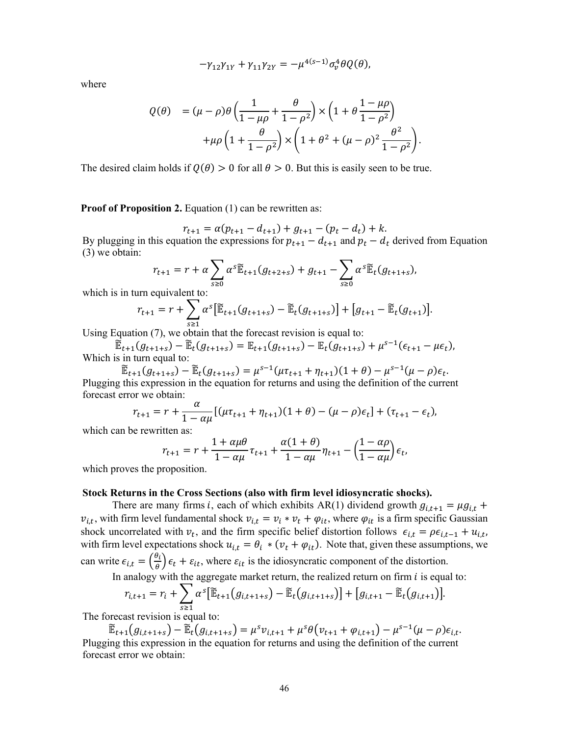$$
-\gamma_{12}\gamma_{1Y} + \gamma_{11}\gamma_{2Y} = -\mu^{4(s-1)}\sigma_v^4\theta Q(\theta),
$$

where

$$
Q(\theta) = (\mu - \rho)\theta \left(\frac{1}{1 - \mu\rho} + \frac{\theta}{1 - \rho^2}\right) \times \left(1 + \theta \frac{1 - \mu\rho}{1 - \rho^2}\right)
$$

$$
+ \mu\rho \left(1 + \frac{\theta}{1 - \rho^2}\right) \times \left(1 + \theta^2 + (\mu - \rho)^2 \frac{\theta^2}{1 - \rho^2}\right).
$$

The desired claim holds if  $Q(\theta) > 0$  for all  $\theta > 0$ . But this is easily seen to be true.

**Proof of Proposition 2.** Equation (1) can be rewritten as:

 $r_{t+1} = \alpha (p_{t+1} - d_{t+1}) + g_{t+1} - (p_t - d_t) + k.$ By plugging in this equation the expressions for  $p_{t+1} - d_{t+1}$  and  $p_t - d_t$  derived from Equation (3) we obtain:

$$
r_{t+1} = r + \alpha \sum_{s \ge 0} \alpha^s \widetilde{\mathbb{E}}_{t+1}(g_{t+2+s}) + g_{t+1} - \sum_{s \ge 0} \alpha^s \widetilde{\mathbb{E}}_t(g_{t+1+s}),
$$

which is in turn equivalent to:

$$
r_{t+1} = r + \sum_{s \ge 1} \alpha^s [\widetilde{\mathbb{E}}_{t+1}(g_{t+1+s}) - \widetilde{\mathbb{E}}_t(g_{t+1+s})] + [g_{t+1} - \widetilde{\mathbb{E}}_t(g_{t+1})].
$$

Using Equation (7), we obtain that the forecast revision is equal to:

 $\widetilde{\mathbb{E}}_{t+1}(g_{t+1+s}) - \widetilde{\mathbb{E}}_t(g_{t+1+s}) = \mathbb{E}_{t+1}(g_{t+1+s}) - \mathbb{E}_t(g_{t+1+s}) + \mu^{s-1}(\epsilon_{t+1} - \mu \epsilon_t),$ Which is in turn equal to:

 $\widetilde{\mathbb{E}}_{t+1}(g_{t+1+s}) - \widetilde{\mathbb{E}}_{t}(g_{t+1+s}) = \mu^{s-1}(\mu \tau_{t+1} + \eta_{t+1})(1+\theta) - \mu^{s-1}(\mu - \rho)\epsilon_t.$ Plugging this expression in the equation for returns and using the definition of the current forecast error we obtain:

$$
r_{t+1} = r + \frac{\alpha}{1 - \alpha \mu} [(\mu \tau_{t+1} + \eta_{t+1})(1 + \theta) - (\mu - \rho)\epsilon_t] + (\tau_{t+1} - \epsilon_t),
$$

which can be rewritten as:

$$
r_{t+1} = r + \frac{1 + \alpha \mu \theta}{1 - \alpha \mu} \tau_{t+1} + \frac{\alpha (1 + \theta)}{1 - \alpha \mu} \eta_{t+1} - \left(\frac{1 - \alpha \rho}{1 - \alpha \mu}\right) \epsilon_t,
$$

which proves the proposition.

# **Stock Returns in the Cross Sections (also with firm level idiosyncratic shocks).**

There are many firms *i*, each of which exhibits AR(1) dividend growth  $g_{i,t+1} = \mu g_{i,t}$  +  $v_{i,t}$ , with firm level fundamental shock  $v_{i,t} = v_i * v_t + \varphi_{it}$ , where  $\varphi_{it}$  is a firm specific Gaussian shock uncorrelated with  $v_t$ , and the firm specific belief distortion follows  $\epsilon_{i,t} = \rho \epsilon_{i,t-1} + u_{i,t}$ , with firm level expectations shock  $u_{i,t} = \theta_i * (v_t + \varphi_{it})$ . Note that, given these assumptions, we can write  $\epsilon_{i,t} = \left(\frac{\theta_i}{\theta}\right) \epsilon_t + \epsilon_{it}$ , where  $\epsilon_{it}$  is the idiosyncratic component of the distortion.

In analogy with the aggregate market return, the realized return on firm  $i$  is equal to:

$$
r_{i,t+1} = r_i + \sum_{s \ge 1} \alpha^s [\widetilde{\mathbb{E}}_{t+1}(g_{i,t+1+s}) - \widetilde{\mathbb{E}}_t(g_{i,t+1+s})] + [g_{i,t+1} - \widetilde{\mathbb{E}}_t(g_{i,t+1})].
$$

The forecast revision is equal to:

 $\widetilde{\mathbb{E}}_{t+1}(g_{i,t+1+s}) - \widetilde{\mathbb{E}}_t(g_{i,t+1+s}) = \mu^s v_{i,t+1} + \mu^s \theta(v_{t+1} + \varphi_{i,t+1}) - \mu^{s-1}(\mu - \rho) \epsilon_{i,t}.$ Plugging this expression in the equation for returns and using the definition of the current forecast error we obtain: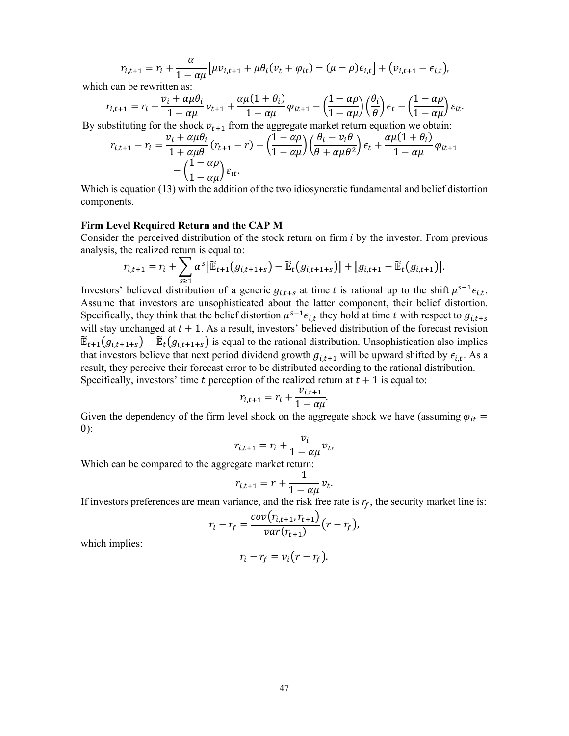$$
r_{i,t+1} = r_i + \frac{\alpha}{1 - \alpha \mu} \left[ \mu v_{i,t+1} + \mu \theta_i (v_t + \varphi_{it}) - (\mu - \rho) \epsilon_{i,t} \right] + (v_{i,t+1} - \epsilon_{i,t}),
$$

which can be rewritten as:

$$
r_{i,t+1} = r_i + \frac{v_i + \alpha \mu \theta_i}{1 - \alpha \mu} v_{t+1} + \frac{\alpha \mu (1 + \theta_i)}{1 - \alpha \mu} \varphi_{it+1} - \left(\frac{1 - \alpha \rho}{1 - \alpha \mu}\right) \left(\frac{\theta_i}{\theta}\right) \epsilon_t - \left(\frac{1 - \alpha \rho}{1 - \alpha \mu}\right) \epsilon_{it}.
$$

By substituting for the shock  $v_{t+1}$  from the aggregate market return equation we obtain:

$$
r_{i,t+1} - r_i = \frac{v_i + \alpha \mu \theta_i}{1 + \alpha \mu \theta} (r_{t+1} - r) - \left(\frac{1 - \alpha \rho}{1 - \alpha \mu}\right) \left(\frac{\theta_i - v_i \theta}{\theta + \alpha \mu \theta^2}\right) \epsilon_t + \frac{\alpha \mu (1 + \theta_i)}{1 - \alpha \mu} \varphi_{it+1} - \left(\frac{1 - \alpha \rho}{1 - \alpha \mu}\right) \epsilon_{it}.
$$

Which is equation (13) with the addition of the two idiosyncratic fundamental and belief distortion components.

### **Firm Level Required Return and the CAP M**

Consider the perceived distribution of the stock return on firm  $i$  by the investor. From previous analysis, the realized return is equal to:

$$
r_{i,t+1} = r_i + \sum_{s \geq 1} \alpha^s [\widetilde{\mathbb{E}}_{t+1}(g_{i,t+1+s}) - \widetilde{\mathbb{E}}_t(g_{i,t+1+s})] + [g_{i,t+1} - \widetilde{\mathbb{E}}_t(g_{i,t+1})].
$$

Investors' believed distribution of a generic  $g_{i,t+s}$  at time t is rational up to the shift  $\mu^{s-1} \epsilon_{i,t}$ . Assume that investors are unsophisticated about the latter component, their belief distortion. Specifically, they think that the belief distortion  $\mu^{s-1} \epsilon_{i,t}$  they hold at time t with respect to  $g_{i,t+s}$ will stay unchanged at  $t + 1$ . As a result, investors' believed distribution of the forecast revision  $\widetilde{\mathbb{E}}_{t+1}(g_{i,t+1+s}) - \widetilde{\mathbb{E}}_t(g_{i,t+1+s})$  is equal to the rational distribution. Unsophistication also implies that investors believe that next period dividend growth  $g_{i,t+1}$  will be upward shifted by  $\epsilon_{i,t}$ . As a result, they perceive their forecast error to be distributed according to the rational distribution. Specifically, investors' time t perception of the realized return at  $t + 1$  is equal to:

$$
r_{i,t+1} = r_i + \frac{v_{i,t+1}}{1 - \alpha \mu}.
$$

Given the dependency of the firm level shock on the aggregate shock we have (assuming  $\varphi_{it}$  =  $0)$ :

$$
r_{i,t+1} = r_i + \frac{v_i}{1 - \alpha \mu} v_t,
$$

Which can be compared to the aggregate market return:

$$
r_{i,t+1} = r + \frac{1}{1 - \alpha \mu} v_t.
$$

If investors preferences are mean variance, and the risk free rate is  $r_f$ , the security market line is:

$$
r_{i} - r_{f} = \frac{cov(r_{i,t+1}, r_{t+1})}{var(r_{t+1})} (r - r_{f}),
$$

which implies:

$$
r_i-r_f=v_i(r-r_f).
$$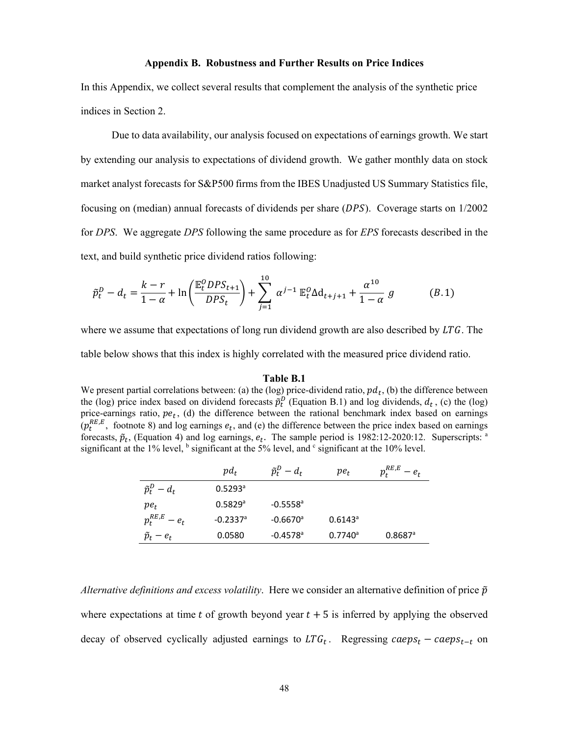### **Appendix B. Robustness and Further Results on Price Indices**

In this Appendix, we collect several results that complement the analysis of the synthetic price indices in Section 2.

Due to data availability, our analysis focused on expectations of earnings growth. We start by extending our analysis to expectations of dividend growth. We gather monthly data on stock market analyst forecasts for S&P500 firms from the IBES Unadjusted US Summary Statistics file, focusing on (median) annual forecasts of dividends per share  $(DPS)$ . Coverage starts on  $1/2002$ for *DPS*. We aggregate *DPS* following the same procedure as for *EPS* forecasts described in the text, and build synthetic price dividend ratios following:

$$
\tilde{p}_t^D - d_t = \frac{k - r}{1 - \alpha} + \ln\left(\frac{\mathbb{E}_t^O D P S_{t+1}}{D P S_t}\right) + \sum_{j=1}^{10} \alpha^{j-1} \mathbb{E}_t^O \Delta d_{t+j+1} + \frac{\alpha^{10}}{1 - \alpha} g \tag{B.1}
$$

where we assume that expectations of long run dividend growth are also described by  $LTG$ . The

table below shows that this index is highly correlated with the measured price dividend ratio.

#### **Table B.1**

We present partial correlations between: (a) the (log) price-dividend ratio,  $pd_t$ , (b) the difference between the (log) price index based on dividend forecasts  $\tilde{p}_t^D$  (Equation B.1) and log dividends,  $d_t$ , (c) the (log) price-earnings ratio,  $pe_t$ , (d) the difference between the rational benchmark index based on earnings  $(p_t^{RE,E}$ , footnote 8) and log earnings  $e_t$ , and (e) the difference between the price index based on earnings forecasts,  $\tilde{p}_t$ , (Equation 4) and log earnings,  $e_t$ . The sample period is 1982:12-2020:12. Superscripts: <sup>a</sup> significant at the 1% level,  $<sup>b</sup>$  significant at the 5% level, and  $<sup>c</sup>$  significant at the 10% level.</sup></sup>

|                       | $pd_t$                 | $\tilde{p}_t^D - d_t$  | $pe_t$           | $p_t^{RE,E}$<br>$-e_t$ |
|-----------------------|------------------------|------------------------|------------------|------------------------|
| $\tilde{p}_t^D - d_t$ | $0.5293$ <sup>a</sup>  |                        |                  |                        |
| $pe_t$                | 0.5829a                | $-0.5558$ <sup>a</sup> |                  |                        |
| $p_t^{RE,E} - e_t$    | $-0.2337$ <sup>a</sup> | $-0.6670$ <sup>a</sup> | $0.6143^{\circ}$ |                        |
| $\tilde{p}_t - e_t$   | 0.0580                 | $-0.4578$ <sup>a</sup> | $0.7740^a$       | $0.8687$ <sup>a</sup>  |

*Alternative definitions and excess volatility.* Here we consider an alternative definition of price  $\tilde{p}$ where expectations at time t of growth beyond year  $t + 5$  is inferred by applying the observed decay of observed cyclically adjusted earnings to  $LTG_t$ . Regressing caeps<sub>t</sub> – caeps<sub>t-t</sub> on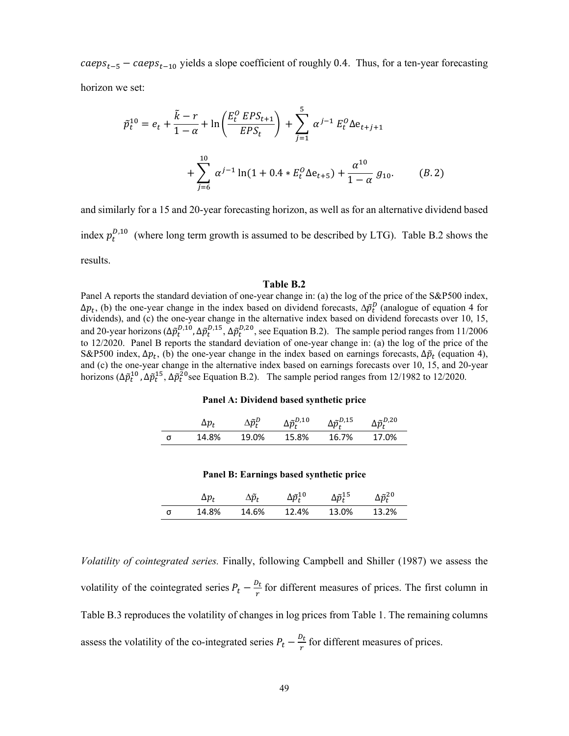$caeps<sub>t-5</sub> - caeps<sub>t-10</sub>$  yields a slope coefficient of roughly 0.4. Thus, for a ten-year forecasting horizon we set:

$$
\tilde{p}_t^{10} = e_t + \frac{\tilde{k} - r}{1 - \alpha} + \ln\left(\frac{E_t^O EPS_{t+1}}{EPS_t}\right) + \sum_{j=1}^5 \alpha^{j-1} E_t^O \Delta e_{t+j+1} + \sum_{j=6}^{10} \alpha^{j-1} \ln(1 + 0.4 * E_t^O \Delta e_{t+5}) + \frac{\alpha^{10}}{1 - \alpha} g_{10}.
$$
 (B.2)

and similarly for a 15 and 20-year forecasting horizon, as well as for an alternative dividend based index  $p_t^{D,10}$  (where long term growth is assumed to be described by LTG). Table B.2 shows the results.

#### **Table B.2**

Panel A reports the standard deviation of one-year change in: (a) the log of the price of the S&P500 index,  $\Delta p_t$ , (b) the one-year change in the index based on dividend forecasts,  $\Delta \tilde{p}_t^D$  (analogue of equation 4 for dividends), and (c) the one-year change in the alternative index based on dividend forecasts over 10, 15, and 20-year horizons ( $\Delta \tilde{p}_t^{D,10}$ ,  $\Delta \tilde{p}_t^{D,15}$ ,  $\Delta \tilde{p}_t^{D,20}$ , see Equation B.2). The sample period ranges from 11/2006 to 12/2020. Panel B reports the standard deviation of one-year change in: (a) the log of the price of the S&P500 index,  $\Delta p_t$ , (b) the one-year change in the index based on earnings forecasts,  $\Delta \tilde{p}_t$  (equation 4), and (c) the one-year change in the alternative index based on earnings forecasts over 10, 15, and 20-year horizons ( $\Delta \tilde{p}_t^{10}$ ,  $\Delta \tilde{p}_t^{15}$ ,  $\Delta \tilde{p}_t^{20}$  see Equation B.2). The sample period ranges from 12/1982 to 12/2020.

#### **Panel A: Dividend based synthetic price**

|   | Δр,   | $\Delta \widetilde{p}_t^D$ | $\Delta \widetilde{p}_{\textit{t}}^{\textit{D},10}$ | $\Delta \widetilde{p}_{t}^{D,15}$ | $\Delta \widetilde{p}_{t}^{D,20}$ |
|---|-------|----------------------------|-----------------------------------------------------|-----------------------------------|-----------------------------------|
| σ | 14.8% | 19.0%                      | 15.8%                                               | 16.7%                             | 17.0%                             |

## **Panel B: Earnings based synthetic price**

|   | $\Delta p_{\rm \star}$ | $\hat{p}_t$ | $\Delta \widetilde{p}_t^{10}$ | $\Delta \widetilde{p}_\text{\tiny{+}}^{15}$ | $\Delta \widetilde{p}_t^{20}$ |
|---|------------------------|-------------|-------------------------------|---------------------------------------------|-------------------------------|
| σ | 14.8%                  | 14.6%       | 12.4%                         | 13.0%                                       | 13.2%                         |

*Volatility of cointegrated series.* Finally, following Campbell and Shiller (1987) we assess the volatility of the cointegrated series  $P_t - \frac{D_t}{r}$  for different measures of prices. The first column in Table B.3 reproduces the volatility of changes in log prices from Table 1. The remaining columns assess the volatility of the co-integrated series  $P_t - \frac{D_t}{r}$  for different measures of prices.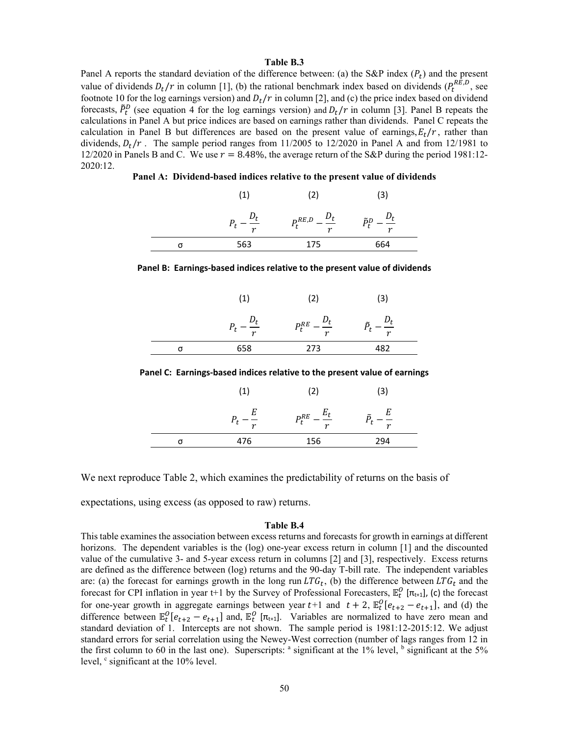### **Table B.3**

Panel A reports the standard deviation of the difference between: (a) the S&P index ( $P_t$ ) and the present value of dividends  $D_t/r$  in column [1], (b) the rational benchmark index based on dividends ( $P_t^{RE,D}$ , see footnote 10 for the log earnings version) and  $D_t/r$  in column [2], and (c) the price index based on dividend forecasts,  $\tilde{P}_t^D$  (see equation 4 for the log earnings version) and  $D_t/r$  in column [3]. Panel B repeats the calculations in Panel A but price indices are based on earnings rather than dividends. Panel C repeats the calculation in Panel B but differences are based on the present value of earnings,  $E_t/r$ , rather than dividends,  $D_t/r$ . The sample period ranges from 11/2005 to 12/2020 in Panel A and from 12/1981 to 12/2020 in Panels B and C. We use  $r = 8.48\%$ , the average return of the S&P during the period 1981:12-2020:12.

**Panel A: Dividend-based indices relative to the present value of dividends** 

|                | $\left( 2\right)$                    | З            |
|----------------|--------------------------------------|--------------|
| $\overline{ }$ | $P_t^{RE,D}$<br>$ -$<br>$\mathbf{r}$ | ñD<br>$\sim$ |
| 563            | 175                                  | 664          |

|  |                         | ence by carmings wasca marecs relative to the present value of urvius |                  |  |
|--|-------------------------|-----------------------------------------------------------------------|------------------|--|
|  | (1)                     | (2)                                                                   | (3)              |  |
|  | $\mu_t$<br>$P_t$ –<br>r | $P_t^{RE} - \frac{D_t}{T}$<br>$\boldsymbol{r}$                        | $\boldsymbol{r}$ |  |
|  | 658                     | 273                                                                   | 482              |  |

**Panel B: Earnings‐based indices relative to the present value of dividends**

**Panel C: Earnings‐based indices relative to the present value of earnings**

|   | (1)                      | (2)             | (3)                        |  |
|---|--------------------------|-----------------|----------------------------|--|
|   | E<br>$\overline{t}$<br>r | $P_t^{RE}$<br>r | Е<br>≃<br>$\boldsymbol{r}$ |  |
| σ | 476                      | 156             | 294                        |  |

We next reproduce Table 2, which examines the predictability of returns on the basis of

expectations, using excess (as opposed to raw) returns.

# **Table B.4**

This table examines the association between excess returns and forecasts for growth in earnings at different horizons. The dependent variables is the (log) one-year excess return in column [1] and the discounted value of the cumulative 3- and 5-year excess return in columns [2] and [3], respectively. Excess returns are defined as the difference between (log) returns and the 90-day T-bill rate. The independent variables are: (a) the forecast for earnings growth in the long run  $LTG_t$ , (b) the difference between  $LTG_t$  and the forecast for CPI inflation in year t+1 by the Survey of Professional Forecasters,  $\mathbb{E}^0_t$  [ $\pi_{t+1}$ ], (c) the forecast for one-year growth in aggregate earnings between year  $t+1$  and  $t+2$ ,  $\mathbb{E}_{t}^{0}[e_{t+2}-e_{t+1}]$ , and (d) the difference between  $\mathbb{E}^0_t[e_{t+2} - e_{t+1}]$  and,  $\mathbb{E}^0_t[\pi_{t+1}]$ . Variables are normalized to have zero mean and standard deviation of 1. Intercepts are not shown. The sample period is 1981:12-2015:12. We adjust standard errors for serial correlation using the Newey-West correction (number of lags ranges from 12 in the first column to 60 in the last one). Superscripts:  $a$  significant at the 1% level,  $b$  significant at the 5% level,  $\degree$  significant at the 10% level.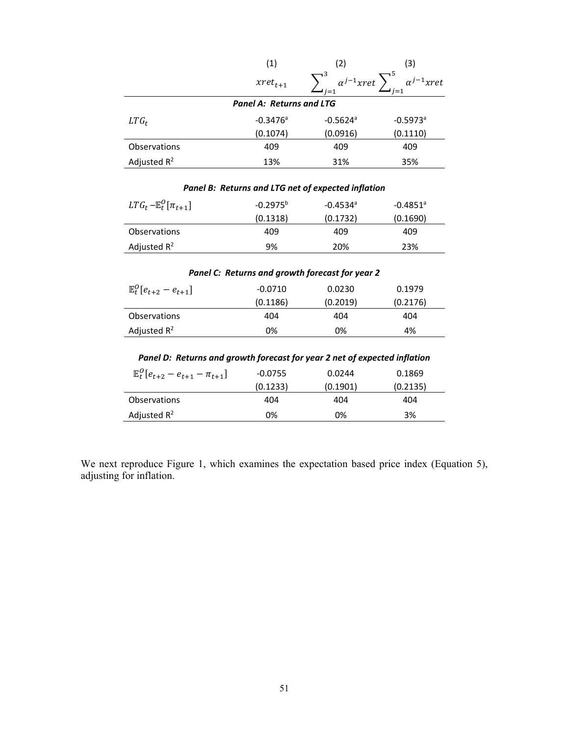|                                                                           | (1)                             | (2)                                                                 | (3)                    |  |
|---------------------------------------------------------------------------|---------------------------------|---------------------------------------------------------------------|------------------------|--|
|                                                                           | $xret_{t+1}$                    | $\sum_{i=1}^{3} \alpha^{j-1} xret \sum_{i=1}^{5} \alpha^{j-1} xret$ |                        |  |
|                                                                           | <b>Panel A: Returns and LTG</b> |                                                                     |                        |  |
| $LTG_t$                                                                   | $-0.3476$ <sup>a</sup>          | $-0.5624$ <sup>a</sup>                                              | $-0.5973$ <sup>a</sup> |  |
|                                                                           | (0.1074)                        | (0.0916)                                                            | (0.1110)               |  |
| Observations                                                              | 409                             | 409                                                                 | 409                    |  |
| Adjusted $R^2$                                                            | 13%                             | 31%                                                                 | 35%                    |  |
|                                                                           |                                 |                                                                     |                        |  |
|                                                                           |                                 | Panel B: Returns and LTG net of expected inflation                  |                        |  |
| $LTG_t - \mathbb{E}^0_t[\pi_{t+1}]$                                       | $-0.2975^{b}$                   | $-0.4534$ <sup>a</sup>                                              | $-0.4851$ <sup>a</sup> |  |
|                                                                           | (0.1318)                        | (0.1732)                                                            | (0.1690)               |  |
| Observations                                                              | 409                             | 409                                                                 | 409                    |  |
| Adjusted $R^2$                                                            | 9%                              | 20%                                                                 | 23%                    |  |
|                                                                           |                                 |                                                                     |                        |  |
|                                                                           |                                 | Panel C: Returns and growth forecast for year 2                     |                        |  |
| $\mathbb{E}^0_t[e_{t+2} - e_{t+1}]$                                       | $-0.0710$                       | 0.0230                                                              | 0.1979                 |  |
|                                                                           | (0.1186)                        | (0.2019)                                                            | (0.2176)               |  |
| Observations                                                              | 404                             | 404                                                                 | 404                    |  |
| Adjusted $R^2$                                                            | 0%                              | 0%                                                                  | 4%                     |  |
|                                                                           |                                 |                                                                     |                        |  |
| Panel D: Returns and growth forecast for year 2 net of expected inflation |                                 |                                                                     |                        |  |
| $\mathbb{E}_{t}^{0}[e_{t+2}-e_{t+1}-\pi_{t+1}]$                           | $-0.0755$                       | 0.0244                                                              | 0.1869                 |  |
|                                                                           | (0.1233)                        | (0.1901)                                                            | (0.2135)               |  |
| Observations                                                              | 404                             | 404                                                                 | 404                    |  |
| Adjusted $R^2$                                                            | 0%                              | 0%                                                                  | 3%                     |  |

We next reproduce Figure 1, which examines the expectation based price index (Equation 5), adjusting for inflation.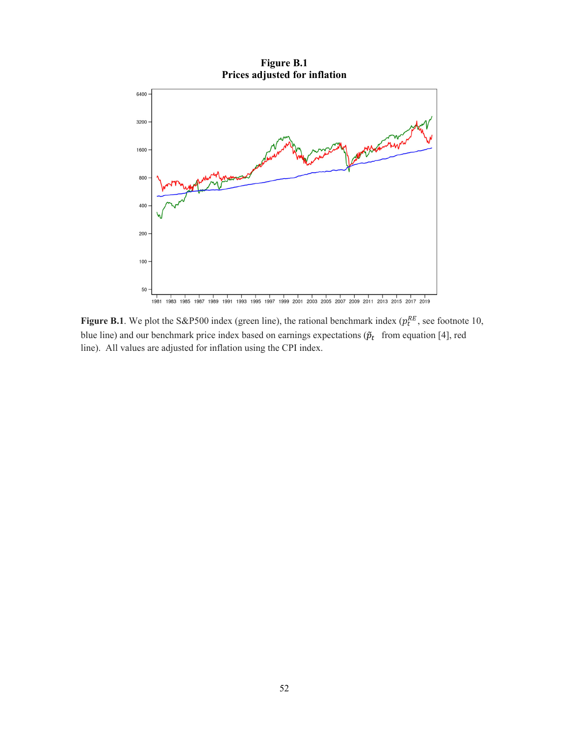

**Figure B.1**. We plot the S&P500 index (green line), the rational benchmark index ( $p_t^{RE}$ , see footnote 10, blue line) and our benchmark price index based on earnings expectations ( $\tilde{p}_t$  from equation [4], red line). All values are adjusted for inflation using the CPI index.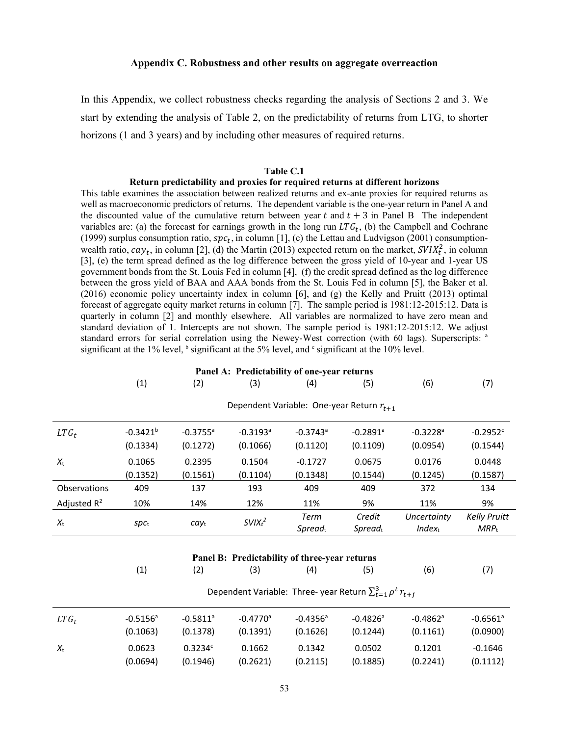#### **Appendix C. Robustness and other results on aggregate overreaction**

In this Appendix, we collect robustness checks regarding the analysis of Sections 2 and 3. We start by extending the analysis of Table 2, on the predictability of returns from LTG, to shorter horizons (1 and 3 years) and by including other measures of required returns.

# **Table C.1**

#### **Return predictability and proxies for required returns at different horizons**

This table examines the association between realized returns and ex-ante proxies for required returns as well as macroeconomic predictors of returns. The dependent variable is the one-year return in Panel A and the discounted value of the cumulative return between year  $t$  and  $t + 3$  in Panel B The independent variables are: (a) the forecast for earnings growth in the long run  $LTG_t$ , (b) the Campbell and Cochrane (1999) surplus consumption ratio,  $spc_t$ , in column [1], (c) the Lettau and Ludvigson (2001) consumptionwealth ratio,  $cay_t$ , in column [2], (d) the Martin (2013) expected return on the market,  $SVIX_t^2$ , in column [3], (e) the term spread defined as the log difference between the gross yield of 10-year and 1-year US government bonds from the St. Louis Fed in column [4], (f) the credit spread defined as the log difference between the gross yield of BAA and AAA bonds from the St. Louis Fed in column [5], the Baker et al. (2016) economic policy uncertainty index in column [6], and (g) the Kelly and Pruitt (2013) optimal forecast of aggregate equity market returns in column [7]. The sample period is 1981:12-2015:12. Data is quarterly in column [2] and monthly elsewhere. All variables are normalized to have zero mean and standard deviation of 1. Intercepts are not shown. The sample period is 1981:12-2015:12. We adjust standard errors for serial correlation using the Newey-West correction (with 60 lags). Superscripts: <sup>a</sup> significant at the 1% level,  $\frac{1}{2}$  significant at the 5% level, and  $\frac{1}{2}$  significant at the 10% level.

| Panel A: Predictability of one-year returns                            |                           |                                    |                                    |                                               |                                         |                                    |                                    |
|------------------------------------------------------------------------|---------------------------|------------------------------------|------------------------------------|-----------------------------------------------|-----------------------------------------|------------------------------------|------------------------------------|
|                                                                        | (1)                       | (2)                                | (3)                                | (4)                                           | (5)                                     | (6)                                | (7)                                |
|                                                                        |                           |                                    |                                    | Dependent Variable: One-year Return $r_{t+1}$ |                                         |                                    |                                    |
| $LTG_t$                                                                | $-0.3421^{b}$<br>(0.1334) | $-0.3755$ <sup>a</sup><br>(0.1272) | $-0.3193$ <sup>a</sup><br>(0.1066) | $-0.3743$ <sup>a</sup><br>(0.1120)            | $-0.2891$ <sup>a</sup><br>(0.1109)      | $-0.3228$ <sup>a</sup><br>(0.0954) | $-0.2952$ <sup>c</sup><br>(0.1544) |
| $X_{t}$                                                                | 0.1065<br>(0.1352)        | 0.2395<br>(0.1561)                 | 0.1504<br>(0.1104)                 | $-0.1727$<br>(0.1348)                         | 0.0675<br>(0.1544)                      | 0.0176<br>(0.1245)                 | 0.0448<br>(0.1587)                 |
| Observations                                                           | 409                       | 137                                | 193                                | 409                                           | 409                                     | 372                                | 134                                |
| Adjusted $R^2$                                                         | 10%                       | 14%                                | 12%                                | 11%                                           | 9%                                      | 11%                                | 9%                                 |
| $X_{t}$                                                                | $spc_t$                   | $cay_t$                            | $SVIX_t^2$                         | Term<br>$S$ <i>pread</i> $t$                  | Credit<br>$S$ <i>pread</i> <sub>t</sub> | Uncertainty<br>$Index_t$           | <b>Kelly Pruitt</b><br>$MRP_{t}$   |
|                                                                        |                           |                                    |                                    | Panel B: Predictability of three-year returns |                                         |                                    |                                    |
|                                                                        | (1)                       | (2)                                | (3)                                | (4)                                           | (5)                                     | (6)                                | (7)                                |
| Dependent Variable: Three- year Return $\sum_{t=1}^{3} \rho^t r_{t+i}$ |                           |                                    |                                    |                                               |                                         |                                    |                                    |
| $LTG_t$                                                                | $-0.5156^a$<br>(0.1063)   | $-0.5811$ <sup>a</sup><br>(0.1378) | $-0.4770$ <sup>a</sup><br>(0.1391) | $-0.4356$ <sup>a</sup><br>(0.1626)            | $-0.4826$ <sup>a</sup><br>(0.1244)      | $-0.4862$ <sup>a</sup><br>(0.1161) | $-0.6561$ <sup>a</sup><br>(0.0900) |
| $X_{t}$                                                                | 0.0623<br>(0.0694)        | 0.3234c<br>(0.1946)                | 0.1662<br>(0.2621)                 | 0.1342<br>(0.2115)                            | 0.0502<br>(0.1885)                      | 0.1201<br>(0.2241)                 | $-0.1646$<br>(0.1112)              |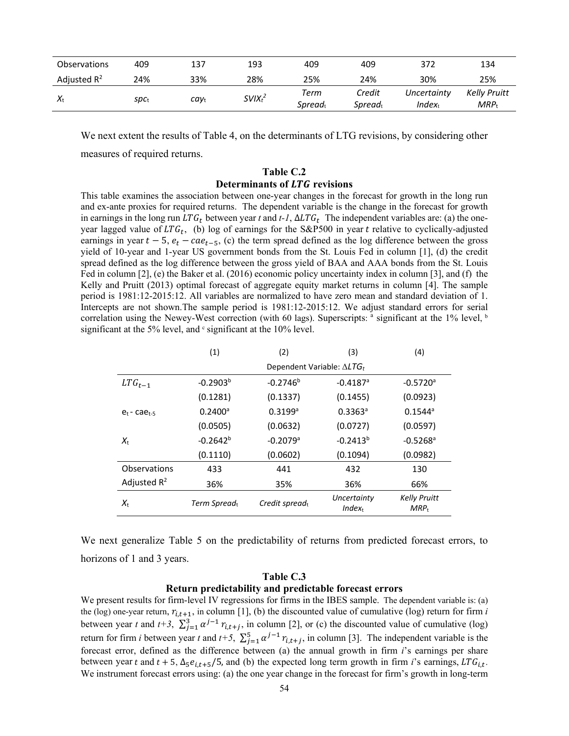| <b>Observations</b> | 409                                         | 137  | 193        | 409                         | 409                           | 372                        | 134                              |
|---------------------|---------------------------------------------|------|------------|-----------------------------|-------------------------------|----------------------------|----------------------------------|
| Adjusted $R^2$      | 24%                                         | 33%  | 28%        | 25%                         | 24%                           | 30%                        | 25%                              |
| $X_{t}$             | $\mathsf{S}\mathsf{p}\mathsf{C}_\mathsf{t}$ | cayt | $SVIX_t^2$ | Term<br>Spread <sub>t</sub> | Credit<br>Spread <sub>t</sub> | Uncertainty<br>$Index_{t}$ | <b>Kelly Pruitt</b><br>$MRP_{t}$ |

We next extent the results of Table 4, on the determinants of LTG revisions, by considering other measures of required returns.

# **Table C.2 Determinants of LTG revisions**

This table examines the association between one-year changes in the forecast for growth in the long run and ex-ante proxies for required returns. The dependent variable is the change in the forecast for growth in earnings in the long run  $LTG_t$  between year t and t-1,  $\Delta LTG_t$  The independent variables are: (a) the oneyear lagged value of  $LTG_t$ , (b) log of earnings for the S&P500 in year t relative to cyclically-adjusted earnings in year  $t - 5$ ,  $e_t - cae_{t-5}$ , (c) the term spread defined as the log difference between the gross yield of 10-year and 1-year US government bonds from the St. Louis Fed in column [1], (d) the credit spread defined as the log difference between the gross yield of BAA and AAA bonds from the St. Louis Fed in column [2], (e) the Baker et al. (2016) economic policy uncertainty index in column [3], and (f) the Kelly and Pruitt (2013) optimal forecast of aggregate equity market returns in column [4]. The sample period is 1981:12-2015:12. All variables are normalized to have zero mean and standard deviation of 1. Intercepts are not shown.The sample period is 1981:12-2015:12. We adjust standard errors for serial correlation using the Newey-West correction (with 60 lags). Superscripts: <sup>a</sup> significant at the 1% level, <sup>b</sup> significant at the 5% level, and  $\textdegree$  significant at the 10% level.

|                        | (1)                   | (2)                                | (3)                        | (4)                            |  |  |
|------------------------|-----------------------|------------------------------------|----------------------------|--------------------------------|--|--|
|                        |                       | Dependent Variable: $\Delta LTG_t$ |                            |                                |  |  |
| $LTG_{t-1}$            | $-0.2903b$            | $-0.2746^b$                        | $-0.4187$ <sup>a</sup>     | $-0.5720$ <sup>a</sup>         |  |  |
|                        | (0.1281)              | (0.1337)                           | (0.1455)                   | (0.0923)                       |  |  |
| $e_{t}$ - ca $e_{t-5}$ | $0.2400$ <sup>a</sup> | $0.3199$ <sup>a</sup>              | $0.3363$ <sup>a</sup>      | $0.1544$ <sup>a</sup>          |  |  |
|                        | (0.0505)              | (0.0632)                           | (0.0727)                   | (0.0597)                       |  |  |
| $X_{t}$                | $-0.2642^{b}$         | $-0.2079$ <sup>a</sup>             | $-0.2413^{b}$              | $-0.5268$ <sup>a</sup>         |  |  |
|                        | (0.1110)              | (0.0602)                           | (0.1094)                   | (0.0982)                       |  |  |
| Observations           | 433                   | 441                                | 432                        | 130                            |  |  |
| Adjusted $R^2$         | 36%                   | 35%                                | 36%                        | 66%                            |  |  |
| $X_{t}$                | Term Spreadt          | Credit spreadt                     | Uncertainty<br>$Index_{t}$ | <b>Kelly Pruitt</b><br>$MRP_t$ |  |  |

We next generalize Table 5 on the predictability of returns from predicted forecast errors, to horizons of 1 and 3 years.

### **Table C.3**

# **Return predictability and predictable forecast errors**

We present results for firm-level IV regressions for firms in the IBES sample. The dependent variable is: (a) the (log) one-year return,  $r_{i,t+1}$ , in column [1], (b) the discounted value of cumulative (log) return for firm *i* between year t and  $t+3$ ,  $\sum_{j=1}^{3} \alpha^{j-1} r_{i,t+j}$ , in column [2], or (c) the discounted value of cumulative (log) return for firm *i* between year t and  $t+5$ ,  $\sum_{j=1}^{5} \alpha^{j-1} r_{i,t+j}$ , in column [3]. The independent variable is the forecast error, defined as the difference between (a) the annual growth in firm *i*'s earnings per share between year t and  $t + 5$ ,  $\Delta_5 e_{i,t+5}$ /5, and (b) the expected long term growth in firm *i*'s earnings, LTG<sub>i,t</sub>. We instrument forecast errors using: (a) the one year change in the forecast for firm's growth in long-term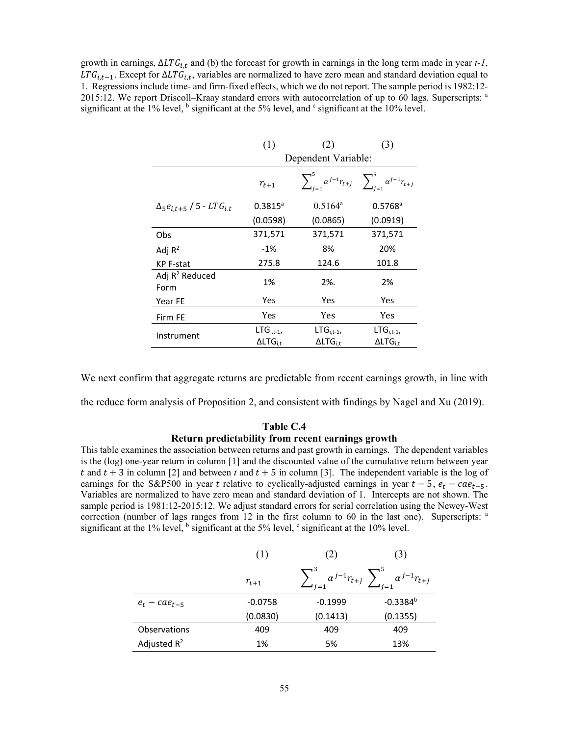growth in earnings,  $\Delta LTG_{i,t}$  and (b) the forecast for growth in earnings in the long term made in year *t-1*,  $LTG_{i,t-1}$ . Except for  $\Delta LTG_{i,t}$ , variables are normalized to have zero mean and standard deviation equal to 1. Regressions include time- and firm-fixed effects, which we do not report. The sample period is 1982:12- 2015:12. We report Driscoll–Kraay standard errors with autocorrelation of up to 60 lags. Superscripts: <sup>a</sup> significant at the 1% level,  $<sup>b</sup>$  significant at the 5% level, and  $<sup>c</sup>$  significant at the 10% level.</sup></sup>

|                                              | (1)                                    | (2)                                                                       | (3)                                   |  |  |
|----------------------------------------------|----------------------------------------|---------------------------------------------------------------------------|---------------------------------------|--|--|
|                                              | Dependent Variable:                    |                                                                           |                                       |  |  |
|                                              | $r_{t+1}$                              | $\sum_{j=1}^{5} \alpha^{j-1} r_{t+j} \sum_{i=1}^{5} \alpha^{j-1} r_{t+j}$ |                                       |  |  |
| $\Delta_5 e_{i.t+5}$ / 5 - LTG <sub>it</sub> | $0.3815^{\circ}$                       | $0.5164^a$                                                                | $0.5768$ <sup>a</sup>                 |  |  |
|                                              | (0.0598)                               | (0.0865)                                                                  | (0.0919)                              |  |  |
| Obs                                          | 371,571                                | 371,571                                                                   | 371,571                               |  |  |
| Adj $R^2$                                    | $-1\%$                                 | 8%                                                                        | 20%                                   |  |  |
| KP F-stat                                    | 275.8                                  | 124.6                                                                     | 101.8                                 |  |  |
| Adj $R^2$ Reduced<br>Form                    | 1%                                     | 2%.                                                                       | 2%                                    |  |  |
| Year FE                                      | Yes                                    | <b>Yes</b>                                                                | Yes                                   |  |  |
| Firm FE                                      | Yes                                    | Yes                                                                       | Yes                                   |  |  |
| Instrument                                   | $LTG_{i,t-1}$<br>$\Delta$ LT $G_{i.t}$ | $LTG_{i,t-1}$<br>$\Delta \mathsf{LTG}_{\text{i.t}}$                       | $LTG_{i,t-1}$<br>$\Delta L T G_{i,t}$ |  |  |

We next confirm that aggregate returns are predictable from recent earnings growth, in line with

the reduce form analysis of Proposition 2, and consistent with findings by Nagel and Xu (2019).

# **Table C.4 Return predictability from recent earnings growth**

This table examines the association between returns and past growth in earnings. The dependent variables is the (log) one-year return in column [1] and the discounted value of the cumulative return between year t and  $t + 3$  in column [2] and between t and  $t + 5$  in column [3]. The independent variable is the log of earnings for the S&P500 in year t relative to cyclically-adjusted earnings in year  $t - 5$ ,  $e_t - ca_{t-5}$ . Variables are normalized to have zero mean and standard deviation of 1. Intercepts are not shown. The sample period is 1981:12-2015:12. We adjust standard errors for serial correlation using the Newey-West correction (number of lags ranges from 12 in the first column to 60 in the last one). Superscripts: <sup>a</sup> significant at the 1% level,  $\frac{b}{n}$  significant at the 5% level,  $\frac{c}{n}$  significant at the 10% level.

|                     | (1)       | (2)       | (3)                                                                   |
|---------------------|-----------|-----------|-----------------------------------------------------------------------|
|                     | $r_{t+1}$ |           | $\sum_{j=1}^3 \alpha^{j-1} r_{t+j} \sum_{j=1}^5 \alpha^{j-1} r_{t+j}$ |
| $e_t - cae_{t-\pi}$ | $-0.0758$ | $-0.1999$ | $-0.3384^{b}$                                                         |
|                     | (0.0830)  | (0.1413)  | (0.1355)                                                              |
| Observations        | 409       | 409       | 409                                                                   |
| Adjusted $R^2$      | 1%        | 5%        | 13%                                                                   |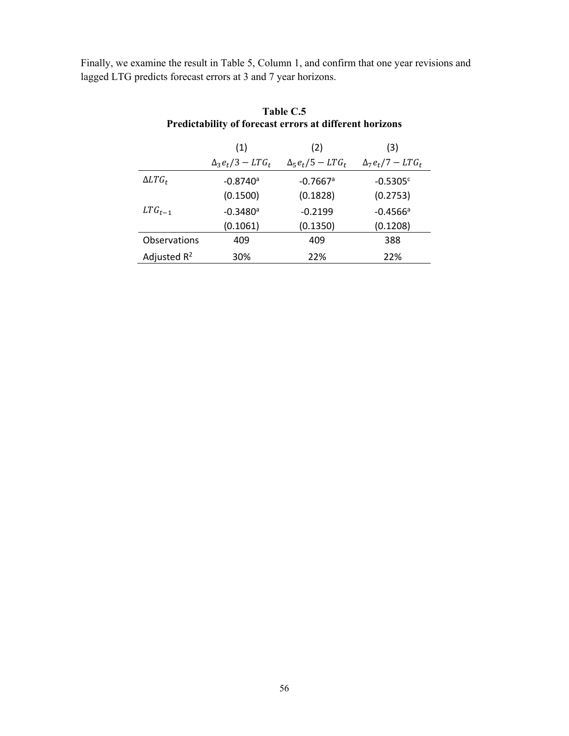Finally, we examine the result in Table 5, Column 1, and confirm that one year revisions and lagged LTG predicts forecast errors at 3 and 7 year horizons.

|                | (1)                      | (2)                      | (3)                      |
|----------------|--------------------------|--------------------------|--------------------------|
|                | $\Delta_3 e_t/3 - LTG_t$ | $\Delta_5 e_t/5 - LTG_t$ | $\Delta_7 e_t/7 - LTG_t$ |
| $\Delta LTG_t$ | $-0.8740$ <sup>a</sup>   | $-0.7667$ <sup>a</sup>   | $-0.5305c$               |
|                | (0.1500)                 | (0.1828)                 | (0.2753)                 |
| $LTG_{t-1}$    | $-0.3480a$               | $-0.2199$                | $-0.4566$ <sup>a</sup>   |
|                | (0.1061)                 | (0.1350)                 | (0.1208)                 |
| Observations   | 409                      | 409                      | 388                      |
| Adjusted $R^2$ | 30%                      | 22%                      | 22%                      |

# **Table C.5 Predictability of forecast errors at different horizons**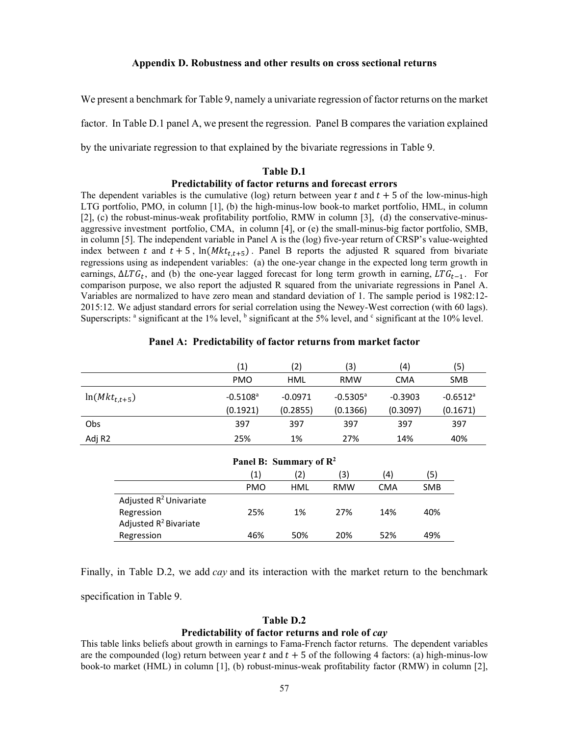# **Appendix D. Robustness and other results on cross sectional returns**

We present a benchmark for Table 9, namely a univariate regression of factor returns on the market factor. In Table D.1 panel A, we present the regression. Panel B compares the variation explained by the univariate regression to that explained by the bivariate regressions in Table 9.

#### **Table D.1**

## **Predictability of factor returns and forecast errors**

The dependent variables is the cumulative (log) return between year t and  $t + 5$  of the low-minus-high LTG portfolio, PMO, in column [1], (b) the high-minus-low book-to market portfolio, HML, in column [2], (c) the robust-minus-weak profitability portfolio, RMW in column [3], (d) the conservative-minusaggressive investment portfolio, CMA, in column [4], or (e) the small-minus-big factor portfolio, SMB, in column [5]. The independent variable in Panel A is the (log) five-year return of CRSP's value-weighted index between t and  $t + 5$ ,  $\ln(Mkt_{t,t+5})$ . Panel B reports the adjusted R squared from bivariate regressions using as independent variables: (a) the one-year change in the expected long term growth in earnings,  $\Delta LTG_t$ , and (b) the one-year lagged forecast for long term growth in earning,  $LTG_{t-1}$ . For comparison purpose, we also report the adjusted R squared from the univariate regressions in Panel A. Variables are normalized to have zero mean and standard deviation of 1. The sample period is 1982:12- 2015:12. We adjust standard errors for serial correlation using the Newey-West correction (with 60 lags). Superscripts:  $a$  significant at the 1% level,  $b$  significant at the 5% level, and  $c$  significant at the 10% level.

|                   | (1)                    | 2)        | (3)                    | (4)        | (5)                    |
|-------------------|------------------------|-----------|------------------------|------------|------------------------|
|                   | <b>PMO</b>             | HML       | <b>RMW</b>             | <b>CMA</b> | <b>SMB</b>             |
| $ln(Mkt_{t,t+5})$ | $-0.5108$ <sup>a</sup> | $-0.0971$ | $-0.5305$ <sup>a</sup> | $-0.3903$  | $-0.6512$ <sup>a</sup> |
|                   | (0.1921)               | (0.2855)  | (0.1366)               | (0.3097)   | (0.1671)               |
| Obs               | 397                    | 397       | 397                    | 397        | 397                    |
| Adj R2            | 25%                    | 1%        | 27%                    | 14%        | 40%                    |

# **Panel A: Predictability of factor returns from market factor**

| Panel B: Summary of $\mathbb{R}^2$ |                 |     |            |     |            |
|------------------------------------|-----------------|-----|------------|-----|------------|
|                                    | $\vert 1 \vert$ | (2) | (3)        | (4) | (5)        |
|                                    | <b>PMO</b>      | HML | <b>RMW</b> | CMA | <b>SMB</b> |
| Adjusted R <sup>2</sup> Univariate |                 |     |            |     |            |
| Regression                         | 25%             | 1%  | 27%        | 14% | 40%        |
| Adjusted R <sup>2</sup> Bivariate  |                 |     |            |     |            |
| Regression                         | 46%             | 50% | 20%        | 52% | 49%        |

Finally, in Table D.2, we add *cay* and its interaction with the market return to the benchmark specification in Table 9.

### **Table D.2**

### **Predictability of factor returns and role of** *cay*

This table links beliefs about growth in earnings to Fama-French factor returns. The dependent variables are the compounded (log) return between year t and  $t + 5$  of the following 4 factors: (a) high-minus-low book-to market (HML) in column [1], (b) robust-minus-weak profitability factor (RMW) in column [2],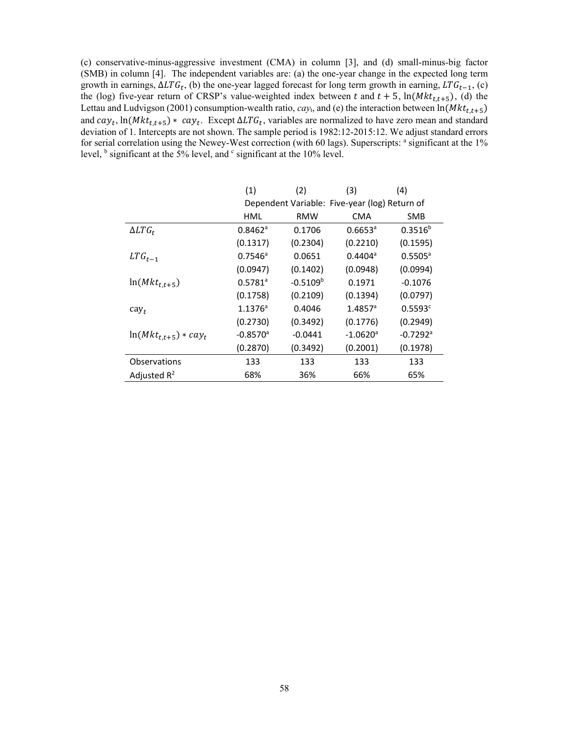(c) conservative-minus-aggressive investment (CMA) in column [3], and (d) small-minus-big factor (SMB) in column [4]. The independent variables are: (a) the one-year change in the expected long term growth in earnings,  $\Delta LTG_t$ , (b) the one-year lagged forecast for long term growth in earning,  $LTG_{t-1}$ , (c) the (log) five-year return of CRSP's value-weighted index between t and  $t + 5$ ,  $\ln(Mkt_{t,t+5})$ , (d) the Lettau and Ludvigson (2001) consumption-wealth ratio,  $cay_t$ , and (e) the interaction between  $ln(Mkt_{t,t+5})$ and  $cay_t$ , ln( $Mkt_{t,t+5}$ ) \*  $cay_t$ . Except  $\Delta LTG_t$ , variables are normalized to have zero mean and standard deviation of 1. Intercepts are not shown. The sample period is 1982:12-2015:12. We adjust standard errors for serial correlation using the Newey-West correction (with 60 lags). Superscripts: <sup>a</sup> significant at the 1% level,  $\frac{b}{b}$  significant at the 5% level, and  $\frac{c}{c}$  significant at the 10% level.

|                           | (1)                    | (2)           | (3)                                           | (4)                    |
|---------------------------|------------------------|---------------|-----------------------------------------------|------------------------|
|                           |                        |               | Dependent Variable: Five-year (log) Return of |                        |
|                           | HML                    | RMW           | <b>CMA</b>                                    | <b>SMB</b>             |
| $\Delta LTG_t$            | $0.8462$ <sup>a</sup>  | 0.1706        | $0.6653$ <sup>a</sup>                         | $0.3516^{b}$           |
|                           | (0.1317)               | (0.2304)      | (0.2210)                                      | (0.1595)               |
| $LTG_{t-1}$               | $0.7546^a$             | 0.0651        | $0.4404^{\circ}$                              | $0.5505^{\circ}$       |
|                           | (0.0947)               | (0.1402)      | (0.0948)                                      | (0.0994)               |
| $ln(Mkt_{t,t+5})$         | $0.5781^{a}$           | $-0.5109^{b}$ | 0.1971                                        | $-0.1076$              |
|                           | (0.1758)               | (0.2109)      | (0.1394)                                      | (0.0797)               |
| $cay_t$                   | $1.1376^a$             | 0.4046        | $1.4857$ <sup>a</sup>                         | 0.5593c                |
|                           | (0.2730)               | (0.3492)      | (0.1776)                                      | (0.2949)               |
| $ln(Mkt_{t,t+5}) * cay_t$ | $-0.8570$ <sup>a</sup> | $-0.0441$     | $-1.0620$ <sup>a</sup>                        | $-0.7292$ <sup>a</sup> |
|                           | (0.2870)               | (0.3492)      | (0.2001)                                      | (0.1978)               |
| Observations              | 133                    | 133           | 133                                           | 133                    |
| Adjusted $R^2$            | 68%                    | 36%           | 66%                                           | 65%                    |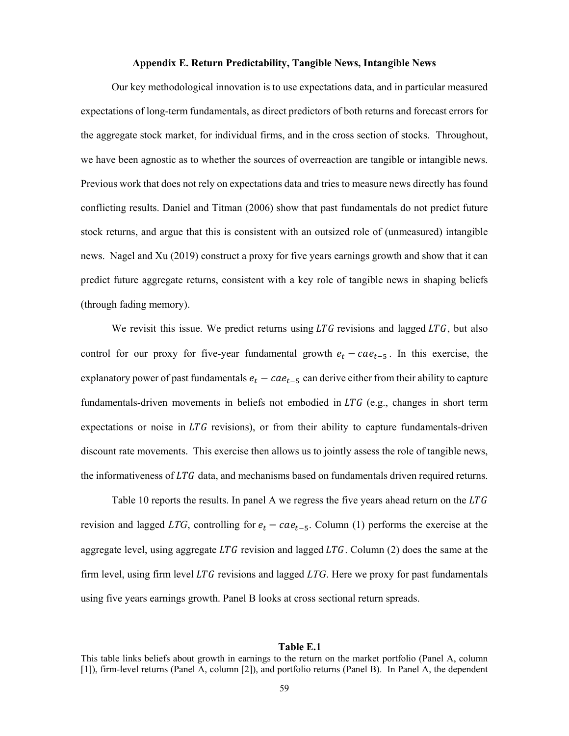# **Appendix E. Return Predictability, Tangible News, Intangible News**

Our key methodological innovation is to use expectations data, and in particular measured expectations of long-term fundamentals, as direct predictors of both returns and forecast errors for the aggregate stock market, for individual firms, and in the cross section of stocks. Throughout, we have been agnostic as to whether the sources of overreaction are tangible or intangible news. Previous work that does not rely on expectations data and tries to measure news directly has found conflicting results. Daniel and Titman (2006) show that past fundamentals do not predict future stock returns, and argue that this is consistent with an outsized role of (unmeasured) intangible news. Nagel and Xu (2019) construct a proxy for five years earnings growth and show that it can predict future aggregate returns, consistent with a key role of tangible news in shaping beliefs (through fading memory).

We revisit this issue. We predict returns using  $LTG$  revisions and lagged  $LTG$ , but also control for our proxy for five-year fundamental growth  $e_t - cae_{t-5}$ . In this exercise, the explanatory power of past fundamentals  $e_t - cae_{t-5}$  can derive either from their ability to capture fundamentals-driven movements in beliefs not embodied in  $LTG$  (e.g., changes in short term expectations or noise in  $LTG$  revisions), or from their ability to capture fundamentals-driven discount rate movements. This exercise then allows us to jointly assess the role of tangible news, the informativeness of  $LTG$  data, and mechanisms based on fundamentals driven required returns.

Table 10 reports the results. In panel A we regress the five years ahead return on the  $LTG$ revision and lagged *LTG*, controlling for  $e_t - cae_{t-5}$ . Column (1) performs the exercise at the aggregate level, using aggregate  $LTG$  revision and lagged  $LTG$ . Column (2) does the same at the firm level, using firm level  $LTG$  revisions and lagged  $LTG$ . Here we proxy for past fundamentals using five years earnings growth. Panel B looks at cross sectional return spreads.

#### **Table E.1**

This table links beliefs about growth in earnings to the return on the market portfolio (Panel A, column [1]), firm-level returns (Panel A, column [2]), and portfolio returns (Panel B). In Panel A, the dependent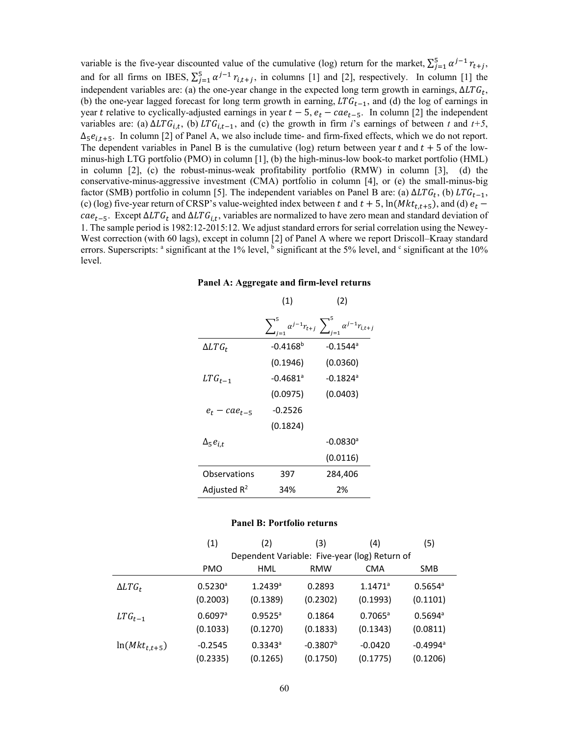variable is the five-year discounted value of the cumulative (log) return for the market,  $\sum_{j=1}^{5} \alpha^{j-1} r_{t+j}$ , and for all firms on IBES,  $\sum_{j=1}^{5} \alpha^{j-1} r_{i,t+j}$ , in columns [1] and [2], respectively. In column [1] the independent variables are: (a) the one-year change in the expected long term growth in earnings,  $\Delta LTG_t$ , (b) the one-year lagged forecast for long term growth in earning,  $LTG_{t-1}$ , and (d) the log of earnings in year t relative to cyclically-adjusted earnings in year  $t - 5$ ,  $e_t - cae_{t-5}$ . In column [2] the independent variables are: (a)  $\Delta LTG_{i,t}$ , (b)  $LTG_{i,t-1}$ , and (c) the growth in firm *i*'s earnings of between *t* and *t+5*,  $\Delta_5 e_{i,t+5}$ . In column [2] of Panel A, we also include time- and firm-fixed effects, which we do not report. The dependent variables in Panel B is the cumulative (log) return between year  $t$  and  $t + 5$  of the lowminus-high LTG portfolio (PMO) in column [1], (b) the high-minus-low book-to market portfolio (HML) in column [2], (c) the robust-minus-weak profitability portfolio (RMW) in column [3], (d) the conservative-minus-aggressive investment (CMA) portfolio in column [4], or (e) the small-minus-big factor (SMB) portfolio in column [5]. The independent variables on Panel B are: (a)  $\Delta LTG_t$ , (b)  $LTG_{t-1}$ , (c) (log) five-year return of CRSP's value-weighted index between t and  $t + 5$ , ln( $Mkt_{t,t+5}$ ), and (d)  $e_t$  $cae_{t-5}$ . Except  $\Delta LTG_t$  and  $\Delta LTG_{i,t}$ , variables are normalized to have zero mean and standard deviation of 1. The sample period is 1982:12-2015:12. We adjust standard errors for serial correlation using the Newey-West correction (with 60 lags), except in column [2] of Panel A where we report Driscoll–Kraay standard errors. Superscripts:  $\degree$  significant at the 1% level,  $\frac{1}{2}$  significant at the 5% level, and  $\degree$  significant at the 10% level.

|                    |                        | $\sum_{i=1}^5 \alpha^{j-1} r_{t+j} \sum_{j=1}^5 \alpha^{j-1} r_{i,t+j}$ |
|--------------------|------------------------|-------------------------------------------------------------------------|
| $\Delta LTG_t$     | $-0.4168^{b}$          | $-0.1544$ <sup>a</sup>                                                  |
|                    | (0.1946)               | (0.0360)                                                                |
| $LTG_{t-1}$        | $-0.4681$ <sup>a</sup> | $-0.1824$ <sup>a</sup>                                                  |
|                    | (0.0975)               | (0.0403)                                                                |
| $e_t - cae_{t-5}$  | $-0.2526$              |                                                                         |
|                    | (0.1824)               |                                                                         |
| $\Delta_5 e_{i.t}$ |                        | $-0.0830$ <sup>a</sup>                                                  |
|                    |                        | (0.0116)                                                                |
| Observations       | 397                    | 284,406                                                                 |
| Adjusted $R^2$     | 34%                    | 2%                                                                      |

#### **Panel A: Aggregate and firm-level returns**

 $(1)$   $(2)$ 

#### **Panel B: Portfolio returns**

|                   | (1)                   | (2)                                           | (3)        | (4)                   | (5)                    |  |  |
|-------------------|-----------------------|-----------------------------------------------|------------|-----------------------|------------------------|--|--|
|                   |                       | Dependent Variable: Five-year (log) Return of |            |                       |                        |  |  |
|                   | <b>PMO</b>            | HML                                           | <b>RMW</b> | <b>CMA</b>            | <b>SMB</b>             |  |  |
| $\Delta LTG_t$    | $0.5230$ <sup>a</sup> | $1.2439$ <sup>a</sup>                         | 0.2893     | $1.1471$ <sup>a</sup> | $0.5654^{\circ}$       |  |  |
|                   | (0.2003)              | (0.1389)                                      | (0.2302)   | (0.1993)              | (0.1101)               |  |  |
| $LTG_{t-1}$       | $0.6097$ <sup>a</sup> | $0.9525^{\circ}$                              | 0.1864     | $0.7065^a$            | $0.5694^{\circ}$       |  |  |
|                   | (0.1033)              | (0.1270)                                      | (0.1833)   | (0.1343)              | (0.0811)               |  |  |
| $ln(Mkt_{t,t+5})$ | $-0.2545$             | $0.3343$ <sup>a</sup>                         | $-0.3807b$ | $-0.0420$             | $-0.4994$ <sup>a</sup> |  |  |
|                   | (0.2335)              | (0.1265)                                      | (0.1750)   | (0.1775)              | (0.1206)               |  |  |